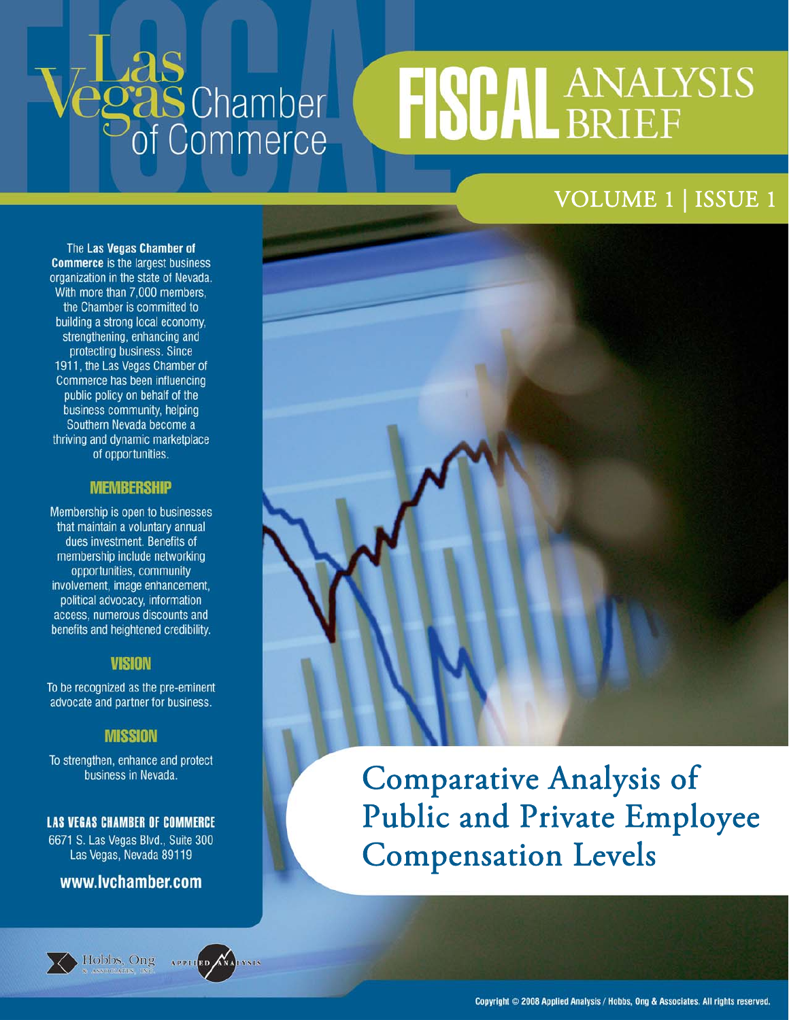# - Las<br>Pgas Chamber<br>Pof Commerce

# **FISCAL ANALYSIS**

# VOLUME 1 | ISSUE 1

The Las Vegas Chamber of **Commerce** is the largest business organization in the state of Nevada. With more than 7,000 members, the Chamber is committed to building a strong local economy, strengthening, enhancing and protecting business. Since 1911, the Las Vegas Chamber of Commerce has been influencing public policy on behalf of the business community, helping Southern Nevada become a thriving and dynamic marketplace of opportunities.

### **MEMBERSHIP**

Membership is open to businesses that maintain a voluntary annual dues investment. Benefits of membership include networking opportunities, community involvement, image enhancement, political advocacy, information access, numerous discounts and benefits and heightened credibility.

# **VISION**

To be recognized as the pre-eminent advocate and partner for business.

# **MISSION**

To strengthen, enhance and protect business in Nevada.

# **LAS VEGAS CHAMBER OF COMMERCE**

6671 S. Las Vegas Blvd., Suite 300 Las Vegas, Nevada 89119

# www.lvchamber.com





Comparative Analysis of Public and Private Employee Compensation Levels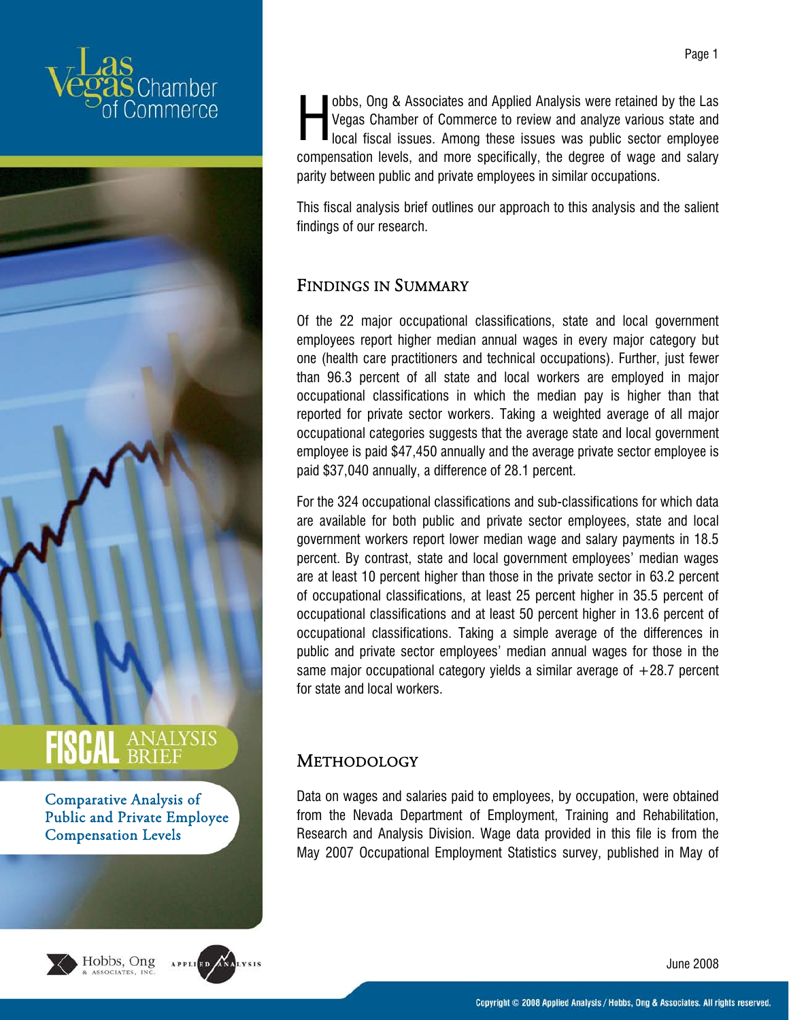



Comparative Analysis of Public and Private Employee Compensation Levels





obbs, Ong & Associates and Applied Analysis were retained by the Las Vegas Chamber of Commerce to review and analyze various state and local fiscal issues. Among these issues was public sector employee compensation levels, and more specifically, the degree of wage and salary parity between public and private employees in similar occupations. H

This fiscal analysis brief outlines our approach to this analysis and the salient findings of our research.

# FINDINGS IN SUMMARY

Of the 22 major occupational classifications, state and local government employees report higher median annual wages in every major category but one (health care practitioners and technical occupations). Further, just fewer than 96.3 percent of all state and local workers are employed in major occupational classifications in which the median pay is higher than that reported for private sector workers. Taking a weighted average of all major occupational categories suggests that the average state and local government employee is paid \$47,450 annually and the average private sector employee is paid \$37,040 annually, a difference of 28.1 percent.

For the 324 occupational classifications and sub-classifications for which data are available for both public and private sector employees, state and local government workers report lower median wage and salary payments in 18.5 percent. By contrast, state and local government employees' median wages are at least 10 percent higher than those in the private sector in 63.2 percent of occupational classifications, at least 25 percent higher in 35.5 percent of occupational classifications and at least 50 percent higher in 13.6 percent of occupational classifications. Taking a simple average of the differences in public and private sector employees' median annual wages for those in the same major occupational category yields a similar average of  $+28.7$  percent for state and local workers.

# **METHODOLOGY**

Data on wages and salaries paid to employees, by occupation, were obtained from the Nevada Department of Employment, Training and Rehabilitation, Research and Analysis Division. Wage data provided in this file is from the May 2007 Occupational Employment Statistics survey, published in May of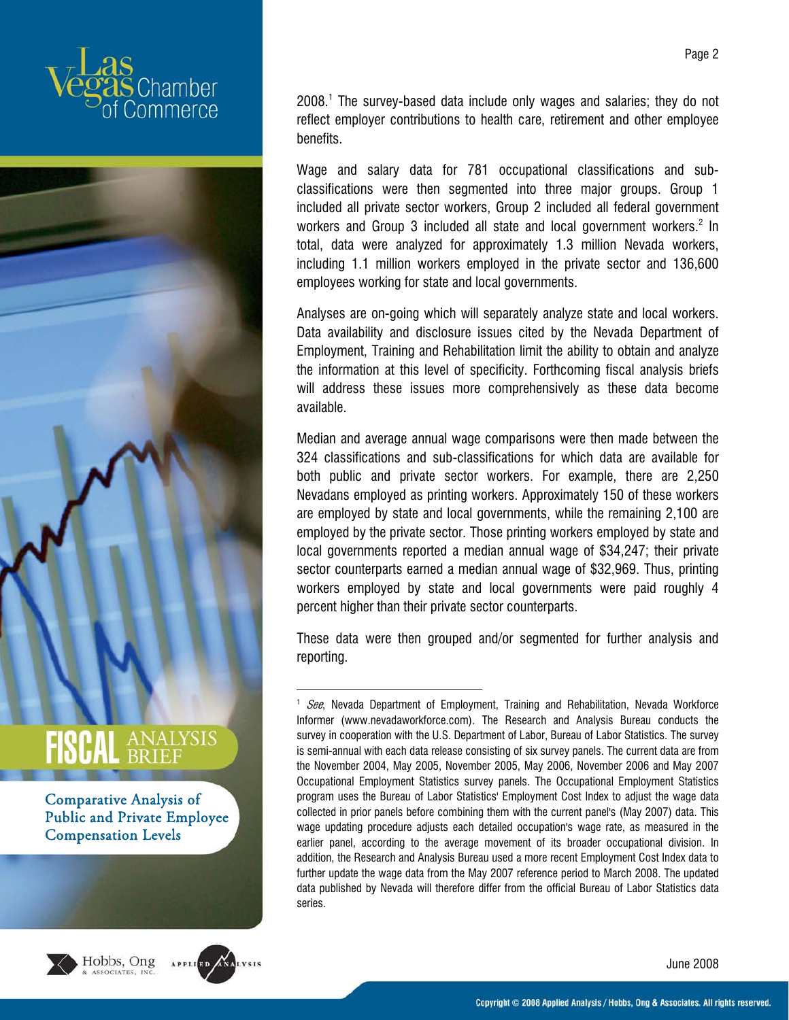



Comparative Analysis of Public and Private Employee Compensation Levels





1

2008.<sup>1</sup> The survey-based data include only wages and salaries; they do not reflect employer contributions to health care, retirement and other employee benefits.

Wage and salary data for 781 occupational classifications and subclassifications were then segmented into three major groups. Group 1 included all private sector workers, Group 2 included all federal government workers and Group 3 included all state and local government workers.<sup>2</sup> In total, data were analyzed for approximately 1.3 million Nevada workers, including 1.1 million workers employed in the private sector and 136,600 employees working for state and local governments.

Analyses are on-going which will separately analyze state and local workers. Data availability and disclosure issues cited by the Nevada Department of Employment, Training and Rehabilitation limit the ability to obtain and analyze the information at this level of specificity. Forthcoming fiscal analysis briefs will address these issues more comprehensively as these data become available.

Median and average annual wage comparisons were then made between the 324 classifications and sub-classifications for which data are available for both public and private sector workers. For example, there are 2,250 Nevadans employed as printing workers. Approximately 150 of these workers are employed by state and local governments, while the remaining 2,100 are employed by the private sector. Those printing workers employed by state and local governments reported a median annual wage of \$34,247; their private sector counterparts earned a median annual wage of \$32,969. Thus, printing workers employed by state and local governments were paid roughly 4 percent higher than their private sector counterparts.

These data were then grouped and/or segmented for further analysis and reporting.

<sup>&</sup>lt;sup>1</sup> See, Nevada Department of Employment, Training and Rehabilitation, Nevada Workforce Informer (www.nevadaworkforce.com). The Research and Analysis Bureau conducts the survey in cooperation with the U.S. Department of Labor, Bureau of Labor Statistics. The survey is semi-annual with each data release consisting of six survey panels. The current data are from the November 2004, May 2005, November 2005, May 2006, November 2006 and May 2007 Occupational Employment Statistics survey panels. The Occupational Employment Statistics program uses the Bureau of Labor Statistics' Employment Cost Index to adjust the wage data collected in prior panels before combining them with the current panel's (May 2007) data. This wage updating procedure adjusts each detailed occupation's wage rate, as measured in the earlier panel, according to the average movement of its broader occupational division. In addition, the Research and Analysis Bureau used a more recent Employment Cost Index data to further update the wage data from the May 2007 reference period to March 2008. The updated data published by Nevada will therefore differ from the official Bureau of Labor Statistics data series.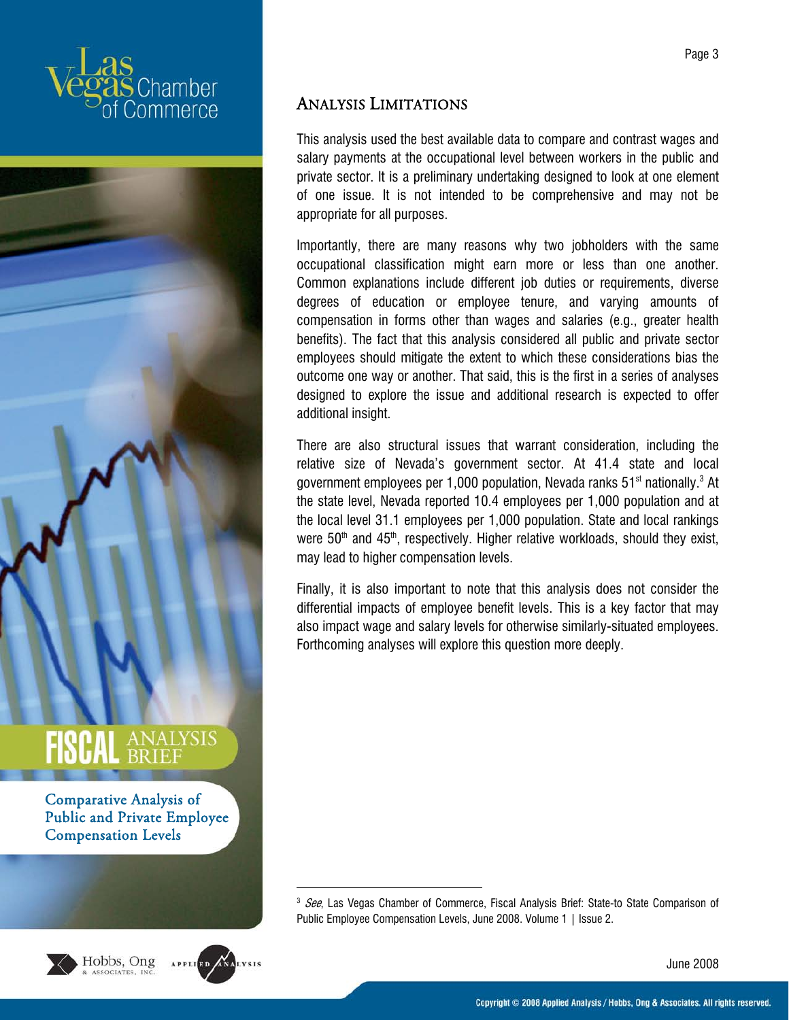



Comparative Analysis of Public and Private Employee Compensation Levels





 $\overline{a}$ 

# ANALYSIS LIMITATIONS

This analysis used the best available data to compare and contrast wages and salary payments at the occupational level between workers in the public and private sector. It is a preliminary undertaking designed to look at one element of one issue. It is not intended to be comprehensive and may not be appropriate for all purposes.

Importantly, there are many reasons why two jobholders with the same occupational classification might earn more or less than one another. Common explanations include different job duties or requirements, diverse degrees of education or employee tenure, and varying amounts of compensation in forms other than wages and salaries (e.g., greater health benefits). The fact that this analysis considered all public and private sector employees should mitigate the extent to which these considerations bias the outcome one way or another. That said, this is the first in a series of analyses designed to explore the issue and additional research is expected to offer additional insight.

There are also structural issues that warrant consideration, including the relative size of Nevada's government sector. At 41.4 state and local government employees per 1,000 population, Nevada ranks 51 $^{\rm st}$  nationally. $^3$  At the state level, Nevada reported 10.4 employees per 1,000 population and at the local level 31.1 employees per 1,000 population. State and local rankings were  $50<sup>th</sup>$  and  $45<sup>th</sup>$ , respectively. Higher relative workloads, should they exist, may lead to higher compensation levels.

Finally, it is also important to note that this analysis does not consider the differential impacts of employee benefit levels. This is a key factor that may also impact wage and salary levels for otherwise similarly-situated employees. Forthcoming analyses will explore this question more deeply.

<sup>&</sup>lt;sup>3</sup> See, Las Vegas Chamber of Commerce, Fiscal Analysis Brief: State-to State Comparison of Public Employee Compensation Levels, June 2008. Volume 1 | Issue 2.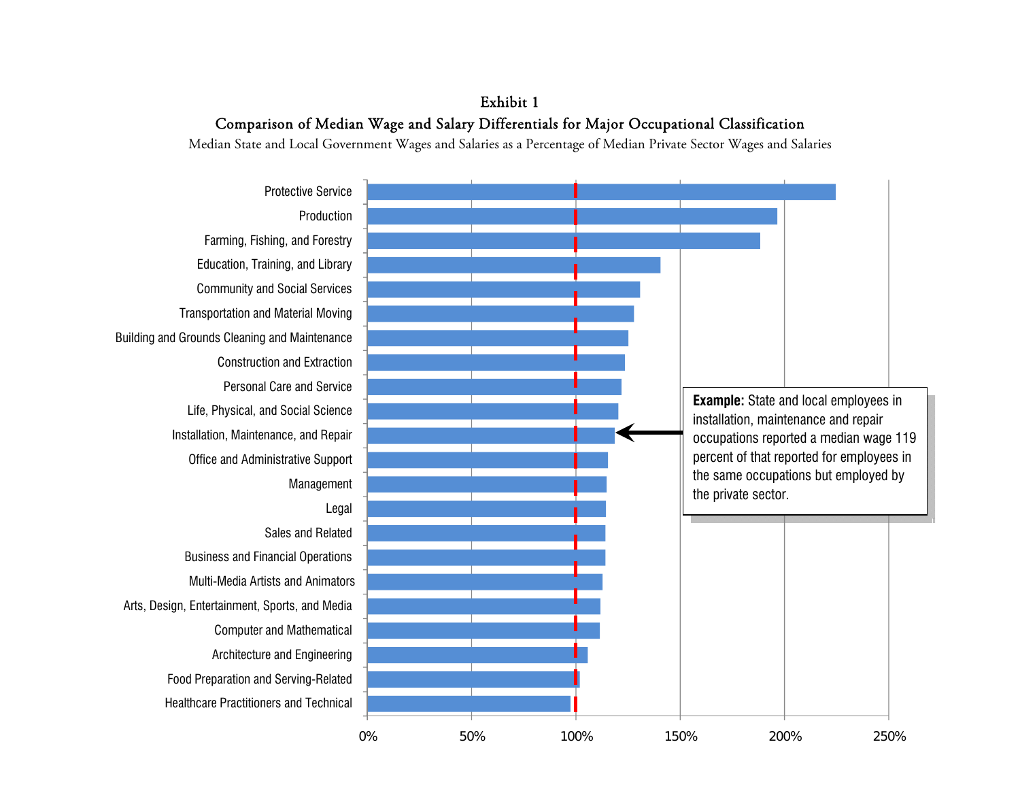Exhibit 1 Comparison of Median Wage and Salary Differentials for Major Occupational Classification

Median State and Local Government Wages and Salaries as a Percentage of Median Private Sector Wages and Salaries

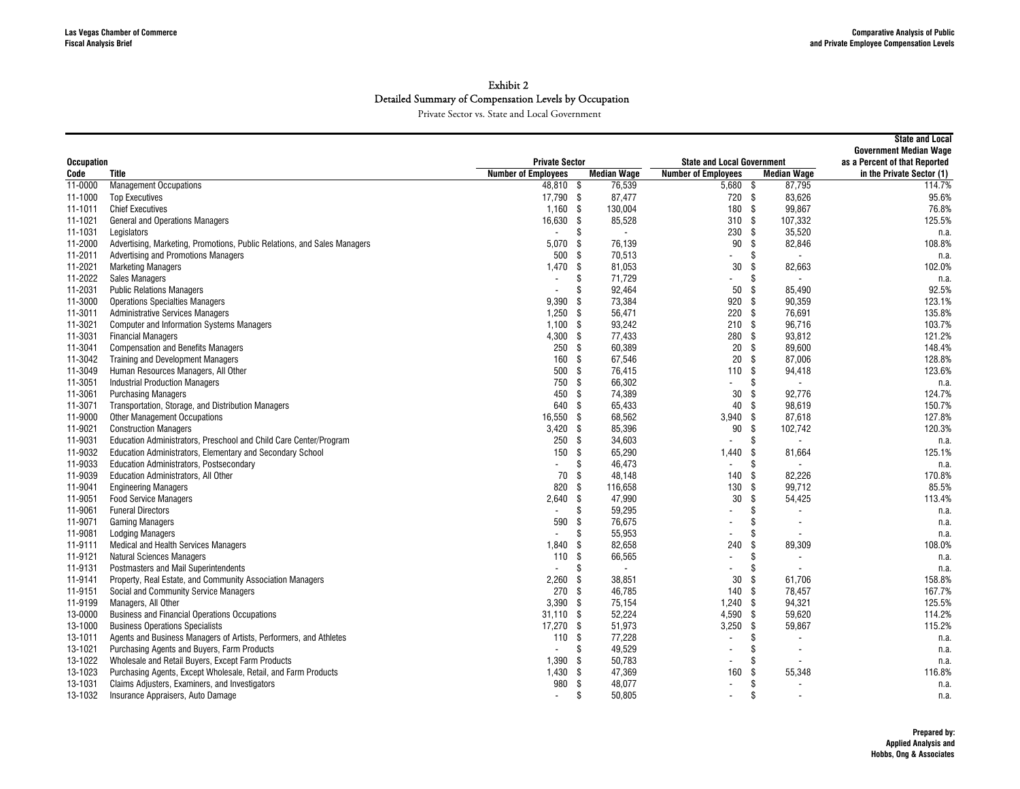|                   |                                                                          |                            |      |                          |                                   |                                | <b>State and Local</b><br><b>Government Median Wage</b> |
|-------------------|--------------------------------------------------------------------------|----------------------------|------|--------------------------|-----------------------------------|--------------------------------|---------------------------------------------------------|
| <b>Occupation</b> |                                                                          | <b>Private Sector</b>      |      |                          | <b>State and Local Government</b> | as a Percent of that Reported  |                                                         |
| Code              | <b>Title</b>                                                             | <b>Number of Employees</b> |      | <b>Median Wage</b>       | <b>Number of Employees</b>        | <b>Median Wage</b>             | in the Private Sector (1)                               |
| 11-0000           | <b>Management Occupations</b>                                            | 48,810 \$                  |      | 76,539                   | $5,680$ \$                        | 87,795                         | 114.7%                                                  |
| 11-1000           | <b>Top Executives</b>                                                    | 17.790 \$                  |      | 87.477                   | 720 \$                            | 83.626                         | 95.6%                                                   |
| 11-1011           | <b>Chief Executives</b>                                                  | 1,160                      | - \$ | 130,004                  | 180 \$                            | 99.867                         | 76.8%                                                   |
| 11-1021           | General and Operations Managers                                          | 16,630                     | -\$  | 85,528                   | 310S                              | 107,332                        | 125.5%                                                  |
| 11-1031           | Legislators                                                              |                            | \$   | $\overline{\phantom{a}}$ | 230                               | 35,520<br>-\$                  | n.a.                                                    |
| 11-2000           | Advertising, Marketing, Promotions, Public Relations, and Sales Managers | 5,070                      | -\$  | 76,139                   | 90                                | \$<br>82,846                   | 108.8%                                                  |
| 11-2011           | Advertising and Promotions Managers                                      | 500                        | -\$  | 70,513                   |                                   | \$                             | n.a.                                                    |
| 11-2021           | <b>Marketing Managers</b>                                                | 1,470                      | \$   | 81,053                   | 30                                | \$<br>82,663                   | 102.0%                                                  |
| 11-2022           | <b>Sales Managers</b>                                                    |                            | \$   | 71,729                   | $\blacksquare$                    | Ŝ.                             | n.a.                                                    |
| 11-2031           | <b>Public Relations Managers</b>                                         |                            | \$   | 92,464                   | 50                                | - \$<br>85.490                 | 92.5%                                                   |
| 11-3000           | <b>Operations Specialties Managers</b>                                   | 9.390                      | -S   | 73,384                   | 920                               | 90.359<br>-S                   | 123.1%                                                  |
| 11-3011           | <b>Administrative Services Managers</b>                                  | 1,250                      | -\$  | 56,471                   | $220$ \$                          | 76.691                         | 135.8%                                                  |
| 11-3021           | <b>Computer and Information Systems Managers</b>                         | 1,100                      | -\$  | 93,242                   | 210S                              | 96,716                         | 103.7%                                                  |
| 11-3031           | <b>Financial Managers</b>                                                | 4,300                      | - \$ | 77,433                   | 280 \$                            | 93,812                         | 121.2%                                                  |
| 11-3041           | <b>Compensation and Benefits Managers</b>                                | 250                        | - \$ | 60,389                   | 20                                | \$<br>89,600                   | 148.4%                                                  |
| 11-3042           | <b>Training and Development Managers</b>                                 | 160                        | \$   | 67,546                   | $20\,$                            | -\$<br>87,006                  | 128.8%                                                  |
| 11-3049           | Human Resources Managers, All Other                                      | 500                        | -\$  | 76,415                   | 110S                              | 94,418                         | 123.6%                                                  |
| 11-3051           | <b>Industrial Production Managers</b>                                    | 750                        | \$   | 66,302                   | $\overline{\phantom{a}}$          | \$<br>$\overline{a}$           | n.a.                                                    |
| 11-3061           | <b>Purchasing Managers</b>                                               | 450                        | -S   | 74,389                   | 30                                | \$<br>92,776                   | 124.7%                                                  |
| 11-3071           | Transportation, Storage, and Distribution Managers                       | 640                        | \$   | 65.433                   | 40                                | -S<br>98.619                   | 150.7%                                                  |
| 11-9000           | <b>Other Management Occupations</b>                                      | 16,550                     | \$   | 68,562                   | $3,940$ \$                        | 87,618                         | 127.8%                                                  |
| 11-9021           | <b>Construction Managers</b>                                             | 3,420                      | -\$  | 85,396                   | 90                                | - \$<br>102,742                | 120.3%                                                  |
| 11-9031           | Education Administrators, Preschool and Child Care Center/Program        | 250                        | \$   | 34,603                   | $\overline{\phantom{a}}$          | \$                             | n.a.                                                    |
| 11-9032           | <b>Education Administrators, Elementary and Secondary School</b>         | 150                        | \$   | 65,290                   | 1,440                             | - \$<br>81,664                 | 125.1%                                                  |
| 11-9033           | <b>Education Administrators, Postsecondary</b>                           |                            | -S   | 46,473                   | $\blacksquare$                    | \$                             | n.a.                                                    |
| 11-9039           | <b>Education Administrators, All Other</b>                               | 70                         | -S   | 48,148                   | 140                               | 82,226<br>-S                   | 170.8%                                                  |
| 11-9041           | <b>Engineering Managers</b>                                              | 820                        | -\$  | 116,658                  | 130                               | 99,712<br>-S                   | 85.5%                                                   |
| 11-9051           | <b>Food Service Managers</b>                                             | 2,640                      | \$   | 47,990                   | 30                                | \$<br>54,425                   | 113.4%                                                  |
| 11-9061           | <b>Funeral Directors</b>                                                 | $\blacksquare$             | \$   | 59,295                   |                                   | \$                             | n.a.                                                    |
| 11-9071           | <b>Gaming Managers</b>                                                   | 590                        | \$   | 76,675                   | $\overline{\phantom{a}}$          | \$                             | n.a.                                                    |
| 11-9081           | <b>Lodging Managers</b>                                                  |                            | \$   | 55.953                   | $\overline{\phantom{a}}$          | \$<br>$\overline{\phantom{a}}$ | n.a.                                                    |
| 11-9111           | <b>Medical and Health Services Managers</b>                              | 1,840                      | -\$  | 82,658                   | 240                               | \$<br>89,309                   | 108.0%                                                  |
| 11-9121           | <b>Natural Sciences Managers</b>                                         | 110                        | -\$  | 66,565                   | $\blacksquare$                    | \$                             | n.a.                                                    |
| 11-9131           | Postmasters and Mail Superintendents                                     |                            | \$   | $\overline{\phantom{a}}$ |                                   | \$                             | n.a.                                                    |
| 11-9141           | Property, Real Estate, and Community Association Managers                | 2,260                      | \$   | 38,851                   | 30                                | \$<br>61,706                   | 158.8%                                                  |
| 11-9151           | Social and Community Service Managers                                    | 270                        | \$   | 46,785                   | 140S                              | 78,457                         | 167.7%                                                  |
| 11-9199           | Managers, All Other                                                      | 3,390                      | -S   | 75,154                   | $1,240$ \$                        | 94,321                         | 125.5%                                                  |
| 13-0000           | <b>Business and Financial Operations Occupations</b>                     | 31,110                     | - \$ | 52,224                   | $4,590$ \$                        | 59,620                         | 114.2%                                                  |
| 13-1000           | <b>Business Operations Specialists</b>                                   | 17,270                     | \$   | 51,973                   | $3,250$ \$                        | 59,867                         | 115.2%                                                  |
| 13-1011           | Agents and Business Managers of Artists, Performers, and Athletes        | 110                        | - \$ | 77,228                   | $\blacksquare$                    | \$                             |                                                         |
| 13-1021           | Purchasing Agents and Buyers, Farm Products                              |                            | -S   | 49,529                   | $\blacksquare$                    | \$                             | n.a.                                                    |
| 13-1022           | Wholesale and Retail Buyers, Except Farm Products                        | 1,390                      | -S   | 50,783                   | $\overline{\phantom{a}}$          | \$                             | n.a.                                                    |
| 13-1023           | Purchasing Agents, Except Wholesale, Retail, and Farm Products           | 1,430                      | \$   | 47,369                   | 160                               | \$<br>55,348                   | n.a<br>116.8%                                           |
| 13-1031           | Claims Adjusters, Examiners, and Investigators                           | 980                        | \$   | 48,077                   | $\overline{a}$                    | \$                             |                                                         |
| 13-1032           |                                                                          | $\overline{\phantom{a}}$   | \$   | 50,805                   | $\overline{\phantom{a}}$          | \$                             | n.a.                                                    |
|                   | Insurance Appraisers, Auto Damage                                        |                            |      |                          |                                   |                                | n.a                                                     |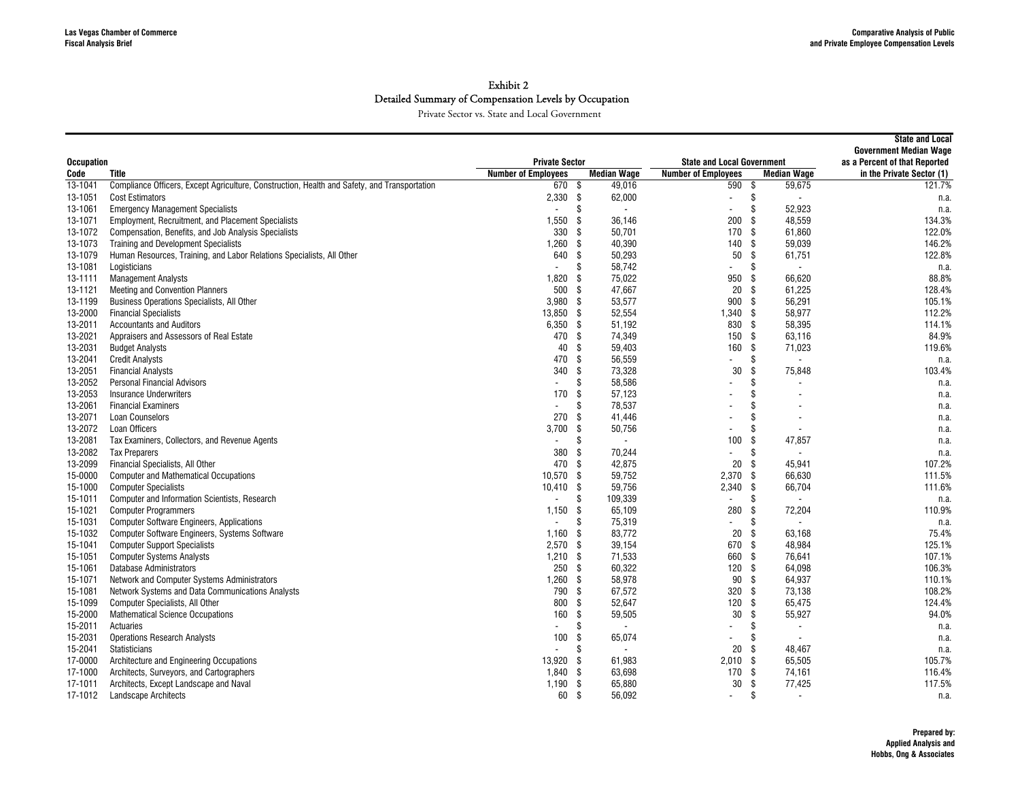|                    |                                                                                              |                            |                      |                                   |                               | <b>State and Local</b><br><b>Government Median Wage</b> |
|--------------------|----------------------------------------------------------------------------------------------|----------------------------|----------------------|-----------------------------------|-------------------------------|---------------------------------------------------------|
| <b>Occupation</b>  |                                                                                              | <b>Private Sector</b>      |                      | <b>State and Local Government</b> | as a Percent of that Reported |                                                         |
| Code               | <b>Title</b>                                                                                 | <b>Number of Employees</b> | <b>Median Wage</b>   | <b>Number of Employees</b>        | <b>Median Wage</b>            | in the Private Sector (1)                               |
| 13-1041            | Compliance Officers, Except Agriculture, Construction, Health and Safety, and Transportation | 670S                       | 49,016               | 590S                              | 59,675                        | 121.7%                                                  |
| 13-1051            | <b>Cost Estimators</b>                                                                       | 2.330                      | - \$<br>62,000       | $\sim$                            | \$                            | n.a.                                                    |
| 13-1061            | <b>Emergency Management Specialists</b>                                                      |                            | \$<br>$\sim$         | $\blacksquare$                    | \$<br>52.923                  | n.a.                                                    |
| 13-1071            | <b>Employment, Recruitment, and Placement Specialists</b>                                    | 1.550                      | -\$<br>36.146        | 200                               | \$<br>48.559                  | 134.3%                                                  |
| 13-1072            | Compensation, Benefits, and Job Analysis Specialists                                         | 330                        | - \$<br>50,701       | 170                               | \$<br>61,860                  | 122.0%                                                  |
| 13-1073            | <b>Training and Development Specialists</b>                                                  | 1,260                      | - \$<br>40,390       | 140                               | -S<br>59,039                  | 146.2%                                                  |
| 13-1079            | Human Resources, Training, and Labor Relations Specialists, All Other                        | 640                        | \$<br>50,293         | 50                                | \$<br>61,751                  | 122.8%                                                  |
| 13-1081            | Logisticians                                                                                 | $\overline{a}$             | 58,742<br>\$         | $\blacksquare$                    | \$                            | n.a.                                                    |
| 13-1111            | <b>Management Analysts</b>                                                                   | 1,820                      | 75,022<br>\$         | 950                               | \$<br>66,620                  | 88.8%                                                   |
| 13-1121            | <b>Meeting and Convention Planners</b>                                                       | 500                        | 47,667<br>- \$       | 20                                | -S<br>61,225                  | 128.4%                                                  |
| 13-1199            | Business Operations Specialists, All Other                                                   | 3,980                      | - \$<br>53,577       | 900                               | -S<br>56,291                  | 105.1%                                                  |
| 13-2000            | <b>Financial Specialists</b>                                                                 | 13,850 \$                  | 52,554               | 1,340                             | -S<br>58,977                  | 112.2%                                                  |
| 13-2011            | <b>Accountants and Auditors</b>                                                              | 6,350                      | - \$<br>51,192       | 830                               | \$<br>58,395                  | 114.1%                                                  |
| 13-2021            | Appraisers and Assessors of Real Estate                                                      | 470 \$                     | 74,349               | 150                               | \$<br>63,116                  | 84.9%                                                   |
| 13-2031            | <b>Budget Analysts</b>                                                                       | 40                         | -\$<br>59,403        | 160                               | \$<br>71,023                  | 119.6%                                                  |
| 13-2041            | <b>Credit Analysts</b>                                                                       | 470                        | -\$<br>56,559        | $\blacksquare$                    | \$                            | n.a.                                                    |
| 13-2051            | <b>Financial Analysts</b>                                                                    | 340                        | -\$<br>73,328        | 30                                | \$<br>75,848                  | 103.4%                                                  |
| 13-2052            | <b>Personal Financial Advisors</b>                                                           |                            | \$<br>58,586         | $\blacksquare$                    | \$                            | n.a.                                                    |
| 13-2053            | <b>Insurance Underwriters</b>                                                                | 170                        | \$<br>57,123         |                                   | $\mathbf{\hat{s}}$            | n.a.                                                    |
| 13-2061            | <b>Financial Examiners</b>                                                                   |                            | \$<br>78.537         |                                   | \$                            | n.a.                                                    |
| 13-2071            | <b>Loan Counselors</b>                                                                       | 270                        | \$<br>41,446         |                                   | \$                            |                                                         |
| 13-2072            | Loan Officers                                                                                | 3.700                      | \$<br>50,756         | $\overline{\phantom{a}}$          | \$                            | n.a.                                                    |
| 13-2081            | Tax Examiners, Collectors, and Revenue Agents                                                | $\overline{\phantom{a}}$   | Ŝ<br>$\sim$          | 100                               | \$<br>47,857                  | n.a.                                                    |
| 13-2082            | <b>Tax Preparers</b>                                                                         | 380                        | -\$<br>70,244        | $\blacksquare$                    | \$.                           | n.a.                                                    |
| 13-2099            | Financial Specialists, All Other                                                             | 470                        | - \$<br>42,875       | 20                                | 45,941<br>ß.                  | n.a.<br>107.2%                                          |
|                    | <b>Computer and Mathematical Occupations</b>                                                 |                            | 59,752               | 2,370                             |                               | 111.5%                                                  |
| 15-0000            |                                                                                              | 10,570                     | -\$                  |                                   | -\$<br>66,630                 |                                                         |
| 15-1000<br>15-1011 | <b>Computer Specialists</b>                                                                  | $10,410$ \$                | 59,756<br>S.         | $2,340$ \$                        | 66,704                        | 111.6%                                                  |
|                    | Computer and Information Scientists, Research                                                |                            | 109,339              | $\overline{a}$                    | \$                            | n.a.                                                    |
| 15-1021            | <b>Computer Programmers</b>                                                                  | 1,150                      | \$<br>65,109         | 280                               | \$<br>72,204                  | 110.9%                                                  |
| 15-1031            | <b>Computer Software Engineers, Applications</b>                                             | $\overline{\phantom{a}}$   | \$<br>75,319         | $\overline{\phantom{a}}$          | \$                            | n.a.                                                    |
| 15-1032            | Computer Software Engineers, Systems Software                                                | 1.160                      | - \$<br>83.772       | 20                                | \$<br>63.168                  | 75.4%                                                   |
| 15-1041            | <b>Computer Support Specialists</b>                                                          | $2,570$ \$                 | 39,154               | 670                               | \$<br>48,984                  | 125.1%                                                  |
| 15-1051            | <b>Computer Systems Analysts</b>                                                             | 1,210                      | - \$<br>71,533       | 660                               | -S<br>76.641                  | 107.1%                                                  |
| 15-1061            | <b>Database Administrators</b>                                                               | 250S                       | 60,322               | 120                               | -S<br>64,098                  | 106.3%                                                  |
| 15-1071            | Network and Computer Systems Administrators                                                  | 1,260                      | -\$<br>58,978        | 90                                | \$<br>64,937                  | 110.1%                                                  |
| 15-1081            | Network Systems and Data Communications Analysts                                             | 790                        | 67,572<br>-\$        | 320                               | \$<br>73,138                  | 108.2%                                                  |
| 15-1099            | Computer Specialists, All Other                                                              | 800                        | \$<br>52,647         | 120                               | \$<br>65,475                  | 124.4%                                                  |
| 15-2000            | <b>Mathematical Science Occupations</b>                                                      | 160                        | -\$<br>59,505        | 30                                | \$<br>55,927                  | 94.0%                                                   |
| 15-2011            | Actuaries                                                                                    | $\overline{a}$             | \$<br>$\blacksquare$ | $\blacksquare$                    | \$                            | n.a.                                                    |
| 15-2031            | <b>Operations Research Analysts</b>                                                          | 100                        | -\$<br>65,074        |                                   | \$.                           | n.a.                                                    |
| 15-2041            | Statisticians                                                                                |                            | \$<br>$\sim$         | 20                                | \$<br>48.467                  | n.a.                                                    |
| 17-0000            | Architecture and Engineering Occupations                                                     | 13,920                     | 61,983<br>-\$        | $2,010$ \$                        | 65,505                        | 105.7%                                                  |
| 17-1000            | Architects, Surveyors, and Cartographers                                                     | 1,840                      | 63,698<br>-\$        | 170S                              | 74,161                        | 116.4%                                                  |
| 17-1011            | Architects, Except Landscape and Naval                                                       | 1,190                      | -\$<br>65,880        | 30                                | \$<br>77,425                  | 117.5%                                                  |
| 17-1012            | <b>Landscape Architects</b>                                                                  | 60                         | - \$<br>56,092       | $\overline{\phantom{a}}$          | \$                            | n.a.                                                    |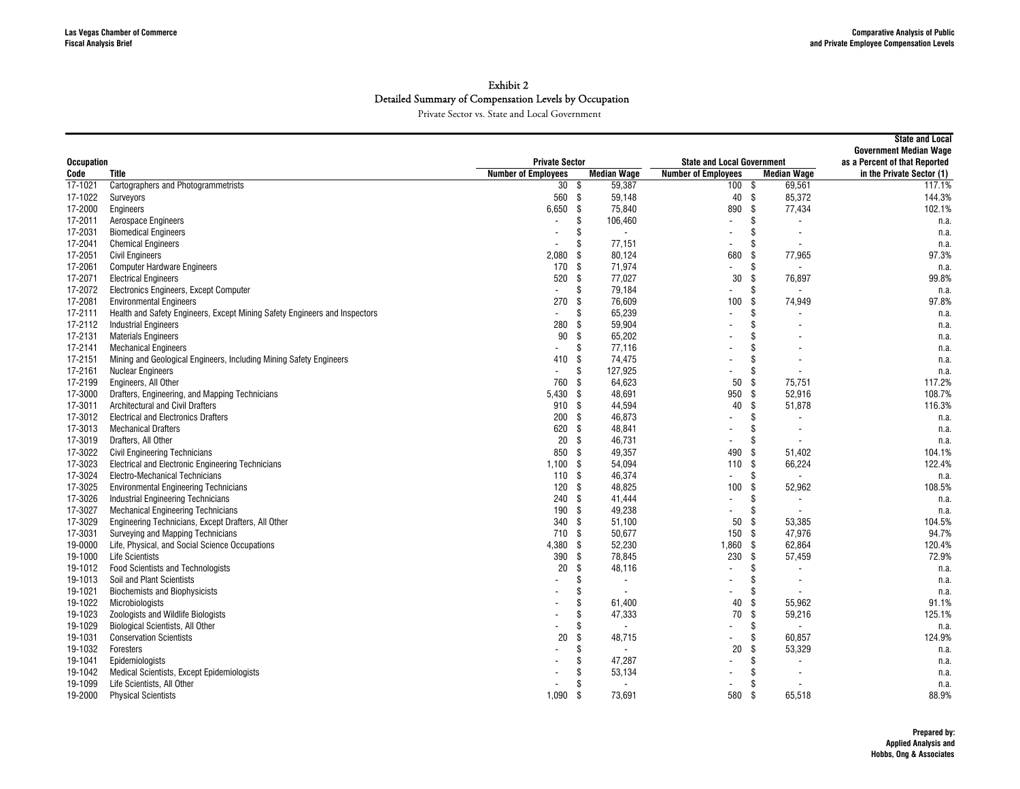|                   |                                                                            |                            | <b>State and Local</b><br><b>Government Median Wage</b> |                                   |                                |                           |
|-------------------|----------------------------------------------------------------------------|----------------------------|---------------------------------------------------------|-----------------------------------|--------------------------------|---------------------------|
| <b>Occupation</b> |                                                                            | <b>Private Sector</b>      |                                                         | <b>State and Local Government</b> | as a Percent of that Reported  |                           |
| Code              | Title                                                                      | <b>Number of Employees</b> | <b>Median Wage</b>                                      | <b>Number of Employees</b>        | <b>Median Wage</b>             | in the Private Sector (1) |
| 17-1021           | <b>Cartographers and Photogrammetrists</b>                                 | 30 <sup>2</sup>            | 59,387<br>- \$                                          | 100 \$                            | 69,561                         | 117.1%                    |
| 17-1022           | Surveyors                                                                  | 560                        | - \$<br>59.148                                          | 40 \$                             | 85.372                         | 144.3%                    |
| 17-2000           | Engineers                                                                  | 6,650                      | \$<br>75,840                                            | 890                               | -\$<br>77,434                  | 102.1%                    |
| 17-2011           | Aerospace Engineers                                                        |                            | \$<br>106,460                                           | $\overline{\phantom{0}}$          | \$                             | n.a.                      |
| 17-2031           | <b>Biomedical Engineers</b>                                                |                            | \$<br>$\overline{\phantom{a}}$                          |                                   | \$                             | n.a.                      |
| 17-2041           | <b>Chemical Engineers</b>                                                  |                            | \$<br>77,151                                            |                                   | \$.                            | n.a.                      |
| 17-2051           | <b>Civil Engineers</b>                                                     | 2,080                      | \$<br>80,124                                            | 680                               | 77,965<br>\$                   | 97.3%                     |
| 17-2061           | <b>Computer Hardware Engineers</b>                                         | 170                        | -S<br>71,974                                            | $\overline{a}$                    | \$                             | n.a.                      |
| 17-2071           | <b>Electrical Engineers</b>                                                | 520                        | \$<br>77,027                                            | 30                                | 76,897<br>- \$                 | 99.8%                     |
| 17-2072           | Electronics Engineers, Except Computer                                     | $\sim$                     | \$<br>79,184                                            | $\blacksquare$                    | \$.                            | n.a.                      |
| 17-2081           | <b>Environmental Engineers</b>                                             | 270                        | -S<br>76.609                                            | 100                               | 74,949<br>-\$                  | 97.8%                     |
| 17-2111           | Health and Safety Engineers, Except Mining Safety Engineers and Inspectors | $\sim$                     | 65,239<br>\$                                            | $\blacksquare$                    | \$.                            | n.a.                      |
| 17-2112           | <b>Industrial Engineers</b>                                                | 280                        | \$<br>59,904                                            |                                   | \$                             | n.a.                      |
| 17-2131           | <b>Materials Engineers</b>                                                 | 90                         | \$<br>65,202                                            |                                   |                                | n.a.                      |
| 17-2141           | <b>Mechanical Engineers</b>                                                |                            | \$<br>77,116                                            |                                   | \$.                            | n.a.                      |
| 17-2151           | Mining and Geological Engineers, Including Mining Safety Engineers         | 410                        | \$<br>74,475                                            |                                   | \$                             | n.a.                      |
| 17-2161           | <b>Nuclear Engineers</b>                                                   |                            | \$<br>127,925                                           |                                   | \$                             | n.a.                      |
| 17-2199           | Engineers, All Other                                                       | 760                        | \$<br>64,623                                            | 50                                | 75,751<br>\$                   | 117.2%                    |
| 17-3000           | Drafters, Engineering, and Mapping Technicians                             | 5,430                      | 48,691<br>-\$                                           | 950                               | 52,916<br>-S                   | 108.7%                    |
| 17-3011           | Architectural and Civil Drafters                                           | 910                        | -\$<br>44,594                                           | 40                                | -S<br>51,878                   | 116.3%                    |
| 17-3012           | <b>Electrical and Electronics Drafters</b>                                 | 200                        | \$<br>46,873                                            |                                   | \$                             | n.a.                      |
| 17-3013           | <b>Mechanical Drafters</b>                                                 | 620                        | \$<br>48,841                                            |                                   | \$                             | n.a.                      |
| 17-3019           | Drafters, All Other                                                        | 20                         | -S<br>46,731                                            | $\blacksquare$                    | \$                             | n.a.                      |
| 17-3022           | Civil Engineering Technicians                                              | 850                        | -\$<br>49,357                                           | 490                               | 51.402<br>.S                   | 104.1%                    |
| 17-3023           | Electrical and Electronic Engineering Technicians                          | 1,100                      | -\$<br>54,094                                           | 110                               | 66,224<br>- \$                 | 122.4%                    |
| 17-3024           | <b>Electro-Mechanical Technicians</b>                                      | 110                        | -\$<br>46,374                                           | $\blacksquare$                    | \$.                            | n.a.                      |
| 17-3025           | <b>Environmental Engineering Technicians</b>                               | 120                        | \$<br>48,825                                            | 100                               | 52,962<br>-\$                  | 108.5%                    |
| 17-3026           | <b>Industrial Engineering Technicians</b>                                  | 240                        | \$<br>41,444                                            | $\overline{a}$                    | \$<br>$\overline{\phantom{a}}$ | n.a.                      |
| 17-3027           | <b>Mechanical Engineering Technicians</b>                                  | 190                        | -\$<br>49,238                                           | $\blacksquare$                    | \$<br>$\overline{\phantom{a}}$ | n.a.                      |
| 17-3029           | Engineering Technicians, Except Drafters, All Other                        | 340                        | \$<br>51,100                                            | 50                                | 53,385<br>-\$                  | 104.5%                    |
| 17-3031           | Surveying and Mapping Technicians                                          | 710                        | -\$<br>50.677                                           | 150                               | -S<br>47.976                   | 94.7%                     |
| 19-0000           | Life, Physical, and Social Science Occupations                             | 4,380                      | \$<br>52,230                                            | 1,860                             | - \$<br>62,864                 | 120.4%                    |
| 19-1000           | <b>Life Scientists</b>                                                     | 390                        | -\$<br>78,845                                           | 230                               | -\$<br>57,459                  | 72.9%                     |
| 19-1012           | <b>Food Scientists and Technologists</b>                                   | 20                         | \$<br>48,116                                            |                                   | \$                             | n.a.                      |
| 19-1013           | Soil and Plant Scientists                                                  |                            | \$<br>$\sim$                                            |                                   | \$                             | n.a.                      |
| 19-1021           | <b>Biochemists and Biophysicists</b>                                       |                            | S<br>$\overline{\phantom{a}}$                           |                                   |                                | n.a.                      |
| 19-1022           | Microbiologists                                                            |                            | Ŝ<br>61,400                                             | 40                                | 55,962<br>\$.                  | 91.1%                     |
| 19-1023           | Zoologists and Wildlife Biologists                                         |                            | S<br>47,333                                             | 70                                | -\$<br>59,216                  | 125.1%                    |
| 19-1029           | <b>Biological Scientists, All Other</b>                                    |                            | S<br>$\blacksquare$                                     |                                   | \$.                            | n.a.                      |
| 19-1031           | <b>Conservation Scientists</b>                                             | 20                         | Ŝ<br>48,715                                             | $\overline{\phantom{0}}$          | 60,857                         | 124.9%                    |
| 19-1032           | Foresters                                                                  |                            | Ŝ<br>$\overline{\phantom{a}}$                           | 20                                | 53,329<br>\$.                  | n.a.                      |
| 19-1041           | Epidemiologists                                                            |                            | 47,287<br>S                                             |                                   | \$.                            | n.a.                      |
| 19-1042           | Medical Scientists, Except Epidemiologists                                 |                            | 53,134<br>S                                             |                                   | \$                             | n.a.                      |
| 19-1099           | Life Scientists, All Other                                                 |                            | S<br>$\blacksquare$                                     |                                   | .S<br>$\overline{\phantom{a}}$ | n.a.                      |
| 19-2000           | <b>Physical Scientists</b>                                                 | 1,090                      | 73,691<br>-\$                                           | 580                               | 65,518<br>-\$                  | 88.9%                     |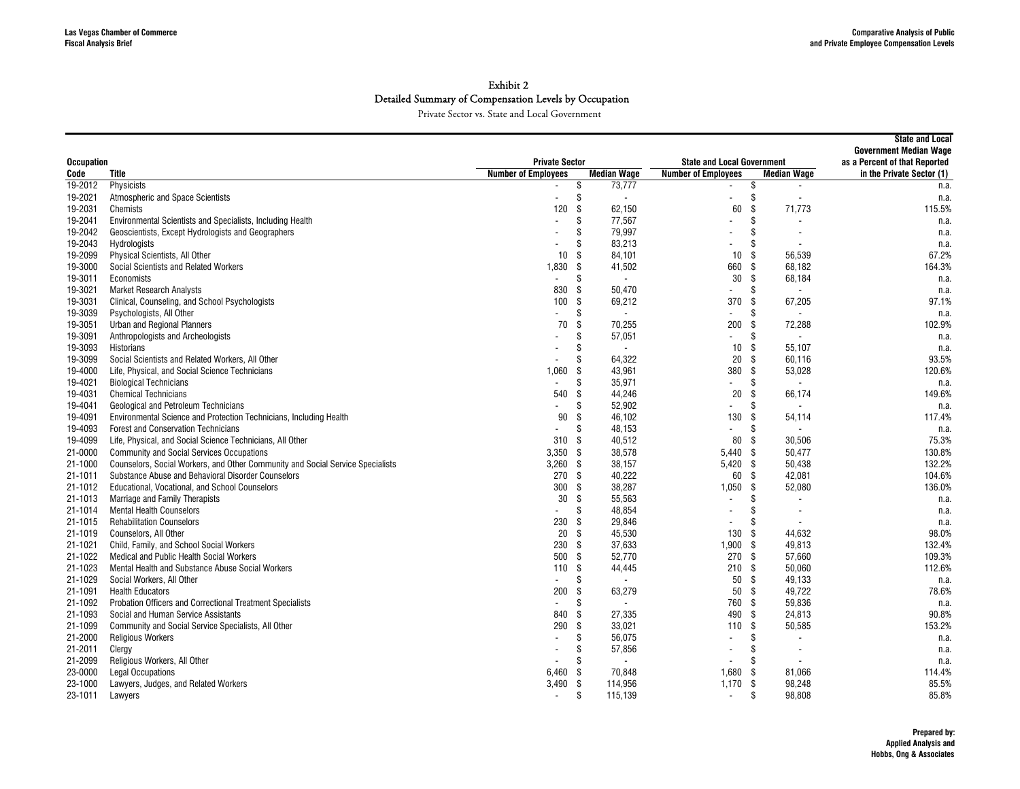|                   |                                                                                |                                                        |                                |                                              |                                | <b>State and Local</b>        |
|-------------------|--------------------------------------------------------------------------------|--------------------------------------------------------|--------------------------------|----------------------------------------------|--------------------------------|-------------------------------|
|                   |                                                                                |                                                        |                                |                                              |                                | <b>Government Median Wage</b> |
| <b>Occupation</b> |                                                                                | <b>Private Sector</b>                                  | <b>Median Wage</b>             | <b>State and Local Government</b>            |                                | as a Percent of that Reported |
| Code<br>19-2012   | Title<br>Physicists                                                            | <b>Number of Employees</b><br>$\overline{\phantom{a}}$ | \$<br>73,777                   | <b>Number of Employees</b><br>$\blacksquare$ | <b>Median Wage</b><br>\$       | in the Private Sector (1)     |
| 19-2021           | <b>Atmospheric and Space Scientists</b>                                        | $\overline{a}$                                         | \$<br>$\overline{\phantom{a}}$ | $\blacksquare$                               | \$                             | n.a.                          |
| 19-2031           | Chemists                                                                       | 120                                                    | \$<br>62,150                   | 60                                           | 71,773<br>\$                   | n.a.<br>115.5%                |
| 19-2041           | Environmental Scientists and Specialists, Including Health                     |                                                        | 77,567<br>\$                   | $\overline{a}$                               | \$                             |                               |
| 19-2042           | Geoscientists, Except Hydrologists and Geographers                             |                                                        | 79,997<br>\$                   |                                              | \$                             | n.a.                          |
| 19-2043           | Hydrologists                                                                   |                                                        | \$<br>83,213                   | $\overline{\phantom{a}}$                     | $\mathfrak{L}$                 | n.a.<br>n.a.                  |
| 19-2099           | Physical Scientists, All Other                                                 | 10                                                     | Ŝ.<br>84.101                   | 10                                           | 56.539<br>- \$                 | 67.2%                         |
| 19-3000           | Social Scientists and Related Workers                                          | 1,830                                                  | -\$<br>41,502                  | 660                                          | - \$<br>68,182                 | 164.3%                        |
| 19-3011           | Economists                                                                     | $\blacksquare$                                         | \$<br>$\blacksquare$           | 30                                           | -S<br>68,184                   | n.a.                          |
| 19-3021           | <b>Market Research Analysts</b>                                                | 830                                                    | 50,470<br>-\$                  |                                              | \$<br>$\overline{\phantom{a}}$ | n.a.                          |
| 19-3031           | Clinical, Counseling, and School Psychologists                                 | 100                                                    | \$<br>69,212                   | 370                                          | 67,205<br>\$                   | 97.1%                         |
| 19-3039           | Psychologists, All Other                                                       |                                                        | \$<br>$\overline{\phantom{a}}$ | $\overline{\phantom{a}}$                     | \$                             |                               |
| 19-3051           | Urban and Regional Planners                                                    | 70                                                     | \$<br>70,255                   | 200                                          | \$<br>72,288                   | n.a.<br>102.9%                |
| 19-3091           |                                                                                |                                                        | Ŝ                              | $\overline{a}$                               | Ŝ.                             |                               |
| 19-3093           | Anthropologists and Archeologists                                              |                                                        | 57,051<br>$\sim$               | 10 <sup>°</sup>                              | -S<br>55.107                   | n.a.                          |
|                   | Historians                                                                     |                                                        | \$<br>\$                       |                                              |                                | n.a.                          |
| 19-3099           | Social Scientists and Related Workers, All Other                               |                                                        | 64,322                         | 20                                           | -S<br>60.116                   | 93.5%                         |
| 19-4000           | Life, Physical, and Social Science Technicians                                 | 1,060                                                  | 43,961<br>\$                   | 380                                          | -\$<br>53,028                  | 120.6%                        |
| 19-4021           | <b>Biological Technicians</b>                                                  | $\blacksquare$                                         | \$<br>35,971                   | $\mathbf{r}$                                 | \$                             | n.a.                          |
| 19-4031           | <b>Chemical Technicians</b>                                                    | 540                                                    | 44,246<br>\$                   | 20                                           | \$<br>66,174                   | 149.6%                        |
| 19-4041           | Geological and Petroleum Technicians                                           | $\overline{a}$                                         | \$<br>52,902                   | $\overline{a}$                               | \$                             | n.a.                          |
| 19-4091           | Environmental Science and Protection Technicians, Including Health             | 90                                                     | \$<br>46.102                   | 130                                          | -\$<br>54,114                  | 117.4%                        |
| 19-4093           | <b>Forest and Conservation Technicians</b>                                     | $\overline{\phantom{a}}$                               | 48,153<br>\$                   | $\blacksquare$                               | \$                             | n.a.                          |
| 19-4099           | Life, Physical, and Social Science Technicians, All Other                      | 310                                                    | - \$<br>40,512                 | 80                                           | 30.506<br>- \$                 | 75.3%                         |
| 21-0000           | <b>Community and Social Services Occupations</b>                               | 3,350                                                  | 38,578<br>-\$                  | $5,440$ \$                                   | 50,477                         | 130.8%                        |
| 21-1000           | Counselors, Social Workers, and Other Community and Social Service Specialists | $3,260$ \$                                             | 38,157                         | 5,420 \$                                     | 50,438                         | 132.2%                        |
| 21-1011           | Substance Abuse and Behavioral Disorder Counselors                             | 270                                                    | 40,222<br>- \$                 | 60 \$                                        | 42.081                         | 104.6%                        |
| 21-1012           | Educational, Vocational, and School Counselors                                 | 300                                                    | \$<br>38,287                   | $1,050$ \$                                   | 52,080                         | 136.0%                        |
| 21-1013           | Marriage and Family Therapists                                                 | 30                                                     | \$<br>55,563                   | $\overline{\phantom{a}}$                     | \$                             | n.a.                          |
| 21-1014           | <b>Mental Health Counselors</b>                                                |                                                        | \$<br>48,854                   | $\blacksquare$                               | \$<br>$\overline{\phantom{a}}$ | n.a.                          |
| 21-1015           | <b>Rehabilitation Counselors</b>                                               | 230                                                    | -\$<br>29,846                  | $\blacksquare$                               | \$                             | n.a.                          |
| 21-1019           | Counselors, All Other                                                          | 20                                                     | \$<br>45,530                   | 130                                          | \$<br>44,632                   | 98.0%                         |
| 21-1021           | Child, Family, and School Social Workers                                       | 230                                                    | \$<br>37,633                   | $1,900$ \$                                   | 49,813                         | 132.4%                        |
| 21-1022           | Medical and Public Health Social Workers                                       | 500                                                    | Ŝ.<br>52,770                   | 270 \$                                       | 57.660                         | 109.3%                        |
| 21-1023           | Mental Health and Substance Abuse Social Workers                               | 110                                                    | \$<br>44,445                   | 210S                                         | 50,060                         | 112.6%                        |
| 21-1029           | Social Workers, All Other                                                      | $\overline{a}$                                         | \$<br>$\sim$                   | 50                                           | - \$<br>49.133                 | n.a.                          |
| 21-1091           | <b>Health Educators</b>                                                        | 200                                                    | \$<br>63,279                   | 50 \$                                        | 49,722                         | 78.6%                         |
| 21-1092           | Probation Officers and Correctional Treatment Specialists                      |                                                        | S<br>$\overline{\phantom{a}}$  | 760 \$                                       | 59.836                         | n.a.                          |
| 21-1093           | Social and Human Service Assistants                                            | 840                                                    | 27,335<br>\$                   | 490 \$                                       | 24,813                         | 90.8%                         |
| 21-1099           | Community and Social Service Specialists, All Other                            | 290                                                    | \$<br>33,021                   | 110                                          | 50,585<br>\$                   | 153.2%                        |
| 21-2000           | <b>Religious Workers</b>                                                       |                                                        | 56,075<br>\$                   | $\blacksquare$                               | \$                             | n.a.                          |
| 21-2011           | Clergy                                                                         |                                                        | \$<br>57,856                   | $\overline{\phantom{a}}$                     | \$                             | n.a.                          |
| 21-2099           | Religious Workers, All Other                                                   |                                                        | S<br>$\blacksquare$            |                                              | \$                             | n.a.                          |
| 23-0000           | <b>Legal Occupations</b>                                                       | 6,460                                                  | \$<br>70,848                   | 1,680                                        | 81,066<br>-\$                  | 114.4%                        |
| 23-1000           | Lawyers, Judges, and Related Workers                                           | 3,490                                                  | - \$<br>114,956                | $1,170$ \$                                   | 98.248                         | 85.5%                         |
| 23-1011           | Lawyers                                                                        | $\overline{\phantom{a}}$                               | \$<br>115,139                  | $\blacksquare$                               | \$<br>98.808                   | 85.8%                         |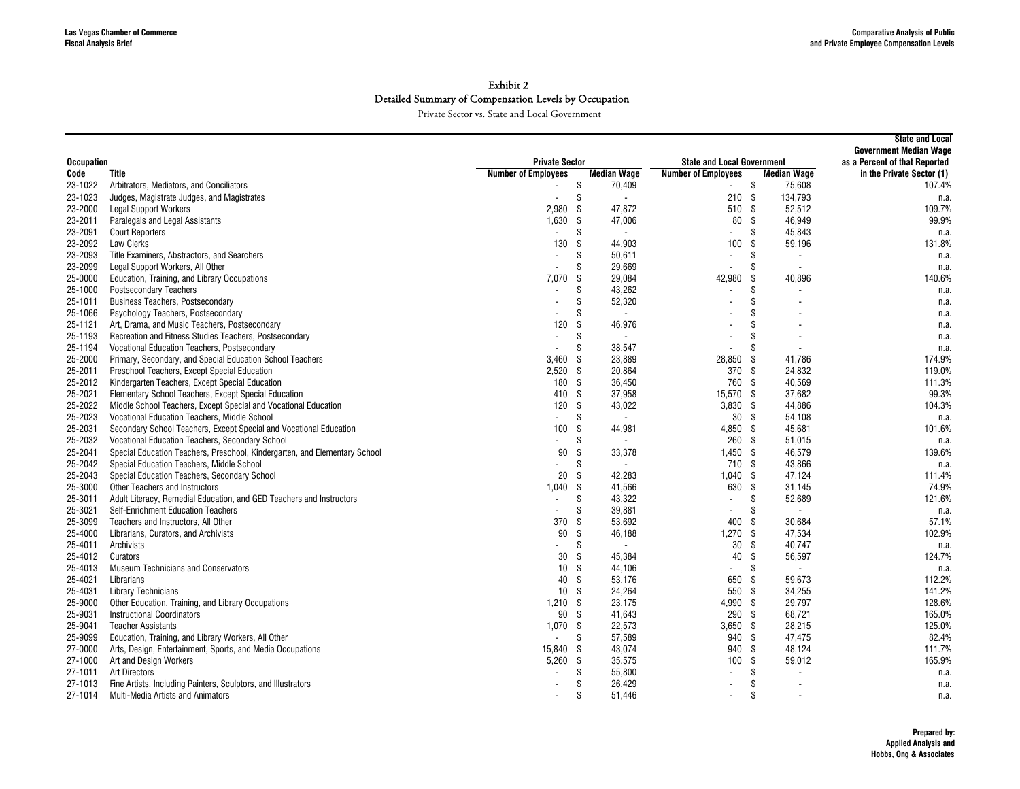| <b>Private Sector</b><br>as a Percent of that Reported<br><b>Occupation</b><br><b>State and Local Government</b><br><b>Number of Employees</b><br><b>Median Wage</b><br><b>Number of Employees</b><br><b>Median Wage</b><br>in the Private Sector (1)<br>Code<br>Title<br>23-1022<br>Arbitrators, Mediators, and Conciliators<br>70,409<br>75,608<br>107.4%<br>\$<br>\$<br>$\sim$<br>\$<br>210S<br>134,793<br>23-1023<br>Judges, Magistrate Judges, and Magistrates<br>$\overline{a}$<br>$\overline{\phantom{a}}$<br>n.a.<br>23-2000<br>2.980<br>\$<br>47,872<br>510 \$<br>52.512<br>109.7%<br><b>Legal Support Workers</b><br>99.9%<br>23-2011<br>Paralegals and Legal Assistants<br>1,630<br>-\$<br>47,006<br>80<br>\$<br>46,949<br>23-2091<br>\$<br>\$<br>45,843<br><b>Court Reporters</b><br>$\blacksquare$<br>n.a.<br>$\overline{a}$<br>$\overline{a}$<br>23-2092<br>130<br>\$<br>44,903<br>100<br>59,196<br>131.8%<br>Law Clerks<br>ς.<br>23-2093<br>Title Examiners, Abstractors, and Searchers<br>\$<br>50,611<br>Ŝ.<br>n.a.<br>$\blacksquare$<br>$\overline{\phantom{a}}$<br>\$<br>23-2099<br>Legal Support Workers, All Other<br>S<br>29,669<br>n.a.<br>$\blacksquare$<br>$\blacksquare$<br>25-0000<br>Education, Training, and Library Occupations<br>7.070<br>29,084<br>42,980<br>-\$<br>-S<br>40.896<br>140.6%<br>25-1000<br><b>Postsecondary Teachers</b><br>\$<br>43,262<br>\$<br>n.a.<br>25-1011<br><b>Business Teachers, Postsecondary</b><br>\$<br>52,320<br>\$<br>n.a.<br>25-1066<br>Psychology Teachers, Postsecondary<br>\$<br>$\blacksquare$<br>n.a.<br>25-1121<br>Art, Drama, and Music Teachers, Postsecondary<br>120<br>\$<br>46,976<br>n.a.<br>25-1193<br>Recreation and Fitness Studies Teachers, Postsecondary<br>S<br>$\blacksquare$<br>n.a.<br>25-1194<br>Vocational Education Teachers, Postsecondary<br>\$<br>38,547<br>\$<br>n.a.<br>3,460<br>\$<br>28,850<br>25-2000<br>Primary, Secondary, and Special Education School Teachers<br>23,889<br>-S<br>41,786<br>174.9%<br>25-2011<br>2,520<br>- \$<br>20,864<br>370 \$<br>24,832<br>119.0%<br>Preschool Teachers, Except Special Education<br>25-2012<br>\$<br>36,450<br>760<br>40,569<br>Kindergarten Teachers, Except Special Education<br>180<br>- \$<br>111.3%<br>- \$<br>37,958<br>15,570 \$<br>99.3%<br>25-2021<br>Elementary School Teachers, Except Special Education<br>410<br>37,682<br>25-2022<br>120<br>\$<br>43.022<br>$3.830$ \$<br>104.3%<br>Middle School Teachers, Except Special and Vocational Education<br>44.886<br>25-2023<br>Vocational Education Teachers, Middle School<br>\$<br>30 <sup>5</sup><br>54,108<br>$\sim$<br>$\blacksquare$<br>n.a.<br>25-2031<br>Secondary School Teachers, Except Special and Vocational Education<br>100<br>-\$<br>44,981<br>$4.850$ \$<br>45.681<br>101.6%<br>25-2032<br>Vocational Education Teachers, Secondary School<br>\$<br>260 \$<br>51,015<br>n.a.<br>$\overline{\phantom{a}}$<br>90<br>\$<br>33,378<br>$1,450$ \$<br>46,579<br>139.6%<br>25-2041<br>Special Education Teachers, Preschool, Kindergarten, and Elementary School<br>25-2042<br>\$<br>710 \$<br>43,866<br>Special Education Teachers, Middle School<br>$\overline{\phantom{a}}$<br>n.a.<br>20<br>Special Education Teachers, Secondary School<br>\$<br>$1,040$ \$<br>47,124<br>111.4%<br>25-2043<br>42,283<br>630 \$<br>74.9%<br>25-3000<br>Other Teachers and Instructors<br>1,040<br>\$<br>41,566<br>31,145<br>\$<br>43,322<br>52,689<br>121.6%<br>25-3011<br>Adult Literacy, Remedial Education, and GED Teachers and Instructors<br>Ŝ.<br>$\blacksquare$<br>39,881<br>25-3021<br><b>Self-Enrichment Education Teachers</b><br>\$<br>\$<br>n.a.<br>$\blacksquare$<br>25-3099<br>370<br>\$<br>53,692<br>400<br>- \$<br>57.1%<br>Teachers and Instructors, All Other<br>30,684<br>\$<br>25-4000<br>90<br>46.188<br>1.270<br>47.534<br>102.9%<br>Librarians, Curators, and Archivists<br>- \$<br>25-4011<br>Archivists<br>Ŝ<br>30 <sup>5</sup><br>40,747<br>$\overline{\phantom{a}}$<br>n.a.<br>30<br>25-4012<br>Curators<br>-\$<br>45.384<br>40<br>- \$<br>56,597<br>124.7%<br>25-4013<br><b>Museum Technicians and Conservators</b><br>10<br>\$<br>44,106<br>\$<br>$\blacksquare$<br>n.a.<br>25-4021<br>53,176<br>Librarians<br>40<br>\$<br>650<br>59,673<br>112.2%<br>-S<br>25-4031<br>10<br>\$<br>24,264<br>550 \$<br>34,255<br>141.2%<br><b>Library Technicians</b><br>25-9000<br>23,175<br>4,990 \$<br>Other Education, Training, and Library Occupations<br>1,210<br>29,797<br>128.6%<br>- \$<br>90 \$<br>290 \$<br>68,721<br>165.0%<br>25-9031<br><b>Instructional Coordinators</b><br>41,643<br><b>Teacher Assistants</b><br>22,573<br>$3,650$ \$<br>125.0%<br>25-9041<br>1.070<br>-\$<br>28,215<br>25-9099<br>Education, Training, and Library Workers, All Other<br>\$<br>57,589<br>940 \$<br>47,475<br>82.4%<br>43,074<br>940<br>48,124<br>111.7%<br>27-0000<br>Arts, Design, Entertainment, Sports, and Media Occupations<br>15,840<br>\$<br>-S<br>27-1000<br>5,260<br>\$<br>35,575<br>100<br>\$<br>59,012<br>165.9%<br>Art and Design Workers<br>55,800<br>27-1011<br>\$<br>\$<br><b>Art Directors</b><br>$\blacksquare$<br>n.a.<br>\$<br>26,429<br>\$<br>27-1013<br>Fine Artists, Including Painters, Sculptors, and Illustrators<br>n.a.<br>$\overline{\phantom{a}}$<br>51,446<br>\$<br>27-1014<br>Multi-Media Artists and Animators<br>S<br>n.a.<br>$\overline{\phantom{a}}$ |  |  |  |  | <b>State and Local</b><br><b>Government Median Wage</b> |
|--------------------------------------------------------------------------------------------------------------------------------------------------------------------------------------------------------------------------------------------------------------------------------------------------------------------------------------------------------------------------------------------------------------------------------------------------------------------------------------------------------------------------------------------------------------------------------------------------------------------------------------------------------------------------------------------------------------------------------------------------------------------------------------------------------------------------------------------------------------------------------------------------------------------------------------------------------------------------------------------------------------------------------------------------------------------------------------------------------------------------------------------------------------------------------------------------------------------------------------------------------------------------------------------------------------------------------------------------------------------------------------------------------------------------------------------------------------------------------------------------------------------------------------------------------------------------------------------------------------------------------------------------------------------------------------------------------------------------------------------------------------------------------------------------------------------------------------------------------------------------------------------------------------------------------------------------------------------------------------------------------------------------------------------------------------------------------------------------------------------------------------------------------------------------------------------------------------------------------------------------------------------------------------------------------------------------------------------------------------------------------------------------------------------------------------------------------------------------------------------------------------------------------------------------------------------------------------------------------------------------------------------------------------------------------------------------------------------------------------------------------------------------------------------------------------------------------------------------------------------------------------------------------------------------------------------------------------------------------------------------------------------------------------------------------------------------------------------------------------------------------------------------------------------------------------------------------------------------------------------------------------------------------------------------------------------------------------------------------------------------------------------------------------------------------------------------------------------------------------------------------------------------------------------------------------------------------------------------------------------------------------------------------------------------------------------------------------------------------------------------------------------------------------------------------------------------------------------------------------------------------------------------------------------------------------------------------------------------------------------------------------------------------------------------------------------------------------------------------------------------------------------------------------------------------------------------------------------------------------------------------------------------------------------------------------------------------------------------------------------------------------------------------------------------------------------------------------------------------------------------------------------------------------------------------------------------------------------------------------------------------------------------------------------------------------------------------------------------------------------------------------------------------------------------------------------------------------------------------------------------------------------------------------------------------------------------------------------------------------------------------------------------------------------------------------------------------------------------------------------------------------------------------------------------------------------------------------------------------------------------------------------------------------------------------------------------------------------------------------------------------------------------------------|--|--|--|--|---------------------------------------------------------|
|                                                                                                                                                                                                                                                                                                                                                                                                                                                                                                                                                                                                                                                                                                                                                                                                                                                                                                                                                                                                                                                                                                                                                                                                                                                                                                                                                                                                                                                                                                                                                                                                                                                                                                                                                                                                                                                                                                                                                                                                                                                                                                                                                                                                                                                                                                                                                                                                                                                                                                                                                                                                                                                                                                                                                                                                                                                                                                                                                                                                                                                                                                                                                                                                                                                                                                                                                                                                                                                                                                                                                                                                                                                                                                                                                                                                                                                                                                                                                                                                                                                                                                                                                                                                                                                                                                                                                                                                                                                                                                                                                                                                                                                                                                                                                                                                                                                                                                                                                                                                                                                                                                                                                                                                                                                                                                                                                                                                              |  |  |  |  |                                                         |
|                                                                                                                                                                                                                                                                                                                                                                                                                                                                                                                                                                                                                                                                                                                                                                                                                                                                                                                                                                                                                                                                                                                                                                                                                                                                                                                                                                                                                                                                                                                                                                                                                                                                                                                                                                                                                                                                                                                                                                                                                                                                                                                                                                                                                                                                                                                                                                                                                                                                                                                                                                                                                                                                                                                                                                                                                                                                                                                                                                                                                                                                                                                                                                                                                                                                                                                                                                                                                                                                                                                                                                                                                                                                                                                                                                                                                                                                                                                                                                                                                                                                                                                                                                                                                                                                                                                                                                                                                                                                                                                                                                                                                                                                                                                                                                                                                                                                                                                                                                                                                                                                                                                                                                                                                                                                                                                                                                                                              |  |  |  |  |                                                         |
|                                                                                                                                                                                                                                                                                                                                                                                                                                                                                                                                                                                                                                                                                                                                                                                                                                                                                                                                                                                                                                                                                                                                                                                                                                                                                                                                                                                                                                                                                                                                                                                                                                                                                                                                                                                                                                                                                                                                                                                                                                                                                                                                                                                                                                                                                                                                                                                                                                                                                                                                                                                                                                                                                                                                                                                                                                                                                                                                                                                                                                                                                                                                                                                                                                                                                                                                                                                                                                                                                                                                                                                                                                                                                                                                                                                                                                                                                                                                                                                                                                                                                                                                                                                                                                                                                                                                                                                                                                                                                                                                                                                                                                                                                                                                                                                                                                                                                                                                                                                                                                                                                                                                                                                                                                                                                                                                                                                                              |  |  |  |  |                                                         |
|                                                                                                                                                                                                                                                                                                                                                                                                                                                                                                                                                                                                                                                                                                                                                                                                                                                                                                                                                                                                                                                                                                                                                                                                                                                                                                                                                                                                                                                                                                                                                                                                                                                                                                                                                                                                                                                                                                                                                                                                                                                                                                                                                                                                                                                                                                                                                                                                                                                                                                                                                                                                                                                                                                                                                                                                                                                                                                                                                                                                                                                                                                                                                                                                                                                                                                                                                                                                                                                                                                                                                                                                                                                                                                                                                                                                                                                                                                                                                                                                                                                                                                                                                                                                                                                                                                                                                                                                                                                                                                                                                                                                                                                                                                                                                                                                                                                                                                                                                                                                                                                                                                                                                                                                                                                                                                                                                                                                              |  |  |  |  |                                                         |
|                                                                                                                                                                                                                                                                                                                                                                                                                                                                                                                                                                                                                                                                                                                                                                                                                                                                                                                                                                                                                                                                                                                                                                                                                                                                                                                                                                                                                                                                                                                                                                                                                                                                                                                                                                                                                                                                                                                                                                                                                                                                                                                                                                                                                                                                                                                                                                                                                                                                                                                                                                                                                                                                                                                                                                                                                                                                                                                                                                                                                                                                                                                                                                                                                                                                                                                                                                                                                                                                                                                                                                                                                                                                                                                                                                                                                                                                                                                                                                                                                                                                                                                                                                                                                                                                                                                                                                                                                                                                                                                                                                                                                                                                                                                                                                                                                                                                                                                                                                                                                                                                                                                                                                                                                                                                                                                                                                                                              |  |  |  |  |                                                         |
|                                                                                                                                                                                                                                                                                                                                                                                                                                                                                                                                                                                                                                                                                                                                                                                                                                                                                                                                                                                                                                                                                                                                                                                                                                                                                                                                                                                                                                                                                                                                                                                                                                                                                                                                                                                                                                                                                                                                                                                                                                                                                                                                                                                                                                                                                                                                                                                                                                                                                                                                                                                                                                                                                                                                                                                                                                                                                                                                                                                                                                                                                                                                                                                                                                                                                                                                                                                                                                                                                                                                                                                                                                                                                                                                                                                                                                                                                                                                                                                                                                                                                                                                                                                                                                                                                                                                                                                                                                                                                                                                                                                                                                                                                                                                                                                                                                                                                                                                                                                                                                                                                                                                                                                                                                                                                                                                                                                                              |  |  |  |  |                                                         |
|                                                                                                                                                                                                                                                                                                                                                                                                                                                                                                                                                                                                                                                                                                                                                                                                                                                                                                                                                                                                                                                                                                                                                                                                                                                                                                                                                                                                                                                                                                                                                                                                                                                                                                                                                                                                                                                                                                                                                                                                                                                                                                                                                                                                                                                                                                                                                                                                                                                                                                                                                                                                                                                                                                                                                                                                                                                                                                                                                                                                                                                                                                                                                                                                                                                                                                                                                                                                                                                                                                                                                                                                                                                                                                                                                                                                                                                                                                                                                                                                                                                                                                                                                                                                                                                                                                                                                                                                                                                                                                                                                                                                                                                                                                                                                                                                                                                                                                                                                                                                                                                                                                                                                                                                                                                                                                                                                                                                              |  |  |  |  |                                                         |
|                                                                                                                                                                                                                                                                                                                                                                                                                                                                                                                                                                                                                                                                                                                                                                                                                                                                                                                                                                                                                                                                                                                                                                                                                                                                                                                                                                                                                                                                                                                                                                                                                                                                                                                                                                                                                                                                                                                                                                                                                                                                                                                                                                                                                                                                                                                                                                                                                                                                                                                                                                                                                                                                                                                                                                                                                                                                                                                                                                                                                                                                                                                                                                                                                                                                                                                                                                                                                                                                                                                                                                                                                                                                                                                                                                                                                                                                                                                                                                                                                                                                                                                                                                                                                                                                                                                                                                                                                                                                                                                                                                                                                                                                                                                                                                                                                                                                                                                                                                                                                                                                                                                                                                                                                                                                                                                                                                                                              |  |  |  |  |                                                         |
|                                                                                                                                                                                                                                                                                                                                                                                                                                                                                                                                                                                                                                                                                                                                                                                                                                                                                                                                                                                                                                                                                                                                                                                                                                                                                                                                                                                                                                                                                                                                                                                                                                                                                                                                                                                                                                                                                                                                                                                                                                                                                                                                                                                                                                                                                                                                                                                                                                                                                                                                                                                                                                                                                                                                                                                                                                                                                                                                                                                                                                                                                                                                                                                                                                                                                                                                                                                                                                                                                                                                                                                                                                                                                                                                                                                                                                                                                                                                                                                                                                                                                                                                                                                                                                                                                                                                                                                                                                                                                                                                                                                                                                                                                                                                                                                                                                                                                                                                                                                                                                                                                                                                                                                                                                                                                                                                                                                                              |  |  |  |  |                                                         |
|                                                                                                                                                                                                                                                                                                                                                                                                                                                                                                                                                                                                                                                                                                                                                                                                                                                                                                                                                                                                                                                                                                                                                                                                                                                                                                                                                                                                                                                                                                                                                                                                                                                                                                                                                                                                                                                                                                                                                                                                                                                                                                                                                                                                                                                                                                                                                                                                                                                                                                                                                                                                                                                                                                                                                                                                                                                                                                                                                                                                                                                                                                                                                                                                                                                                                                                                                                                                                                                                                                                                                                                                                                                                                                                                                                                                                                                                                                                                                                                                                                                                                                                                                                                                                                                                                                                                                                                                                                                                                                                                                                                                                                                                                                                                                                                                                                                                                                                                                                                                                                                                                                                                                                                                                                                                                                                                                                                                              |  |  |  |  |                                                         |
|                                                                                                                                                                                                                                                                                                                                                                                                                                                                                                                                                                                                                                                                                                                                                                                                                                                                                                                                                                                                                                                                                                                                                                                                                                                                                                                                                                                                                                                                                                                                                                                                                                                                                                                                                                                                                                                                                                                                                                                                                                                                                                                                                                                                                                                                                                                                                                                                                                                                                                                                                                                                                                                                                                                                                                                                                                                                                                                                                                                                                                                                                                                                                                                                                                                                                                                                                                                                                                                                                                                                                                                                                                                                                                                                                                                                                                                                                                                                                                                                                                                                                                                                                                                                                                                                                                                                                                                                                                                                                                                                                                                                                                                                                                                                                                                                                                                                                                                                                                                                                                                                                                                                                                                                                                                                                                                                                                                                              |  |  |  |  |                                                         |
|                                                                                                                                                                                                                                                                                                                                                                                                                                                                                                                                                                                                                                                                                                                                                                                                                                                                                                                                                                                                                                                                                                                                                                                                                                                                                                                                                                                                                                                                                                                                                                                                                                                                                                                                                                                                                                                                                                                                                                                                                                                                                                                                                                                                                                                                                                                                                                                                                                                                                                                                                                                                                                                                                                                                                                                                                                                                                                                                                                                                                                                                                                                                                                                                                                                                                                                                                                                                                                                                                                                                                                                                                                                                                                                                                                                                                                                                                                                                                                                                                                                                                                                                                                                                                                                                                                                                                                                                                                                                                                                                                                                                                                                                                                                                                                                                                                                                                                                                                                                                                                                                                                                                                                                                                                                                                                                                                                                                              |  |  |  |  |                                                         |
|                                                                                                                                                                                                                                                                                                                                                                                                                                                                                                                                                                                                                                                                                                                                                                                                                                                                                                                                                                                                                                                                                                                                                                                                                                                                                                                                                                                                                                                                                                                                                                                                                                                                                                                                                                                                                                                                                                                                                                                                                                                                                                                                                                                                                                                                                                                                                                                                                                                                                                                                                                                                                                                                                                                                                                                                                                                                                                                                                                                                                                                                                                                                                                                                                                                                                                                                                                                                                                                                                                                                                                                                                                                                                                                                                                                                                                                                                                                                                                                                                                                                                                                                                                                                                                                                                                                                                                                                                                                                                                                                                                                                                                                                                                                                                                                                                                                                                                                                                                                                                                                                                                                                                                                                                                                                                                                                                                                                              |  |  |  |  |                                                         |
|                                                                                                                                                                                                                                                                                                                                                                                                                                                                                                                                                                                                                                                                                                                                                                                                                                                                                                                                                                                                                                                                                                                                                                                                                                                                                                                                                                                                                                                                                                                                                                                                                                                                                                                                                                                                                                                                                                                                                                                                                                                                                                                                                                                                                                                                                                                                                                                                                                                                                                                                                                                                                                                                                                                                                                                                                                                                                                                                                                                                                                                                                                                                                                                                                                                                                                                                                                                                                                                                                                                                                                                                                                                                                                                                                                                                                                                                                                                                                                                                                                                                                                                                                                                                                                                                                                                                                                                                                                                                                                                                                                                                                                                                                                                                                                                                                                                                                                                                                                                                                                                                                                                                                                                                                                                                                                                                                                                                              |  |  |  |  |                                                         |
|                                                                                                                                                                                                                                                                                                                                                                                                                                                                                                                                                                                                                                                                                                                                                                                                                                                                                                                                                                                                                                                                                                                                                                                                                                                                                                                                                                                                                                                                                                                                                                                                                                                                                                                                                                                                                                                                                                                                                                                                                                                                                                                                                                                                                                                                                                                                                                                                                                                                                                                                                                                                                                                                                                                                                                                                                                                                                                                                                                                                                                                                                                                                                                                                                                                                                                                                                                                                                                                                                                                                                                                                                                                                                                                                                                                                                                                                                                                                                                                                                                                                                                                                                                                                                                                                                                                                                                                                                                                                                                                                                                                                                                                                                                                                                                                                                                                                                                                                                                                                                                                                                                                                                                                                                                                                                                                                                                                                              |  |  |  |  |                                                         |
|                                                                                                                                                                                                                                                                                                                                                                                                                                                                                                                                                                                                                                                                                                                                                                                                                                                                                                                                                                                                                                                                                                                                                                                                                                                                                                                                                                                                                                                                                                                                                                                                                                                                                                                                                                                                                                                                                                                                                                                                                                                                                                                                                                                                                                                                                                                                                                                                                                                                                                                                                                                                                                                                                                                                                                                                                                                                                                                                                                                                                                                                                                                                                                                                                                                                                                                                                                                                                                                                                                                                                                                                                                                                                                                                                                                                                                                                                                                                                                                                                                                                                                                                                                                                                                                                                                                                                                                                                                                                                                                                                                                                                                                                                                                                                                                                                                                                                                                                                                                                                                                                                                                                                                                                                                                                                                                                                                                                              |  |  |  |  |                                                         |
|                                                                                                                                                                                                                                                                                                                                                                                                                                                                                                                                                                                                                                                                                                                                                                                                                                                                                                                                                                                                                                                                                                                                                                                                                                                                                                                                                                                                                                                                                                                                                                                                                                                                                                                                                                                                                                                                                                                                                                                                                                                                                                                                                                                                                                                                                                                                                                                                                                                                                                                                                                                                                                                                                                                                                                                                                                                                                                                                                                                                                                                                                                                                                                                                                                                                                                                                                                                                                                                                                                                                                                                                                                                                                                                                                                                                                                                                                                                                                                                                                                                                                                                                                                                                                                                                                                                                                                                                                                                                                                                                                                                                                                                                                                                                                                                                                                                                                                                                                                                                                                                                                                                                                                                                                                                                                                                                                                                                              |  |  |  |  |                                                         |
|                                                                                                                                                                                                                                                                                                                                                                                                                                                                                                                                                                                                                                                                                                                                                                                                                                                                                                                                                                                                                                                                                                                                                                                                                                                                                                                                                                                                                                                                                                                                                                                                                                                                                                                                                                                                                                                                                                                                                                                                                                                                                                                                                                                                                                                                                                                                                                                                                                                                                                                                                                                                                                                                                                                                                                                                                                                                                                                                                                                                                                                                                                                                                                                                                                                                                                                                                                                                                                                                                                                                                                                                                                                                                                                                                                                                                                                                                                                                                                                                                                                                                                                                                                                                                                                                                                                                                                                                                                                                                                                                                                                                                                                                                                                                                                                                                                                                                                                                                                                                                                                                                                                                                                                                                                                                                                                                                                                                              |  |  |  |  |                                                         |
|                                                                                                                                                                                                                                                                                                                                                                                                                                                                                                                                                                                                                                                                                                                                                                                                                                                                                                                                                                                                                                                                                                                                                                                                                                                                                                                                                                                                                                                                                                                                                                                                                                                                                                                                                                                                                                                                                                                                                                                                                                                                                                                                                                                                                                                                                                                                                                                                                                                                                                                                                                                                                                                                                                                                                                                                                                                                                                                                                                                                                                                                                                                                                                                                                                                                                                                                                                                                                                                                                                                                                                                                                                                                                                                                                                                                                                                                                                                                                                                                                                                                                                                                                                                                                                                                                                                                                                                                                                                                                                                                                                                                                                                                                                                                                                                                                                                                                                                                                                                                                                                                                                                                                                                                                                                                                                                                                                                                              |  |  |  |  |                                                         |
|                                                                                                                                                                                                                                                                                                                                                                                                                                                                                                                                                                                                                                                                                                                                                                                                                                                                                                                                                                                                                                                                                                                                                                                                                                                                                                                                                                                                                                                                                                                                                                                                                                                                                                                                                                                                                                                                                                                                                                                                                                                                                                                                                                                                                                                                                                                                                                                                                                                                                                                                                                                                                                                                                                                                                                                                                                                                                                                                                                                                                                                                                                                                                                                                                                                                                                                                                                                                                                                                                                                                                                                                                                                                                                                                                                                                                                                                                                                                                                                                                                                                                                                                                                                                                                                                                                                                                                                                                                                                                                                                                                                                                                                                                                                                                                                                                                                                                                                                                                                                                                                                                                                                                                                                                                                                                                                                                                                                              |  |  |  |  |                                                         |
|                                                                                                                                                                                                                                                                                                                                                                                                                                                                                                                                                                                                                                                                                                                                                                                                                                                                                                                                                                                                                                                                                                                                                                                                                                                                                                                                                                                                                                                                                                                                                                                                                                                                                                                                                                                                                                                                                                                                                                                                                                                                                                                                                                                                                                                                                                                                                                                                                                                                                                                                                                                                                                                                                                                                                                                                                                                                                                                                                                                                                                                                                                                                                                                                                                                                                                                                                                                                                                                                                                                                                                                                                                                                                                                                                                                                                                                                                                                                                                                                                                                                                                                                                                                                                                                                                                                                                                                                                                                                                                                                                                                                                                                                                                                                                                                                                                                                                                                                                                                                                                                                                                                                                                                                                                                                                                                                                                                                              |  |  |  |  |                                                         |
|                                                                                                                                                                                                                                                                                                                                                                                                                                                                                                                                                                                                                                                                                                                                                                                                                                                                                                                                                                                                                                                                                                                                                                                                                                                                                                                                                                                                                                                                                                                                                                                                                                                                                                                                                                                                                                                                                                                                                                                                                                                                                                                                                                                                                                                                                                                                                                                                                                                                                                                                                                                                                                                                                                                                                                                                                                                                                                                                                                                                                                                                                                                                                                                                                                                                                                                                                                                                                                                                                                                                                                                                                                                                                                                                                                                                                                                                                                                                                                                                                                                                                                                                                                                                                                                                                                                                                                                                                                                                                                                                                                                                                                                                                                                                                                                                                                                                                                                                                                                                                                                                                                                                                                                                                                                                                                                                                                                                              |  |  |  |  |                                                         |
|                                                                                                                                                                                                                                                                                                                                                                                                                                                                                                                                                                                                                                                                                                                                                                                                                                                                                                                                                                                                                                                                                                                                                                                                                                                                                                                                                                                                                                                                                                                                                                                                                                                                                                                                                                                                                                                                                                                                                                                                                                                                                                                                                                                                                                                                                                                                                                                                                                                                                                                                                                                                                                                                                                                                                                                                                                                                                                                                                                                                                                                                                                                                                                                                                                                                                                                                                                                                                                                                                                                                                                                                                                                                                                                                                                                                                                                                                                                                                                                                                                                                                                                                                                                                                                                                                                                                                                                                                                                                                                                                                                                                                                                                                                                                                                                                                                                                                                                                                                                                                                                                                                                                                                                                                                                                                                                                                                                                              |  |  |  |  |                                                         |
|                                                                                                                                                                                                                                                                                                                                                                                                                                                                                                                                                                                                                                                                                                                                                                                                                                                                                                                                                                                                                                                                                                                                                                                                                                                                                                                                                                                                                                                                                                                                                                                                                                                                                                                                                                                                                                                                                                                                                                                                                                                                                                                                                                                                                                                                                                                                                                                                                                                                                                                                                                                                                                                                                                                                                                                                                                                                                                                                                                                                                                                                                                                                                                                                                                                                                                                                                                                                                                                                                                                                                                                                                                                                                                                                                                                                                                                                                                                                                                                                                                                                                                                                                                                                                                                                                                                                                                                                                                                                                                                                                                                                                                                                                                                                                                                                                                                                                                                                                                                                                                                                                                                                                                                                                                                                                                                                                                                                              |  |  |  |  |                                                         |
|                                                                                                                                                                                                                                                                                                                                                                                                                                                                                                                                                                                                                                                                                                                                                                                                                                                                                                                                                                                                                                                                                                                                                                                                                                                                                                                                                                                                                                                                                                                                                                                                                                                                                                                                                                                                                                                                                                                                                                                                                                                                                                                                                                                                                                                                                                                                                                                                                                                                                                                                                                                                                                                                                                                                                                                                                                                                                                                                                                                                                                                                                                                                                                                                                                                                                                                                                                                                                                                                                                                                                                                                                                                                                                                                                                                                                                                                                                                                                                                                                                                                                                                                                                                                                                                                                                                                                                                                                                                                                                                                                                                                                                                                                                                                                                                                                                                                                                                                                                                                                                                                                                                                                                                                                                                                                                                                                                                                              |  |  |  |  |                                                         |
|                                                                                                                                                                                                                                                                                                                                                                                                                                                                                                                                                                                                                                                                                                                                                                                                                                                                                                                                                                                                                                                                                                                                                                                                                                                                                                                                                                                                                                                                                                                                                                                                                                                                                                                                                                                                                                                                                                                                                                                                                                                                                                                                                                                                                                                                                                                                                                                                                                                                                                                                                                                                                                                                                                                                                                                                                                                                                                                                                                                                                                                                                                                                                                                                                                                                                                                                                                                                                                                                                                                                                                                                                                                                                                                                                                                                                                                                                                                                                                                                                                                                                                                                                                                                                                                                                                                                                                                                                                                                                                                                                                                                                                                                                                                                                                                                                                                                                                                                                                                                                                                                                                                                                                                                                                                                                                                                                                                                              |  |  |  |  |                                                         |
|                                                                                                                                                                                                                                                                                                                                                                                                                                                                                                                                                                                                                                                                                                                                                                                                                                                                                                                                                                                                                                                                                                                                                                                                                                                                                                                                                                                                                                                                                                                                                                                                                                                                                                                                                                                                                                                                                                                                                                                                                                                                                                                                                                                                                                                                                                                                                                                                                                                                                                                                                                                                                                                                                                                                                                                                                                                                                                                                                                                                                                                                                                                                                                                                                                                                                                                                                                                                                                                                                                                                                                                                                                                                                                                                                                                                                                                                                                                                                                                                                                                                                                                                                                                                                                                                                                                                                                                                                                                                                                                                                                                                                                                                                                                                                                                                                                                                                                                                                                                                                                                                                                                                                                                                                                                                                                                                                                                                              |  |  |  |  |                                                         |
|                                                                                                                                                                                                                                                                                                                                                                                                                                                                                                                                                                                                                                                                                                                                                                                                                                                                                                                                                                                                                                                                                                                                                                                                                                                                                                                                                                                                                                                                                                                                                                                                                                                                                                                                                                                                                                                                                                                                                                                                                                                                                                                                                                                                                                                                                                                                                                                                                                                                                                                                                                                                                                                                                                                                                                                                                                                                                                                                                                                                                                                                                                                                                                                                                                                                                                                                                                                                                                                                                                                                                                                                                                                                                                                                                                                                                                                                                                                                                                                                                                                                                                                                                                                                                                                                                                                                                                                                                                                                                                                                                                                                                                                                                                                                                                                                                                                                                                                                                                                                                                                                                                                                                                                                                                                                                                                                                                                                              |  |  |  |  |                                                         |
|                                                                                                                                                                                                                                                                                                                                                                                                                                                                                                                                                                                                                                                                                                                                                                                                                                                                                                                                                                                                                                                                                                                                                                                                                                                                                                                                                                                                                                                                                                                                                                                                                                                                                                                                                                                                                                                                                                                                                                                                                                                                                                                                                                                                                                                                                                                                                                                                                                                                                                                                                                                                                                                                                                                                                                                                                                                                                                                                                                                                                                                                                                                                                                                                                                                                                                                                                                                                                                                                                                                                                                                                                                                                                                                                                                                                                                                                                                                                                                                                                                                                                                                                                                                                                                                                                                                                                                                                                                                                                                                                                                                                                                                                                                                                                                                                                                                                                                                                                                                                                                                                                                                                                                                                                                                                                                                                                                                                              |  |  |  |  |                                                         |
|                                                                                                                                                                                                                                                                                                                                                                                                                                                                                                                                                                                                                                                                                                                                                                                                                                                                                                                                                                                                                                                                                                                                                                                                                                                                                                                                                                                                                                                                                                                                                                                                                                                                                                                                                                                                                                                                                                                                                                                                                                                                                                                                                                                                                                                                                                                                                                                                                                                                                                                                                                                                                                                                                                                                                                                                                                                                                                                                                                                                                                                                                                                                                                                                                                                                                                                                                                                                                                                                                                                                                                                                                                                                                                                                                                                                                                                                                                                                                                                                                                                                                                                                                                                                                                                                                                                                                                                                                                                                                                                                                                                                                                                                                                                                                                                                                                                                                                                                                                                                                                                                                                                                                                                                                                                                                                                                                                                                              |  |  |  |  |                                                         |
|                                                                                                                                                                                                                                                                                                                                                                                                                                                                                                                                                                                                                                                                                                                                                                                                                                                                                                                                                                                                                                                                                                                                                                                                                                                                                                                                                                                                                                                                                                                                                                                                                                                                                                                                                                                                                                                                                                                                                                                                                                                                                                                                                                                                                                                                                                                                                                                                                                                                                                                                                                                                                                                                                                                                                                                                                                                                                                                                                                                                                                                                                                                                                                                                                                                                                                                                                                                                                                                                                                                                                                                                                                                                                                                                                                                                                                                                                                                                                                                                                                                                                                                                                                                                                                                                                                                                                                                                                                                                                                                                                                                                                                                                                                                                                                                                                                                                                                                                                                                                                                                                                                                                                                                                                                                                                                                                                                                                              |  |  |  |  |                                                         |
|                                                                                                                                                                                                                                                                                                                                                                                                                                                                                                                                                                                                                                                                                                                                                                                                                                                                                                                                                                                                                                                                                                                                                                                                                                                                                                                                                                                                                                                                                                                                                                                                                                                                                                                                                                                                                                                                                                                                                                                                                                                                                                                                                                                                                                                                                                                                                                                                                                                                                                                                                                                                                                                                                                                                                                                                                                                                                                                                                                                                                                                                                                                                                                                                                                                                                                                                                                                                                                                                                                                                                                                                                                                                                                                                                                                                                                                                                                                                                                                                                                                                                                                                                                                                                                                                                                                                                                                                                                                                                                                                                                                                                                                                                                                                                                                                                                                                                                                                                                                                                                                                                                                                                                                                                                                                                                                                                                                                              |  |  |  |  |                                                         |
|                                                                                                                                                                                                                                                                                                                                                                                                                                                                                                                                                                                                                                                                                                                                                                                                                                                                                                                                                                                                                                                                                                                                                                                                                                                                                                                                                                                                                                                                                                                                                                                                                                                                                                                                                                                                                                                                                                                                                                                                                                                                                                                                                                                                                                                                                                                                                                                                                                                                                                                                                                                                                                                                                                                                                                                                                                                                                                                                                                                                                                                                                                                                                                                                                                                                                                                                                                                                                                                                                                                                                                                                                                                                                                                                                                                                                                                                                                                                                                                                                                                                                                                                                                                                                                                                                                                                                                                                                                                                                                                                                                                                                                                                                                                                                                                                                                                                                                                                                                                                                                                                                                                                                                                                                                                                                                                                                                                                              |  |  |  |  |                                                         |
|                                                                                                                                                                                                                                                                                                                                                                                                                                                                                                                                                                                                                                                                                                                                                                                                                                                                                                                                                                                                                                                                                                                                                                                                                                                                                                                                                                                                                                                                                                                                                                                                                                                                                                                                                                                                                                                                                                                                                                                                                                                                                                                                                                                                                                                                                                                                                                                                                                                                                                                                                                                                                                                                                                                                                                                                                                                                                                                                                                                                                                                                                                                                                                                                                                                                                                                                                                                                                                                                                                                                                                                                                                                                                                                                                                                                                                                                                                                                                                                                                                                                                                                                                                                                                                                                                                                                                                                                                                                                                                                                                                                                                                                                                                                                                                                                                                                                                                                                                                                                                                                                                                                                                                                                                                                                                                                                                                                                              |  |  |  |  |                                                         |
|                                                                                                                                                                                                                                                                                                                                                                                                                                                                                                                                                                                                                                                                                                                                                                                                                                                                                                                                                                                                                                                                                                                                                                                                                                                                                                                                                                                                                                                                                                                                                                                                                                                                                                                                                                                                                                                                                                                                                                                                                                                                                                                                                                                                                                                                                                                                                                                                                                                                                                                                                                                                                                                                                                                                                                                                                                                                                                                                                                                                                                                                                                                                                                                                                                                                                                                                                                                                                                                                                                                                                                                                                                                                                                                                                                                                                                                                                                                                                                                                                                                                                                                                                                                                                                                                                                                                                                                                                                                                                                                                                                                                                                                                                                                                                                                                                                                                                                                                                                                                                                                                                                                                                                                                                                                                                                                                                                                                              |  |  |  |  |                                                         |
|                                                                                                                                                                                                                                                                                                                                                                                                                                                                                                                                                                                                                                                                                                                                                                                                                                                                                                                                                                                                                                                                                                                                                                                                                                                                                                                                                                                                                                                                                                                                                                                                                                                                                                                                                                                                                                                                                                                                                                                                                                                                                                                                                                                                                                                                                                                                                                                                                                                                                                                                                                                                                                                                                                                                                                                                                                                                                                                                                                                                                                                                                                                                                                                                                                                                                                                                                                                                                                                                                                                                                                                                                                                                                                                                                                                                                                                                                                                                                                                                                                                                                                                                                                                                                                                                                                                                                                                                                                                                                                                                                                                                                                                                                                                                                                                                                                                                                                                                                                                                                                                                                                                                                                                                                                                                                                                                                                                                              |  |  |  |  |                                                         |
|                                                                                                                                                                                                                                                                                                                                                                                                                                                                                                                                                                                                                                                                                                                                                                                                                                                                                                                                                                                                                                                                                                                                                                                                                                                                                                                                                                                                                                                                                                                                                                                                                                                                                                                                                                                                                                                                                                                                                                                                                                                                                                                                                                                                                                                                                                                                                                                                                                                                                                                                                                                                                                                                                                                                                                                                                                                                                                                                                                                                                                                                                                                                                                                                                                                                                                                                                                                                                                                                                                                                                                                                                                                                                                                                                                                                                                                                                                                                                                                                                                                                                                                                                                                                                                                                                                                                                                                                                                                                                                                                                                                                                                                                                                                                                                                                                                                                                                                                                                                                                                                                                                                                                                                                                                                                                                                                                                                                              |  |  |  |  |                                                         |
|                                                                                                                                                                                                                                                                                                                                                                                                                                                                                                                                                                                                                                                                                                                                                                                                                                                                                                                                                                                                                                                                                                                                                                                                                                                                                                                                                                                                                                                                                                                                                                                                                                                                                                                                                                                                                                                                                                                                                                                                                                                                                                                                                                                                                                                                                                                                                                                                                                                                                                                                                                                                                                                                                                                                                                                                                                                                                                                                                                                                                                                                                                                                                                                                                                                                                                                                                                                                                                                                                                                                                                                                                                                                                                                                                                                                                                                                                                                                                                                                                                                                                                                                                                                                                                                                                                                                                                                                                                                                                                                                                                                                                                                                                                                                                                                                                                                                                                                                                                                                                                                                                                                                                                                                                                                                                                                                                                                                              |  |  |  |  |                                                         |
|                                                                                                                                                                                                                                                                                                                                                                                                                                                                                                                                                                                                                                                                                                                                                                                                                                                                                                                                                                                                                                                                                                                                                                                                                                                                                                                                                                                                                                                                                                                                                                                                                                                                                                                                                                                                                                                                                                                                                                                                                                                                                                                                                                                                                                                                                                                                                                                                                                                                                                                                                                                                                                                                                                                                                                                                                                                                                                                                                                                                                                                                                                                                                                                                                                                                                                                                                                                                                                                                                                                                                                                                                                                                                                                                                                                                                                                                                                                                                                                                                                                                                                                                                                                                                                                                                                                                                                                                                                                                                                                                                                                                                                                                                                                                                                                                                                                                                                                                                                                                                                                                                                                                                                                                                                                                                                                                                                                                              |  |  |  |  |                                                         |
|                                                                                                                                                                                                                                                                                                                                                                                                                                                                                                                                                                                                                                                                                                                                                                                                                                                                                                                                                                                                                                                                                                                                                                                                                                                                                                                                                                                                                                                                                                                                                                                                                                                                                                                                                                                                                                                                                                                                                                                                                                                                                                                                                                                                                                                                                                                                                                                                                                                                                                                                                                                                                                                                                                                                                                                                                                                                                                                                                                                                                                                                                                                                                                                                                                                                                                                                                                                                                                                                                                                                                                                                                                                                                                                                                                                                                                                                                                                                                                                                                                                                                                                                                                                                                                                                                                                                                                                                                                                                                                                                                                                                                                                                                                                                                                                                                                                                                                                                                                                                                                                                                                                                                                                                                                                                                                                                                                                                              |  |  |  |  |                                                         |
|                                                                                                                                                                                                                                                                                                                                                                                                                                                                                                                                                                                                                                                                                                                                                                                                                                                                                                                                                                                                                                                                                                                                                                                                                                                                                                                                                                                                                                                                                                                                                                                                                                                                                                                                                                                                                                                                                                                                                                                                                                                                                                                                                                                                                                                                                                                                                                                                                                                                                                                                                                                                                                                                                                                                                                                                                                                                                                                                                                                                                                                                                                                                                                                                                                                                                                                                                                                                                                                                                                                                                                                                                                                                                                                                                                                                                                                                                                                                                                                                                                                                                                                                                                                                                                                                                                                                                                                                                                                                                                                                                                                                                                                                                                                                                                                                                                                                                                                                                                                                                                                                                                                                                                                                                                                                                                                                                                                                              |  |  |  |  |                                                         |
|                                                                                                                                                                                                                                                                                                                                                                                                                                                                                                                                                                                                                                                                                                                                                                                                                                                                                                                                                                                                                                                                                                                                                                                                                                                                                                                                                                                                                                                                                                                                                                                                                                                                                                                                                                                                                                                                                                                                                                                                                                                                                                                                                                                                                                                                                                                                                                                                                                                                                                                                                                                                                                                                                                                                                                                                                                                                                                                                                                                                                                                                                                                                                                                                                                                                                                                                                                                                                                                                                                                                                                                                                                                                                                                                                                                                                                                                                                                                                                                                                                                                                                                                                                                                                                                                                                                                                                                                                                                                                                                                                                                                                                                                                                                                                                                                                                                                                                                                                                                                                                                                                                                                                                                                                                                                                                                                                                                                              |  |  |  |  |                                                         |
|                                                                                                                                                                                                                                                                                                                                                                                                                                                                                                                                                                                                                                                                                                                                                                                                                                                                                                                                                                                                                                                                                                                                                                                                                                                                                                                                                                                                                                                                                                                                                                                                                                                                                                                                                                                                                                                                                                                                                                                                                                                                                                                                                                                                                                                                                                                                                                                                                                                                                                                                                                                                                                                                                                                                                                                                                                                                                                                                                                                                                                                                                                                                                                                                                                                                                                                                                                                                                                                                                                                                                                                                                                                                                                                                                                                                                                                                                                                                                                                                                                                                                                                                                                                                                                                                                                                                                                                                                                                                                                                                                                                                                                                                                                                                                                                                                                                                                                                                                                                                                                                                                                                                                                                                                                                                                                                                                                                                              |  |  |  |  |                                                         |
|                                                                                                                                                                                                                                                                                                                                                                                                                                                                                                                                                                                                                                                                                                                                                                                                                                                                                                                                                                                                                                                                                                                                                                                                                                                                                                                                                                                                                                                                                                                                                                                                                                                                                                                                                                                                                                                                                                                                                                                                                                                                                                                                                                                                                                                                                                                                                                                                                                                                                                                                                                                                                                                                                                                                                                                                                                                                                                                                                                                                                                                                                                                                                                                                                                                                                                                                                                                                                                                                                                                                                                                                                                                                                                                                                                                                                                                                                                                                                                                                                                                                                                                                                                                                                                                                                                                                                                                                                                                                                                                                                                                                                                                                                                                                                                                                                                                                                                                                                                                                                                                                                                                                                                                                                                                                                                                                                                                                              |  |  |  |  |                                                         |
|                                                                                                                                                                                                                                                                                                                                                                                                                                                                                                                                                                                                                                                                                                                                                                                                                                                                                                                                                                                                                                                                                                                                                                                                                                                                                                                                                                                                                                                                                                                                                                                                                                                                                                                                                                                                                                                                                                                                                                                                                                                                                                                                                                                                                                                                                                                                                                                                                                                                                                                                                                                                                                                                                                                                                                                                                                                                                                                                                                                                                                                                                                                                                                                                                                                                                                                                                                                                                                                                                                                                                                                                                                                                                                                                                                                                                                                                                                                                                                                                                                                                                                                                                                                                                                                                                                                                                                                                                                                                                                                                                                                                                                                                                                                                                                                                                                                                                                                                                                                                                                                                                                                                                                                                                                                                                                                                                                                                              |  |  |  |  |                                                         |
|                                                                                                                                                                                                                                                                                                                                                                                                                                                                                                                                                                                                                                                                                                                                                                                                                                                                                                                                                                                                                                                                                                                                                                                                                                                                                                                                                                                                                                                                                                                                                                                                                                                                                                                                                                                                                                                                                                                                                                                                                                                                                                                                                                                                                                                                                                                                                                                                                                                                                                                                                                                                                                                                                                                                                                                                                                                                                                                                                                                                                                                                                                                                                                                                                                                                                                                                                                                                                                                                                                                                                                                                                                                                                                                                                                                                                                                                                                                                                                                                                                                                                                                                                                                                                                                                                                                                                                                                                                                                                                                                                                                                                                                                                                                                                                                                                                                                                                                                                                                                                                                                                                                                                                                                                                                                                                                                                                                                              |  |  |  |  |                                                         |
|                                                                                                                                                                                                                                                                                                                                                                                                                                                                                                                                                                                                                                                                                                                                                                                                                                                                                                                                                                                                                                                                                                                                                                                                                                                                                                                                                                                                                                                                                                                                                                                                                                                                                                                                                                                                                                                                                                                                                                                                                                                                                                                                                                                                                                                                                                                                                                                                                                                                                                                                                                                                                                                                                                                                                                                                                                                                                                                                                                                                                                                                                                                                                                                                                                                                                                                                                                                                                                                                                                                                                                                                                                                                                                                                                                                                                                                                                                                                                                                                                                                                                                                                                                                                                                                                                                                                                                                                                                                                                                                                                                                                                                                                                                                                                                                                                                                                                                                                                                                                                                                                                                                                                                                                                                                                                                                                                                                                              |  |  |  |  |                                                         |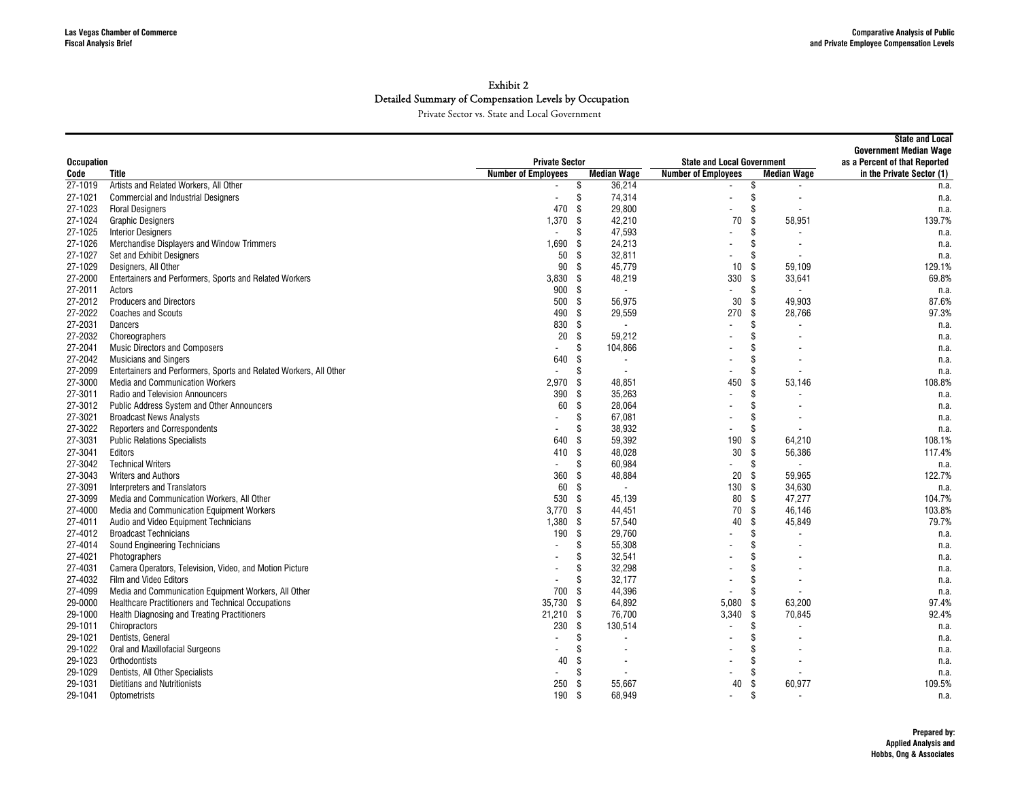|                   |                                                                    |                            |                                  |                                   |                                | <b>State and Local</b><br><b>Government Median Wage</b> |
|-------------------|--------------------------------------------------------------------|----------------------------|----------------------------------|-----------------------------------|--------------------------------|---------------------------------------------------------|
| <b>Occupation</b> |                                                                    | <b>Private Sector</b>      |                                  | <b>State and Local Government</b> | as a Percent of that Reported  |                                                         |
| Code              | Title                                                              | <b>Number of Employees</b> | <b>Median Wage</b>               | <b>Number of Employees</b>        | <b>Median Wage</b>             | in the Private Sector (1)                               |
| 27-1019           | Artists and Related Workers, All Other                             |                            | \$<br>36,214                     |                                   | \$                             | n.a.                                                    |
| 27-1021           | <b>Commercial and Industrial Designers</b>                         |                            | \$<br>74,314                     | $\blacksquare$                    | \$                             | n.a.                                                    |
| 27-1023           | <b>Floral Designers</b>                                            | 470                        | -S<br>29,800                     |                                   | \$                             | n.a.                                                    |
| 27-1024           | <b>Graphic Designers</b>                                           | 1,370                      | -S<br>42,210                     | 70                                | \$<br>58,951                   | 139.7%                                                  |
| 27-1025           | <b>Interior Designers</b>                                          |                            | 47,593<br>\$                     |                                   | \$                             | n.a.                                                    |
| 27-1026           | Merchandise Displayers and Window Trimmers                         | 1,690                      | 24,213<br>-\$                    |                                   | \$.                            | n.a.                                                    |
| 27-1027           | Set and Exhibit Designers                                          | 50                         | \$<br>32,811                     |                                   |                                | n.a.                                                    |
| 27-1029           | Designers, All Other                                               | 90                         | 45,779<br>-\$                    | 10 <sup>1</sup>                   | 59,109<br>-S                   | 129.1%                                                  |
| 27-2000           | Entertainers and Performers, Sports and Related Workers            | 3,830                      | 48,219<br>-\$                    | 330                               | - \$<br>33,641                 | 69.8%                                                   |
| 27-2011           | Actors                                                             | 900                        | - \$<br>$\overline{\phantom{a}}$ |                                   | \$<br>$\overline{\phantom{a}}$ | n.a.                                                    |
| 27-2012           | <b>Producers and Directors</b>                                     | 500                        | -\$<br>56,975                    | 30                                | 49,903<br>-S                   | 87.6%                                                   |
| 27-2022           | <b>Coaches and Scouts</b>                                          | 490                        | \$<br>29,559                     | 270                               | Ŝ.<br>28,766                   | 97.3%                                                   |
| 27-2031           | Dancers                                                            | 830                        | \$<br>$\overline{\phantom{a}}$   |                                   | \$                             | n.a.                                                    |
| 27-2032           | Choreographers                                                     | 20                         | \$<br>59,212                     |                                   |                                | n.a.                                                    |
| 27-2041           | <b>Music Directors and Composers</b>                               |                            | \$<br>104,866                    |                                   |                                | n.a.                                                    |
| 27-2042           | <b>Musicians and Singers</b>                                       | 640                        | \$<br>$\overline{\phantom{a}}$   |                                   |                                | n.a.                                                    |
| 27-2099           | Entertainers and Performers, Sports and Related Workers, All Other |                            | \$<br>$\overline{\phantom{a}}$   |                                   | \$                             | n.a.                                                    |
| 27-3000           | <b>Media and Communication Workers</b>                             | 2,970                      | \$<br>48,851                     | 450                               | 53,146<br>\$                   | 108.8%                                                  |
| 27-3011           | <b>Radio and Television Announcers</b>                             | 390                        | \$<br>35,263                     | $\overline{a}$                    | \$                             | n.a.                                                    |
| 27-3012           | <b>Public Address System and Other Announcers</b>                  | 60                         | -S<br>28,064                     |                                   |                                | n.a.                                                    |
| 27-3021           | <b>Broadcast News Analysts</b>                                     |                            | \$<br>67,081                     |                                   |                                | n.a.                                                    |
| 27-3022           | <b>Reporters and Correspondents</b>                                |                            | 38,932<br>S                      | $\overline{\phantom{a}}$          |                                | n.a.                                                    |
| 27-3031           | <b>Public Relations Specialists</b>                                | 640                        | -\$<br>59,392                    | 190                               | 64,210<br>-\$                  | 108.1%                                                  |
| 27-3041           | Editors                                                            | 410                        | -S<br>48,028                     | 30                                | 56,386<br>-\$                  | 117.4%                                                  |
| 27-3042           | <b>Technical Writers</b>                                           |                            | \$<br>60,984                     |                                   | Ŝ.                             | n.a.                                                    |
| 27-3043           | <b>Writers and Authors</b>                                         | 360                        | 48,884<br>\$                     | 20                                | Ŝ.<br>59,965                   | 122.7%                                                  |
| 27-3091           | <b>Interpreters and Translators</b>                                | 60                         | \$<br>$\overline{\phantom{a}}$   | 130                               | 34,630<br>-\$                  | n.a.                                                    |
| 27-3099           | Media and Communication Workers, All Other                         | 530                        | -\$<br>45,139                    | 80                                | Ŝ.<br>47,277                   | 104.7%                                                  |
| 27-4000           | Media and Communication Equipment Workers                          | 3.770                      | -\$<br>44,451                    | 70                                | -S<br>46.146                   | 103.8%                                                  |
| 27-4011           | Audio and Video Equipment Technicians                              | 1,380                      | \$<br>57,540                     | 40                                | 45,849<br>\$                   | 79.7%                                                   |
| 27-4012           | <b>Broadcast Technicians</b>                                       | 190                        | -\$<br>29,760                    |                                   | \$.                            | n.a.                                                    |
| 27-4014           | Sound Engineering Technicians                                      |                            | 55,308<br>\$                     |                                   |                                | n.a.                                                    |
| 27-4021           | Photographers                                                      |                            | \$<br>32,541                     |                                   |                                | n.a.                                                    |
| 27-4031           | Camera Operators, Television, Video, and Motion Picture            |                            | 32,298<br>Ŝ                      |                                   |                                | n.a.                                                    |
| 27-4032           | Film and Video Editors                                             |                            | 32,177<br>S                      |                                   |                                | n.a.                                                    |
| 27-4099           | Media and Communication Equipment Workers, All Other               | 700                        | 44,396<br>-S                     |                                   |                                | n.a.                                                    |
| 29-0000           | <b>Healthcare Practitioners and Technical Occupations</b>          | 35,730                     | \$<br>64,892                     | 5.080                             | 63,200<br>-S                   | 97.4%                                                   |
| 29-1000           | <b>Health Diagnosing and Treating Practitioners</b>                | 21,210                     | 76.700<br>- \$                   | $3.340$ \$                        | 70.845                         | 92.4%                                                   |
| 29-1011           | Chiropractors                                                      | 230                        | 130,514<br>-\$                   |                                   | \$                             | n.a.                                                    |
| 29-1021           | Dentists, General                                                  |                            | \$<br>$\overline{\phantom{a}}$   |                                   | \$.                            | n.a.                                                    |
| 29-1022           | Oral and Maxillofacial Surgeons                                    |                            | \$                               |                                   |                                | n.a.                                                    |
| 29-1023           | Orthodontists                                                      | 40                         | \$<br>$\overline{\phantom{a}}$   |                                   | \$.                            | n.a.                                                    |
| 29-1029           | Dentists, All Other Specialists                                    |                            | \$<br>$\overline{\phantom{a}}$   |                                   | \$                             | n.a.                                                    |
| 29-1031           | <b>Dietitians and Nutritionists</b>                                | 250                        | -\$<br>55,667                    | 40                                | 60,977                         | 109.5%                                                  |
| 29-1041           | Optometrists                                                       | 190                        | -\$<br>68.949                    | $\blacksquare$                    | \$                             | n.a.                                                    |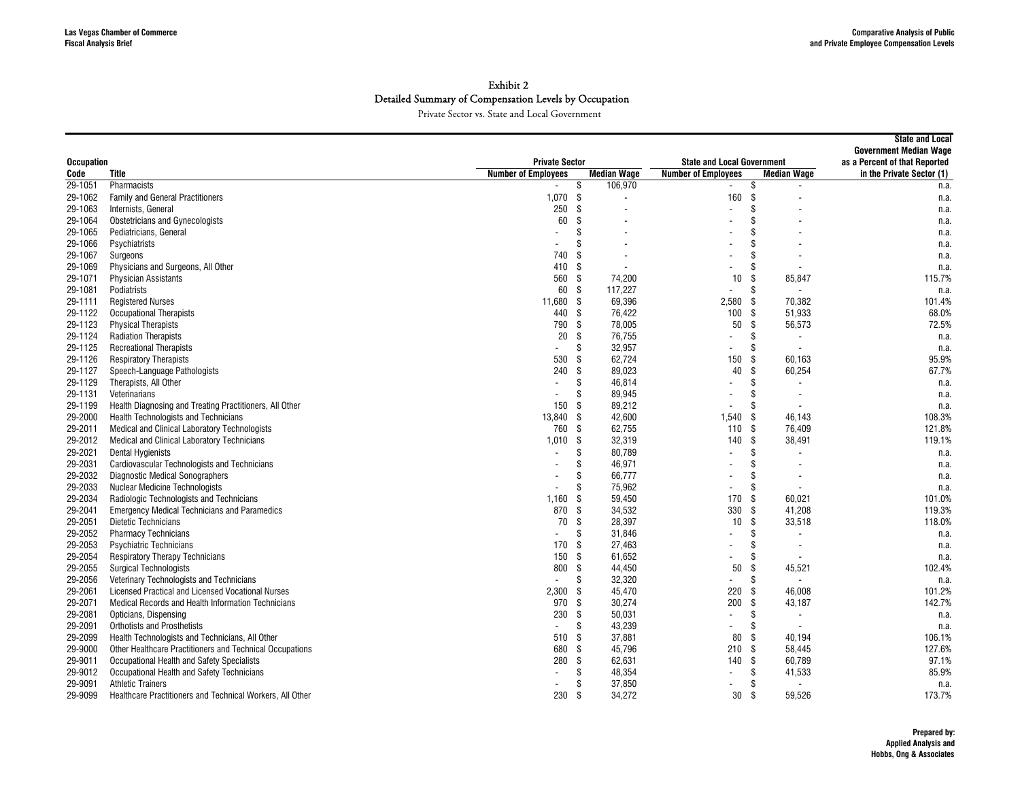| <b>Private Sector</b><br>as a Percent of that Reported<br><b>Occupation</b><br><b>State and Local Government</b><br><b>Median Wage</b><br><b>Title</b><br><b>Number of Employees</b><br><b>Number of Employees</b><br><b>Median Wage</b><br>in the Private Sector (1)<br>Code<br>29-1051<br>106,970<br>Pharmacists<br>\$<br>\$<br>n.a.<br>1.070<br>160<br><b>Family and General Practitioners</b><br>- \$<br>Ŝ.<br>29-1062<br>n.a.<br>$\overline{a}$<br>250<br>29-1063<br>-\$<br>\$<br>Internists, General<br>$\sim$<br>n.a.<br>$\overline{a}$<br>60<br>-S<br>\$<br>29-1064<br><b>Obstetricians and Gynecologists</b><br>n.a.<br>29-1065<br>Pediatricians, General<br>\$<br>\$<br>n.a.<br>\$<br>\$<br>29-1066<br>Psychiatrists<br>n.a.<br>\$<br>29-1067<br>740<br>\$<br>Surgeons<br>n.a.<br>Physicians and Surgeons, All Other<br>-S<br>\$<br>29-1069<br>410<br>n.a.<br>$\overline{\phantom{a}}$<br>560<br>- \$<br>74,200<br>29-1071<br><b>Physician Assistants</b><br>10<br>\$<br>85,847<br>115.7%<br>29-1081<br>Podiatrists<br>60<br>-\$<br>117,227<br>\$<br>n.a.<br>$\blacksquare$<br>69,396<br>2.580<br>70.382<br>29-1111<br><b>Registered Nurses</b><br>11.680<br>- \$<br>-S<br>101.4%<br>100<br>68.0%<br>29-1122<br><b>Occupational Therapists</b><br>440<br>- \$<br>76,422<br>-S<br>51,933<br>29-1123<br><b>Physical Therapists</b><br>790<br>- \$<br>78,005<br>50<br>\$<br>56,573<br>72.5%<br>20<br>\$<br>\$<br>29-1124<br><b>Radiation Therapists</b><br>76,755<br>n.a.<br>29-1125<br>\$<br>32,957<br>\$<br><b>Recreational Therapists</b><br>n.a.<br>$\overline{a}$<br>530<br><b>Respiratory Therapists</b><br>\$<br>62,724<br>150<br>\$<br>95.9%<br>29-1126<br>60,163<br>89,023<br>\$<br>67.7%<br>29-1127<br>Speech-Language Pathologists<br>240<br>\$<br>40<br>60,254<br>29-1129<br>\$<br>46,814<br>\$<br>Therapists, All Other<br>n.a.<br>89,945<br>\$<br>29-1131<br>Veterinarians<br>\$<br>n.a.<br>29-1199<br>Health Diagnosing and Treating Practitioners, All Other<br>150<br>-S<br>89,212<br>\$<br>n.a.<br>13,840<br>\$<br>42,600<br>1,540<br>\$<br>108.3%<br>29-2000<br><b>Health Technologists and Technicians</b><br>46,143<br>760<br>-S<br>62,755<br>29-2011<br>110<br>Ŝ.<br>76,409<br>121.8%<br>Medical and Clinical Laboratory Technologists<br>\$<br>\$<br>32,319<br>140<br>38,491<br>119.1%<br>29-2012<br>Medical and Clinical Laboratory Technicians<br>1,010<br>80,789<br>\$<br>29-2021<br><b>Dental Hygienists</b><br>S<br>n.a.<br>$\overline{a}$<br>29-2031<br><b>Cardiovascular Technologists and Technicians</b><br>46,971<br>\$<br>\$<br>n.a.<br>$\overline{\phantom{a}}$<br>29-2032<br><b>Diagnostic Medical Sonographers</b><br>66,777<br>\$<br>S<br>n.a.<br>29-2033<br><b>Nuclear Medicine Technologists</b><br>\$<br>75,962<br>\$<br>n.a.<br>$\overline{\phantom{a}}$<br>59,450<br>170<br>\$<br>60.021<br>101.0%<br>29-2034<br>Radiologic Technologists and Technicians<br>1,160<br>\$<br>870<br>34,532<br>330<br>29-2041<br>- \$<br>Ŝ.<br>41.208<br>119.3%<br><b>Emergency Medical Technicians and Paramedics</b><br>\$<br>28,397<br>\$<br>29-2051<br><b>Dietetic Technicians</b><br>70<br>10<br>33,518<br>118.0%<br>\$<br>31,846<br>\$<br>29-2052<br><b>Pharmacy Technicians</b><br>n.a.<br>$\blacksquare$<br>29-2053<br><b>Psychiatric Technicians</b><br>170<br>\$<br>27,463<br>\$<br>n.a.<br>150<br>-\$<br>61,652<br>\$<br>29-2054<br><b>Respiratory Therapy Technicians</b><br>n.a.<br>800<br>44,450<br>\$<br>102.4%<br>29-2055<br>\$<br>50<br>45,521<br><b>Surgical Technologists</b><br>\$<br>32,320<br>\$<br>29-2056<br>Veterinary Technologists and Technicians<br>n.a.<br>$\overline{a}$<br>$\blacksquare$<br>45,470<br>220<br>\$<br>101.2%<br>29-2061<br>2,300<br>-\$<br>46,008<br>Licensed Practical and Licensed Vocational Nurses<br>970<br>-S<br>30,274<br>200<br>\$<br>142.7%<br>29-2071<br>Medical Records and Health Information Technicians<br>43,187<br>230<br>-\$<br>50,031<br>\$<br>29-2081<br>Opticians, Dispensing<br>n.a.<br>$\overline{\phantom{a}}$<br>\$<br>29-2091<br><b>Orthotists and Prosthetists</b><br>\$<br>43,239<br>n.a.<br>$\blacksquare$<br>$\overline{\phantom{a}}$<br>37,881<br>80<br>-\$<br>106.1%<br>29-2099<br>Health Technologists and Technicians, All Other<br>510<br>- \$<br>40.194<br>45,796<br>127.6%<br>29-9000<br>Other Healthcare Practitioners and Technical Occupations<br>680<br>\$<br>210<br>Ŝ.<br>58,445<br>280<br>\$<br>62,631<br>140<br>Ŝ.<br>60,789<br>97.1%<br>29-9011<br>Occupational Health and Safety Specialists<br>48,354<br>29-9012<br>Occupational Health and Safety Technicians<br>\$<br>\$<br>41,533<br>85.9%<br>29-9091<br>\$<br>37,850<br>\$<br><b>Athletic Trainers</b><br>n.a. |         |                                                           |     |    |        |    |              | <b>State and Local</b><br><b>Government Median Wage</b> |
|------------------------------------------------------------------------------------------------------------------------------------------------------------------------------------------------------------------------------------------------------------------------------------------------------------------------------------------------------------------------------------------------------------------------------------------------------------------------------------------------------------------------------------------------------------------------------------------------------------------------------------------------------------------------------------------------------------------------------------------------------------------------------------------------------------------------------------------------------------------------------------------------------------------------------------------------------------------------------------------------------------------------------------------------------------------------------------------------------------------------------------------------------------------------------------------------------------------------------------------------------------------------------------------------------------------------------------------------------------------------------------------------------------------------------------------------------------------------------------------------------------------------------------------------------------------------------------------------------------------------------------------------------------------------------------------------------------------------------------------------------------------------------------------------------------------------------------------------------------------------------------------------------------------------------------------------------------------------------------------------------------------------------------------------------------------------------------------------------------------------------------------------------------------------------------------------------------------------------------------------------------------------------------------------------------------------------------------------------------------------------------------------------------------------------------------------------------------------------------------------------------------------------------------------------------------------------------------------------------------------------------------------------------------------------------------------------------------------------------------------------------------------------------------------------------------------------------------------------------------------------------------------------------------------------------------------------------------------------------------------------------------------------------------------------------------------------------------------------------------------------------------------------------------------------------------------------------------------------------------------------------------------------------------------------------------------------------------------------------------------------------------------------------------------------------------------------------------------------------------------------------------------------------------------------------------------------------------------------------------------------------------------------------------------------------------------------------------------------------------------------------------------------------------------------------------------------------------------------------------------------------------------------------------------------------------------------------------------------------------------------------------------------------------------------------------------------------------------------------------------------------------------------------------------------------------------------------------------------------------------------------------------------------------------------------------------------------------------------------------------------------------------------------------------------------------------------------------------------------------------------------------------------------------------------------------------------------------------------------------------------------------------------------------------------------------------|---------|-----------------------------------------------------------|-----|----|--------|----|--------------|---------------------------------------------------------|
|                                                                                                                                                                                                                                                                                                                                                                                                                                                                                                                                                                                                                                                                                                                                                                                                                                                                                                                                                                                                                                                                                                                                                                                                                                                                                                                                                                                                                                                                                                                                                                                                                                                                                                                                                                                                                                                                                                                                                                                                                                                                                                                                                                                                                                                                                                                                                                                                                                                                                                                                                                                                                                                                                                                                                                                                                                                                                                                                                                                                                                                                                                                                                                                                                                                                                                                                                                                                                                                                                                                                                                                                                                                                                                                                                                                                                                                                                                                                                                                                                                                                                                                                                                                                                                                                                                                                                                                                                                                                                                                                                                                                                                                                                                |         |                                                           |     |    |        |    |              |                                                         |
|                                                                                                                                                                                                                                                                                                                                                                                                                                                                                                                                                                                                                                                                                                                                                                                                                                                                                                                                                                                                                                                                                                                                                                                                                                                                                                                                                                                                                                                                                                                                                                                                                                                                                                                                                                                                                                                                                                                                                                                                                                                                                                                                                                                                                                                                                                                                                                                                                                                                                                                                                                                                                                                                                                                                                                                                                                                                                                                                                                                                                                                                                                                                                                                                                                                                                                                                                                                                                                                                                                                                                                                                                                                                                                                                                                                                                                                                                                                                                                                                                                                                                                                                                                                                                                                                                                                                                                                                                                                                                                                                                                                                                                                                                                |         |                                                           |     |    |        |    |              |                                                         |
|                                                                                                                                                                                                                                                                                                                                                                                                                                                                                                                                                                                                                                                                                                                                                                                                                                                                                                                                                                                                                                                                                                                                                                                                                                                                                                                                                                                                                                                                                                                                                                                                                                                                                                                                                                                                                                                                                                                                                                                                                                                                                                                                                                                                                                                                                                                                                                                                                                                                                                                                                                                                                                                                                                                                                                                                                                                                                                                                                                                                                                                                                                                                                                                                                                                                                                                                                                                                                                                                                                                                                                                                                                                                                                                                                                                                                                                                                                                                                                                                                                                                                                                                                                                                                                                                                                                                                                                                                                                                                                                                                                                                                                                                                                |         |                                                           |     |    |        |    |              |                                                         |
|                                                                                                                                                                                                                                                                                                                                                                                                                                                                                                                                                                                                                                                                                                                                                                                                                                                                                                                                                                                                                                                                                                                                                                                                                                                                                                                                                                                                                                                                                                                                                                                                                                                                                                                                                                                                                                                                                                                                                                                                                                                                                                                                                                                                                                                                                                                                                                                                                                                                                                                                                                                                                                                                                                                                                                                                                                                                                                                                                                                                                                                                                                                                                                                                                                                                                                                                                                                                                                                                                                                                                                                                                                                                                                                                                                                                                                                                                                                                                                                                                                                                                                                                                                                                                                                                                                                                                                                                                                                                                                                                                                                                                                                                                                |         |                                                           |     |    |        |    |              |                                                         |
|                                                                                                                                                                                                                                                                                                                                                                                                                                                                                                                                                                                                                                                                                                                                                                                                                                                                                                                                                                                                                                                                                                                                                                                                                                                                                                                                                                                                                                                                                                                                                                                                                                                                                                                                                                                                                                                                                                                                                                                                                                                                                                                                                                                                                                                                                                                                                                                                                                                                                                                                                                                                                                                                                                                                                                                                                                                                                                                                                                                                                                                                                                                                                                                                                                                                                                                                                                                                                                                                                                                                                                                                                                                                                                                                                                                                                                                                                                                                                                                                                                                                                                                                                                                                                                                                                                                                                                                                                                                                                                                                                                                                                                                                                                |         |                                                           |     |    |        |    |              |                                                         |
|                                                                                                                                                                                                                                                                                                                                                                                                                                                                                                                                                                                                                                                                                                                                                                                                                                                                                                                                                                                                                                                                                                                                                                                                                                                                                                                                                                                                                                                                                                                                                                                                                                                                                                                                                                                                                                                                                                                                                                                                                                                                                                                                                                                                                                                                                                                                                                                                                                                                                                                                                                                                                                                                                                                                                                                                                                                                                                                                                                                                                                                                                                                                                                                                                                                                                                                                                                                                                                                                                                                                                                                                                                                                                                                                                                                                                                                                                                                                                                                                                                                                                                                                                                                                                                                                                                                                                                                                                                                                                                                                                                                                                                                                                                |         |                                                           |     |    |        |    |              |                                                         |
|                                                                                                                                                                                                                                                                                                                                                                                                                                                                                                                                                                                                                                                                                                                                                                                                                                                                                                                                                                                                                                                                                                                                                                                                                                                                                                                                                                                                                                                                                                                                                                                                                                                                                                                                                                                                                                                                                                                                                                                                                                                                                                                                                                                                                                                                                                                                                                                                                                                                                                                                                                                                                                                                                                                                                                                                                                                                                                                                                                                                                                                                                                                                                                                                                                                                                                                                                                                                                                                                                                                                                                                                                                                                                                                                                                                                                                                                                                                                                                                                                                                                                                                                                                                                                                                                                                                                                                                                                                                                                                                                                                                                                                                                                                |         |                                                           |     |    |        |    |              |                                                         |
|                                                                                                                                                                                                                                                                                                                                                                                                                                                                                                                                                                                                                                                                                                                                                                                                                                                                                                                                                                                                                                                                                                                                                                                                                                                                                                                                                                                                                                                                                                                                                                                                                                                                                                                                                                                                                                                                                                                                                                                                                                                                                                                                                                                                                                                                                                                                                                                                                                                                                                                                                                                                                                                                                                                                                                                                                                                                                                                                                                                                                                                                                                                                                                                                                                                                                                                                                                                                                                                                                                                                                                                                                                                                                                                                                                                                                                                                                                                                                                                                                                                                                                                                                                                                                                                                                                                                                                                                                                                                                                                                                                                                                                                                                                |         |                                                           |     |    |        |    |              |                                                         |
|                                                                                                                                                                                                                                                                                                                                                                                                                                                                                                                                                                                                                                                                                                                                                                                                                                                                                                                                                                                                                                                                                                                                                                                                                                                                                                                                                                                                                                                                                                                                                                                                                                                                                                                                                                                                                                                                                                                                                                                                                                                                                                                                                                                                                                                                                                                                                                                                                                                                                                                                                                                                                                                                                                                                                                                                                                                                                                                                                                                                                                                                                                                                                                                                                                                                                                                                                                                                                                                                                                                                                                                                                                                                                                                                                                                                                                                                                                                                                                                                                                                                                                                                                                                                                                                                                                                                                                                                                                                                                                                                                                                                                                                                                                |         |                                                           |     |    |        |    |              |                                                         |
|                                                                                                                                                                                                                                                                                                                                                                                                                                                                                                                                                                                                                                                                                                                                                                                                                                                                                                                                                                                                                                                                                                                                                                                                                                                                                                                                                                                                                                                                                                                                                                                                                                                                                                                                                                                                                                                                                                                                                                                                                                                                                                                                                                                                                                                                                                                                                                                                                                                                                                                                                                                                                                                                                                                                                                                                                                                                                                                                                                                                                                                                                                                                                                                                                                                                                                                                                                                                                                                                                                                                                                                                                                                                                                                                                                                                                                                                                                                                                                                                                                                                                                                                                                                                                                                                                                                                                                                                                                                                                                                                                                                                                                                                                                |         |                                                           |     |    |        |    |              |                                                         |
|                                                                                                                                                                                                                                                                                                                                                                                                                                                                                                                                                                                                                                                                                                                                                                                                                                                                                                                                                                                                                                                                                                                                                                                                                                                                                                                                                                                                                                                                                                                                                                                                                                                                                                                                                                                                                                                                                                                                                                                                                                                                                                                                                                                                                                                                                                                                                                                                                                                                                                                                                                                                                                                                                                                                                                                                                                                                                                                                                                                                                                                                                                                                                                                                                                                                                                                                                                                                                                                                                                                                                                                                                                                                                                                                                                                                                                                                                                                                                                                                                                                                                                                                                                                                                                                                                                                                                                                                                                                                                                                                                                                                                                                                                                |         |                                                           |     |    |        |    |              |                                                         |
|                                                                                                                                                                                                                                                                                                                                                                                                                                                                                                                                                                                                                                                                                                                                                                                                                                                                                                                                                                                                                                                                                                                                                                                                                                                                                                                                                                                                                                                                                                                                                                                                                                                                                                                                                                                                                                                                                                                                                                                                                                                                                                                                                                                                                                                                                                                                                                                                                                                                                                                                                                                                                                                                                                                                                                                                                                                                                                                                                                                                                                                                                                                                                                                                                                                                                                                                                                                                                                                                                                                                                                                                                                                                                                                                                                                                                                                                                                                                                                                                                                                                                                                                                                                                                                                                                                                                                                                                                                                                                                                                                                                                                                                                                                |         |                                                           |     |    |        |    |              |                                                         |
|                                                                                                                                                                                                                                                                                                                                                                                                                                                                                                                                                                                                                                                                                                                                                                                                                                                                                                                                                                                                                                                                                                                                                                                                                                                                                                                                                                                                                                                                                                                                                                                                                                                                                                                                                                                                                                                                                                                                                                                                                                                                                                                                                                                                                                                                                                                                                                                                                                                                                                                                                                                                                                                                                                                                                                                                                                                                                                                                                                                                                                                                                                                                                                                                                                                                                                                                                                                                                                                                                                                                                                                                                                                                                                                                                                                                                                                                                                                                                                                                                                                                                                                                                                                                                                                                                                                                                                                                                                                                                                                                                                                                                                                                                                |         |                                                           |     |    |        |    |              |                                                         |
|                                                                                                                                                                                                                                                                                                                                                                                                                                                                                                                                                                                                                                                                                                                                                                                                                                                                                                                                                                                                                                                                                                                                                                                                                                                                                                                                                                                                                                                                                                                                                                                                                                                                                                                                                                                                                                                                                                                                                                                                                                                                                                                                                                                                                                                                                                                                                                                                                                                                                                                                                                                                                                                                                                                                                                                                                                                                                                                                                                                                                                                                                                                                                                                                                                                                                                                                                                                                                                                                                                                                                                                                                                                                                                                                                                                                                                                                                                                                                                                                                                                                                                                                                                                                                                                                                                                                                                                                                                                                                                                                                                                                                                                                                                |         |                                                           |     |    |        |    |              |                                                         |
|                                                                                                                                                                                                                                                                                                                                                                                                                                                                                                                                                                                                                                                                                                                                                                                                                                                                                                                                                                                                                                                                                                                                                                                                                                                                                                                                                                                                                                                                                                                                                                                                                                                                                                                                                                                                                                                                                                                                                                                                                                                                                                                                                                                                                                                                                                                                                                                                                                                                                                                                                                                                                                                                                                                                                                                                                                                                                                                                                                                                                                                                                                                                                                                                                                                                                                                                                                                                                                                                                                                                                                                                                                                                                                                                                                                                                                                                                                                                                                                                                                                                                                                                                                                                                                                                                                                                                                                                                                                                                                                                                                                                                                                                                                |         |                                                           |     |    |        |    |              |                                                         |
|                                                                                                                                                                                                                                                                                                                                                                                                                                                                                                                                                                                                                                                                                                                                                                                                                                                                                                                                                                                                                                                                                                                                                                                                                                                                                                                                                                                                                                                                                                                                                                                                                                                                                                                                                                                                                                                                                                                                                                                                                                                                                                                                                                                                                                                                                                                                                                                                                                                                                                                                                                                                                                                                                                                                                                                                                                                                                                                                                                                                                                                                                                                                                                                                                                                                                                                                                                                                                                                                                                                                                                                                                                                                                                                                                                                                                                                                                                                                                                                                                                                                                                                                                                                                                                                                                                                                                                                                                                                                                                                                                                                                                                                                                                |         |                                                           |     |    |        |    |              |                                                         |
|                                                                                                                                                                                                                                                                                                                                                                                                                                                                                                                                                                                                                                                                                                                                                                                                                                                                                                                                                                                                                                                                                                                                                                                                                                                                                                                                                                                                                                                                                                                                                                                                                                                                                                                                                                                                                                                                                                                                                                                                                                                                                                                                                                                                                                                                                                                                                                                                                                                                                                                                                                                                                                                                                                                                                                                                                                                                                                                                                                                                                                                                                                                                                                                                                                                                                                                                                                                                                                                                                                                                                                                                                                                                                                                                                                                                                                                                                                                                                                                                                                                                                                                                                                                                                                                                                                                                                                                                                                                                                                                                                                                                                                                                                                |         |                                                           |     |    |        |    |              |                                                         |
|                                                                                                                                                                                                                                                                                                                                                                                                                                                                                                                                                                                                                                                                                                                                                                                                                                                                                                                                                                                                                                                                                                                                                                                                                                                                                                                                                                                                                                                                                                                                                                                                                                                                                                                                                                                                                                                                                                                                                                                                                                                                                                                                                                                                                                                                                                                                                                                                                                                                                                                                                                                                                                                                                                                                                                                                                                                                                                                                                                                                                                                                                                                                                                                                                                                                                                                                                                                                                                                                                                                                                                                                                                                                                                                                                                                                                                                                                                                                                                                                                                                                                                                                                                                                                                                                                                                                                                                                                                                                                                                                                                                                                                                                                                |         |                                                           |     |    |        |    |              |                                                         |
|                                                                                                                                                                                                                                                                                                                                                                                                                                                                                                                                                                                                                                                                                                                                                                                                                                                                                                                                                                                                                                                                                                                                                                                                                                                                                                                                                                                                                                                                                                                                                                                                                                                                                                                                                                                                                                                                                                                                                                                                                                                                                                                                                                                                                                                                                                                                                                                                                                                                                                                                                                                                                                                                                                                                                                                                                                                                                                                                                                                                                                                                                                                                                                                                                                                                                                                                                                                                                                                                                                                                                                                                                                                                                                                                                                                                                                                                                                                                                                                                                                                                                                                                                                                                                                                                                                                                                                                                                                                                                                                                                                                                                                                                                                |         |                                                           |     |    |        |    |              |                                                         |
|                                                                                                                                                                                                                                                                                                                                                                                                                                                                                                                                                                                                                                                                                                                                                                                                                                                                                                                                                                                                                                                                                                                                                                                                                                                                                                                                                                                                                                                                                                                                                                                                                                                                                                                                                                                                                                                                                                                                                                                                                                                                                                                                                                                                                                                                                                                                                                                                                                                                                                                                                                                                                                                                                                                                                                                                                                                                                                                                                                                                                                                                                                                                                                                                                                                                                                                                                                                                                                                                                                                                                                                                                                                                                                                                                                                                                                                                                                                                                                                                                                                                                                                                                                                                                                                                                                                                                                                                                                                                                                                                                                                                                                                                                                |         |                                                           |     |    |        |    |              |                                                         |
|                                                                                                                                                                                                                                                                                                                                                                                                                                                                                                                                                                                                                                                                                                                                                                                                                                                                                                                                                                                                                                                                                                                                                                                                                                                                                                                                                                                                                                                                                                                                                                                                                                                                                                                                                                                                                                                                                                                                                                                                                                                                                                                                                                                                                                                                                                                                                                                                                                                                                                                                                                                                                                                                                                                                                                                                                                                                                                                                                                                                                                                                                                                                                                                                                                                                                                                                                                                                                                                                                                                                                                                                                                                                                                                                                                                                                                                                                                                                                                                                                                                                                                                                                                                                                                                                                                                                                                                                                                                                                                                                                                                                                                                                                                |         |                                                           |     |    |        |    |              |                                                         |
|                                                                                                                                                                                                                                                                                                                                                                                                                                                                                                                                                                                                                                                                                                                                                                                                                                                                                                                                                                                                                                                                                                                                                                                                                                                                                                                                                                                                                                                                                                                                                                                                                                                                                                                                                                                                                                                                                                                                                                                                                                                                                                                                                                                                                                                                                                                                                                                                                                                                                                                                                                                                                                                                                                                                                                                                                                                                                                                                                                                                                                                                                                                                                                                                                                                                                                                                                                                                                                                                                                                                                                                                                                                                                                                                                                                                                                                                                                                                                                                                                                                                                                                                                                                                                                                                                                                                                                                                                                                                                                                                                                                                                                                                                                |         |                                                           |     |    |        |    |              |                                                         |
|                                                                                                                                                                                                                                                                                                                                                                                                                                                                                                                                                                                                                                                                                                                                                                                                                                                                                                                                                                                                                                                                                                                                                                                                                                                                                                                                                                                                                                                                                                                                                                                                                                                                                                                                                                                                                                                                                                                                                                                                                                                                                                                                                                                                                                                                                                                                                                                                                                                                                                                                                                                                                                                                                                                                                                                                                                                                                                                                                                                                                                                                                                                                                                                                                                                                                                                                                                                                                                                                                                                                                                                                                                                                                                                                                                                                                                                                                                                                                                                                                                                                                                                                                                                                                                                                                                                                                                                                                                                                                                                                                                                                                                                                                                |         |                                                           |     |    |        |    |              |                                                         |
|                                                                                                                                                                                                                                                                                                                                                                                                                                                                                                                                                                                                                                                                                                                                                                                                                                                                                                                                                                                                                                                                                                                                                                                                                                                                                                                                                                                                                                                                                                                                                                                                                                                                                                                                                                                                                                                                                                                                                                                                                                                                                                                                                                                                                                                                                                                                                                                                                                                                                                                                                                                                                                                                                                                                                                                                                                                                                                                                                                                                                                                                                                                                                                                                                                                                                                                                                                                                                                                                                                                                                                                                                                                                                                                                                                                                                                                                                                                                                                                                                                                                                                                                                                                                                                                                                                                                                                                                                                                                                                                                                                                                                                                                                                |         |                                                           |     |    |        |    |              |                                                         |
|                                                                                                                                                                                                                                                                                                                                                                                                                                                                                                                                                                                                                                                                                                                                                                                                                                                                                                                                                                                                                                                                                                                                                                                                                                                                                                                                                                                                                                                                                                                                                                                                                                                                                                                                                                                                                                                                                                                                                                                                                                                                                                                                                                                                                                                                                                                                                                                                                                                                                                                                                                                                                                                                                                                                                                                                                                                                                                                                                                                                                                                                                                                                                                                                                                                                                                                                                                                                                                                                                                                                                                                                                                                                                                                                                                                                                                                                                                                                                                                                                                                                                                                                                                                                                                                                                                                                                                                                                                                                                                                                                                                                                                                                                                |         |                                                           |     |    |        |    |              |                                                         |
|                                                                                                                                                                                                                                                                                                                                                                                                                                                                                                                                                                                                                                                                                                                                                                                                                                                                                                                                                                                                                                                                                                                                                                                                                                                                                                                                                                                                                                                                                                                                                                                                                                                                                                                                                                                                                                                                                                                                                                                                                                                                                                                                                                                                                                                                                                                                                                                                                                                                                                                                                                                                                                                                                                                                                                                                                                                                                                                                                                                                                                                                                                                                                                                                                                                                                                                                                                                                                                                                                                                                                                                                                                                                                                                                                                                                                                                                                                                                                                                                                                                                                                                                                                                                                                                                                                                                                                                                                                                                                                                                                                                                                                                                                                |         |                                                           |     |    |        |    |              |                                                         |
|                                                                                                                                                                                                                                                                                                                                                                                                                                                                                                                                                                                                                                                                                                                                                                                                                                                                                                                                                                                                                                                                                                                                                                                                                                                                                                                                                                                                                                                                                                                                                                                                                                                                                                                                                                                                                                                                                                                                                                                                                                                                                                                                                                                                                                                                                                                                                                                                                                                                                                                                                                                                                                                                                                                                                                                                                                                                                                                                                                                                                                                                                                                                                                                                                                                                                                                                                                                                                                                                                                                                                                                                                                                                                                                                                                                                                                                                                                                                                                                                                                                                                                                                                                                                                                                                                                                                                                                                                                                                                                                                                                                                                                                                                                |         |                                                           |     |    |        |    |              |                                                         |
|                                                                                                                                                                                                                                                                                                                                                                                                                                                                                                                                                                                                                                                                                                                                                                                                                                                                                                                                                                                                                                                                                                                                                                                                                                                                                                                                                                                                                                                                                                                                                                                                                                                                                                                                                                                                                                                                                                                                                                                                                                                                                                                                                                                                                                                                                                                                                                                                                                                                                                                                                                                                                                                                                                                                                                                                                                                                                                                                                                                                                                                                                                                                                                                                                                                                                                                                                                                                                                                                                                                                                                                                                                                                                                                                                                                                                                                                                                                                                                                                                                                                                                                                                                                                                                                                                                                                                                                                                                                                                                                                                                                                                                                                                                |         |                                                           |     |    |        |    |              |                                                         |
|                                                                                                                                                                                                                                                                                                                                                                                                                                                                                                                                                                                                                                                                                                                                                                                                                                                                                                                                                                                                                                                                                                                                                                                                                                                                                                                                                                                                                                                                                                                                                                                                                                                                                                                                                                                                                                                                                                                                                                                                                                                                                                                                                                                                                                                                                                                                                                                                                                                                                                                                                                                                                                                                                                                                                                                                                                                                                                                                                                                                                                                                                                                                                                                                                                                                                                                                                                                                                                                                                                                                                                                                                                                                                                                                                                                                                                                                                                                                                                                                                                                                                                                                                                                                                                                                                                                                                                                                                                                                                                                                                                                                                                                                                                |         |                                                           |     |    |        |    |              |                                                         |
|                                                                                                                                                                                                                                                                                                                                                                                                                                                                                                                                                                                                                                                                                                                                                                                                                                                                                                                                                                                                                                                                                                                                                                                                                                                                                                                                                                                                                                                                                                                                                                                                                                                                                                                                                                                                                                                                                                                                                                                                                                                                                                                                                                                                                                                                                                                                                                                                                                                                                                                                                                                                                                                                                                                                                                                                                                                                                                                                                                                                                                                                                                                                                                                                                                                                                                                                                                                                                                                                                                                                                                                                                                                                                                                                                                                                                                                                                                                                                                                                                                                                                                                                                                                                                                                                                                                                                                                                                                                                                                                                                                                                                                                                                                |         |                                                           |     |    |        |    |              |                                                         |
|                                                                                                                                                                                                                                                                                                                                                                                                                                                                                                                                                                                                                                                                                                                                                                                                                                                                                                                                                                                                                                                                                                                                                                                                                                                                                                                                                                                                                                                                                                                                                                                                                                                                                                                                                                                                                                                                                                                                                                                                                                                                                                                                                                                                                                                                                                                                                                                                                                                                                                                                                                                                                                                                                                                                                                                                                                                                                                                                                                                                                                                                                                                                                                                                                                                                                                                                                                                                                                                                                                                                                                                                                                                                                                                                                                                                                                                                                                                                                                                                                                                                                                                                                                                                                                                                                                                                                                                                                                                                                                                                                                                                                                                                                                |         |                                                           |     |    |        |    |              |                                                         |
|                                                                                                                                                                                                                                                                                                                                                                                                                                                                                                                                                                                                                                                                                                                                                                                                                                                                                                                                                                                                                                                                                                                                                                                                                                                                                                                                                                                                                                                                                                                                                                                                                                                                                                                                                                                                                                                                                                                                                                                                                                                                                                                                                                                                                                                                                                                                                                                                                                                                                                                                                                                                                                                                                                                                                                                                                                                                                                                                                                                                                                                                                                                                                                                                                                                                                                                                                                                                                                                                                                                                                                                                                                                                                                                                                                                                                                                                                                                                                                                                                                                                                                                                                                                                                                                                                                                                                                                                                                                                                                                                                                                                                                                                                                |         |                                                           |     |    |        |    |              |                                                         |
|                                                                                                                                                                                                                                                                                                                                                                                                                                                                                                                                                                                                                                                                                                                                                                                                                                                                                                                                                                                                                                                                                                                                                                                                                                                                                                                                                                                                                                                                                                                                                                                                                                                                                                                                                                                                                                                                                                                                                                                                                                                                                                                                                                                                                                                                                                                                                                                                                                                                                                                                                                                                                                                                                                                                                                                                                                                                                                                                                                                                                                                                                                                                                                                                                                                                                                                                                                                                                                                                                                                                                                                                                                                                                                                                                                                                                                                                                                                                                                                                                                                                                                                                                                                                                                                                                                                                                                                                                                                                                                                                                                                                                                                                                                |         |                                                           |     |    |        |    |              |                                                         |
|                                                                                                                                                                                                                                                                                                                                                                                                                                                                                                                                                                                                                                                                                                                                                                                                                                                                                                                                                                                                                                                                                                                                                                                                                                                                                                                                                                                                                                                                                                                                                                                                                                                                                                                                                                                                                                                                                                                                                                                                                                                                                                                                                                                                                                                                                                                                                                                                                                                                                                                                                                                                                                                                                                                                                                                                                                                                                                                                                                                                                                                                                                                                                                                                                                                                                                                                                                                                                                                                                                                                                                                                                                                                                                                                                                                                                                                                                                                                                                                                                                                                                                                                                                                                                                                                                                                                                                                                                                                                                                                                                                                                                                                                                                |         |                                                           |     |    |        |    |              |                                                         |
|                                                                                                                                                                                                                                                                                                                                                                                                                                                                                                                                                                                                                                                                                                                                                                                                                                                                                                                                                                                                                                                                                                                                                                                                                                                                                                                                                                                                                                                                                                                                                                                                                                                                                                                                                                                                                                                                                                                                                                                                                                                                                                                                                                                                                                                                                                                                                                                                                                                                                                                                                                                                                                                                                                                                                                                                                                                                                                                                                                                                                                                                                                                                                                                                                                                                                                                                                                                                                                                                                                                                                                                                                                                                                                                                                                                                                                                                                                                                                                                                                                                                                                                                                                                                                                                                                                                                                                                                                                                                                                                                                                                                                                                                                                |         |                                                           |     |    |        |    |              |                                                         |
|                                                                                                                                                                                                                                                                                                                                                                                                                                                                                                                                                                                                                                                                                                                                                                                                                                                                                                                                                                                                                                                                                                                                                                                                                                                                                                                                                                                                                                                                                                                                                                                                                                                                                                                                                                                                                                                                                                                                                                                                                                                                                                                                                                                                                                                                                                                                                                                                                                                                                                                                                                                                                                                                                                                                                                                                                                                                                                                                                                                                                                                                                                                                                                                                                                                                                                                                                                                                                                                                                                                                                                                                                                                                                                                                                                                                                                                                                                                                                                                                                                                                                                                                                                                                                                                                                                                                                                                                                                                                                                                                                                                                                                                                                                |         |                                                           |     |    |        |    |              |                                                         |
|                                                                                                                                                                                                                                                                                                                                                                                                                                                                                                                                                                                                                                                                                                                                                                                                                                                                                                                                                                                                                                                                                                                                                                                                                                                                                                                                                                                                                                                                                                                                                                                                                                                                                                                                                                                                                                                                                                                                                                                                                                                                                                                                                                                                                                                                                                                                                                                                                                                                                                                                                                                                                                                                                                                                                                                                                                                                                                                                                                                                                                                                                                                                                                                                                                                                                                                                                                                                                                                                                                                                                                                                                                                                                                                                                                                                                                                                                                                                                                                                                                                                                                                                                                                                                                                                                                                                                                                                                                                                                                                                                                                                                                                                                                |         |                                                           |     |    |        |    |              |                                                         |
|                                                                                                                                                                                                                                                                                                                                                                                                                                                                                                                                                                                                                                                                                                                                                                                                                                                                                                                                                                                                                                                                                                                                                                                                                                                                                                                                                                                                                                                                                                                                                                                                                                                                                                                                                                                                                                                                                                                                                                                                                                                                                                                                                                                                                                                                                                                                                                                                                                                                                                                                                                                                                                                                                                                                                                                                                                                                                                                                                                                                                                                                                                                                                                                                                                                                                                                                                                                                                                                                                                                                                                                                                                                                                                                                                                                                                                                                                                                                                                                                                                                                                                                                                                                                                                                                                                                                                                                                                                                                                                                                                                                                                                                                                                |         |                                                           |     |    |        |    |              |                                                         |
|                                                                                                                                                                                                                                                                                                                                                                                                                                                                                                                                                                                                                                                                                                                                                                                                                                                                                                                                                                                                                                                                                                                                                                                                                                                                                                                                                                                                                                                                                                                                                                                                                                                                                                                                                                                                                                                                                                                                                                                                                                                                                                                                                                                                                                                                                                                                                                                                                                                                                                                                                                                                                                                                                                                                                                                                                                                                                                                                                                                                                                                                                                                                                                                                                                                                                                                                                                                                                                                                                                                                                                                                                                                                                                                                                                                                                                                                                                                                                                                                                                                                                                                                                                                                                                                                                                                                                                                                                                                                                                                                                                                                                                                                                                |         |                                                           |     |    |        |    |              |                                                         |
|                                                                                                                                                                                                                                                                                                                                                                                                                                                                                                                                                                                                                                                                                                                                                                                                                                                                                                                                                                                                                                                                                                                                                                                                                                                                                                                                                                                                                                                                                                                                                                                                                                                                                                                                                                                                                                                                                                                                                                                                                                                                                                                                                                                                                                                                                                                                                                                                                                                                                                                                                                                                                                                                                                                                                                                                                                                                                                                                                                                                                                                                                                                                                                                                                                                                                                                                                                                                                                                                                                                                                                                                                                                                                                                                                                                                                                                                                                                                                                                                                                                                                                                                                                                                                                                                                                                                                                                                                                                                                                                                                                                                                                                                                                |         |                                                           |     |    |        |    |              |                                                         |
|                                                                                                                                                                                                                                                                                                                                                                                                                                                                                                                                                                                                                                                                                                                                                                                                                                                                                                                                                                                                                                                                                                                                                                                                                                                                                                                                                                                                                                                                                                                                                                                                                                                                                                                                                                                                                                                                                                                                                                                                                                                                                                                                                                                                                                                                                                                                                                                                                                                                                                                                                                                                                                                                                                                                                                                                                                                                                                                                                                                                                                                                                                                                                                                                                                                                                                                                                                                                                                                                                                                                                                                                                                                                                                                                                                                                                                                                                                                                                                                                                                                                                                                                                                                                                                                                                                                                                                                                                                                                                                                                                                                                                                                                                                |         |                                                           |     |    |        |    |              |                                                         |
|                                                                                                                                                                                                                                                                                                                                                                                                                                                                                                                                                                                                                                                                                                                                                                                                                                                                                                                                                                                                                                                                                                                                                                                                                                                                                                                                                                                                                                                                                                                                                                                                                                                                                                                                                                                                                                                                                                                                                                                                                                                                                                                                                                                                                                                                                                                                                                                                                                                                                                                                                                                                                                                                                                                                                                                                                                                                                                                                                                                                                                                                                                                                                                                                                                                                                                                                                                                                                                                                                                                                                                                                                                                                                                                                                                                                                                                                                                                                                                                                                                                                                                                                                                                                                                                                                                                                                                                                                                                                                                                                                                                                                                                                                                |         |                                                           |     |    |        |    |              |                                                         |
|                                                                                                                                                                                                                                                                                                                                                                                                                                                                                                                                                                                                                                                                                                                                                                                                                                                                                                                                                                                                                                                                                                                                                                                                                                                                                                                                                                                                                                                                                                                                                                                                                                                                                                                                                                                                                                                                                                                                                                                                                                                                                                                                                                                                                                                                                                                                                                                                                                                                                                                                                                                                                                                                                                                                                                                                                                                                                                                                                                                                                                                                                                                                                                                                                                                                                                                                                                                                                                                                                                                                                                                                                                                                                                                                                                                                                                                                                                                                                                                                                                                                                                                                                                                                                                                                                                                                                                                                                                                                                                                                                                                                                                                                                                |         |                                                           |     |    |        |    |              |                                                         |
|                                                                                                                                                                                                                                                                                                                                                                                                                                                                                                                                                                                                                                                                                                                                                                                                                                                                                                                                                                                                                                                                                                                                                                                                                                                                                                                                                                                                                                                                                                                                                                                                                                                                                                                                                                                                                                                                                                                                                                                                                                                                                                                                                                                                                                                                                                                                                                                                                                                                                                                                                                                                                                                                                                                                                                                                                                                                                                                                                                                                                                                                                                                                                                                                                                                                                                                                                                                                                                                                                                                                                                                                                                                                                                                                                                                                                                                                                                                                                                                                                                                                                                                                                                                                                                                                                                                                                                                                                                                                                                                                                                                                                                                                                                |         |                                                           |     |    |        |    |              |                                                         |
|                                                                                                                                                                                                                                                                                                                                                                                                                                                                                                                                                                                                                                                                                                                                                                                                                                                                                                                                                                                                                                                                                                                                                                                                                                                                                                                                                                                                                                                                                                                                                                                                                                                                                                                                                                                                                                                                                                                                                                                                                                                                                                                                                                                                                                                                                                                                                                                                                                                                                                                                                                                                                                                                                                                                                                                                                                                                                                                                                                                                                                                                                                                                                                                                                                                                                                                                                                                                                                                                                                                                                                                                                                                                                                                                                                                                                                                                                                                                                                                                                                                                                                                                                                                                                                                                                                                                                                                                                                                                                                                                                                                                                                                                                                |         |                                                           |     |    |        |    |              |                                                         |
|                                                                                                                                                                                                                                                                                                                                                                                                                                                                                                                                                                                                                                                                                                                                                                                                                                                                                                                                                                                                                                                                                                                                                                                                                                                                                                                                                                                                                                                                                                                                                                                                                                                                                                                                                                                                                                                                                                                                                                                                                                                                                                                                                                                                                                                                                                                                                                                                                                                                                                                                                                                                                                                                                                                                                                                                                                                                                                                                                                                                                                                                                                                                                                                                                                                                                                                                                                                                                                                                                                                                                                                                                                                                                                                                                                                                                                                                                                                                                                                                                                                                                                                                                                                                                                                                                                                                                                                                                                                                                                                                                                                                                                                                                                |         |                                                           |     |    |        |    |              |                                                         |
|                                                                                                                                                                                                                                                                                                                                                                                                                                                                                                                                                                                                                                                                                                                                                                                                                                                                                                                                                                                                                                                                                                                                                                                                                                                                                                                                                                                                                                                                                                                                                                                                                                                                                                                                                                                                                                                                                                                                                                                                                                                                                                                                                                                                                                                                                                                                                                                                                                                                                                                                                                                                                                                                                                                                                                                                                                                                                                                                                                                                                                                                                                                                                                                                                                                                                                                                                                                                                                                                                                                                                                                                                                                                                                                                                                                                                                                                                                                                                                                                                                                                                                                                                                                                                                                                                                                                                                                                                                                                                                                                                                                                                                                                                                | 29-9099 | Healthcare Practitioners and Technical Workers, All Other | 230 | -S | 34,272 | 30 | \$<br>59,526 | 173.7%                                                  |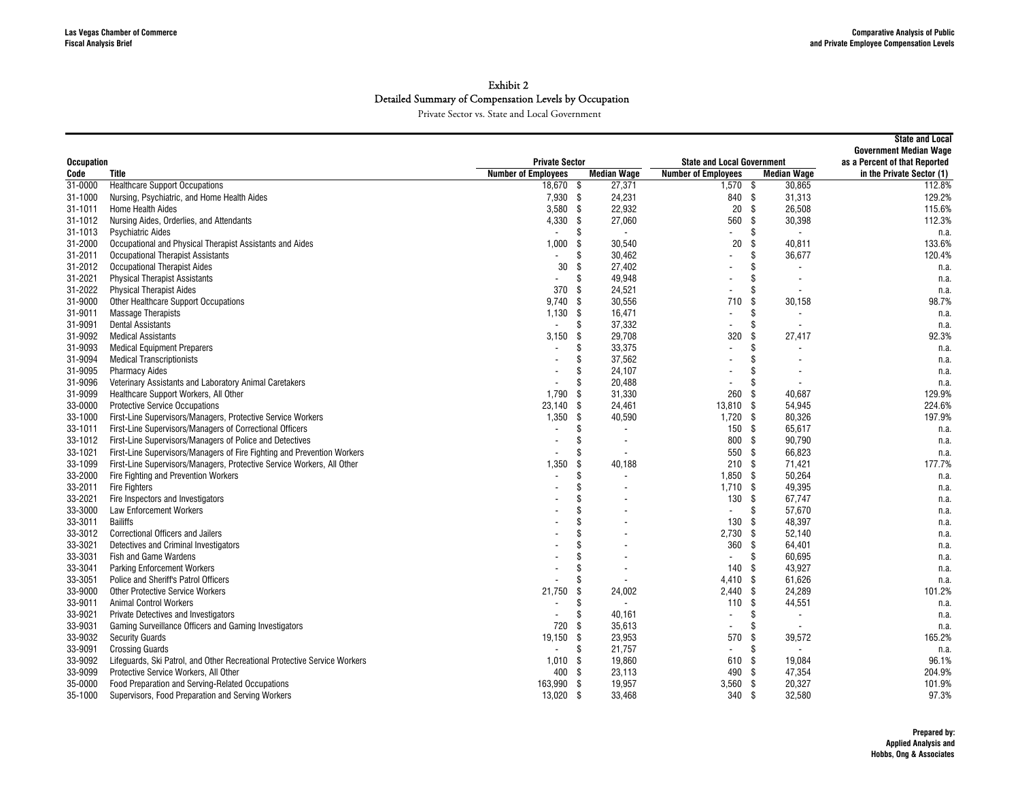|                           |                                                                                 |                            |      |                          |                                                                 |                                                                | <b>State and Local</b>    |
|---------------------------|---------------------------------------------------------------------------------|----------------------------|------|--------------------------|-----------------------------------------------------------------|----------------------------------------------------------------|---------------------------|
|                           |                                                                                 | <b>Private Sector</b>      |      |                          |                                                                 | <b>Government Median Wage</b><br>as a Percent of that Reported |                           |
| <b>Occupation</b><br>Code | Title                                                                           | <b>Number of Employees</b> |      | <b>Median Wage</b>       | <b>State and Local Government</b><br><b>Number of Employees</b> | <b>Median Wage</b>                                             | in the Private Sector (1) |
| 31-0000                   | <b>Healthcare Support Occupations</b>                                           | 18,670 \$                  |      | 27,371                   | $1,570$ \$                                                      | 30,865                                                         | 112.8%                    |
| 31-1000                   | Nursing, Psychiatric, and Home Health Aides                                     | $7.930$ \$                 |      | 24,231                   | 840 \$                                                          | 31,313                                                         | 129.2%                    |
| 31-1011                   | <b>Home Health Aides</b>                                                        | 3,580                      | -\$  | 22,932                   | $20\,$                                                          | -\$<br>26,508                                                  | 115.6%                    |
| 31-1012                   | Nursing Aides, Orderlies, and Attendants                                        | 4,330                      | - \$ | 27,060                   | 560                                                             | \$<br>30,398                                                   | 112.3%                    |
| 31-1013                   | <b>Psychiatric Aides</b>                                                        |                            | \$   | $\overline{\phantom{a}}$ | $\blacksquare$                                                  | \$                                                             | n.a.                      |
| 31-2000                   | Occupational and Physical Therapist Assistants and Aides                        | 1,000                      | \$   | 30,540                   | 20                                                              | \$<br>40.811                                                   | 133.6%                    |
| 31-2011                   |                                                                                 | $\overline{a}$             | \$   | 30,462                   |                                                                 | \$<br>36,677                                                   | 120.4%                    |
| 31-2012                   | <b>Occupational Therapist Assistants</b><br><b>Occupational Therapist Aides</b> | 30                         | \$   | 27,402                   |                                                                 | \$                                                             |                           |
|                           |                                                                                 |                            | \$   | 49,948                   |                                                                 | Ŝ.                                                             | n.a.                      |
| 31-2021                   | <b>Physical Therapist Assistants</b>                                            | 370                        | - \$ |                          | $\overline{\phantom{a}}$                                        |                                                                | n.a.                      |
| 31-2022                   | <b>Physical Therapist Aides</b>                                                 |                            |      | 24,521                   | $\blacksquare$                                                  |                                                                | n.a.                      |
| 31-9000                   | Other Healthcare Support Occupations                                            | 9.740                      | - \$ | 30,556                   | 710                                                             | 30,158<br>-S<br>\$                                             | 98.7%                     |
| 31-9011                   | <b>Massage Therapists</b>                                                       | 1,130                      | -\$  | 16,471                   | $\blacksquare$                                                  |                                                                | n.a.                      |
| 31-9091                   | <b>Dental Assistants</b>                                                        | $\blacksquare$             | \$   | 37,332                   | $\blacksquare$                                                  | \$                                                             | n.a.                      |
| 31-9092                   | <b>Medical Assistants</b>                                                       | 3,150                      | \$   | 29,708                   | 320                                                             | \$<br>27,417                                                   | 92.3%                     |
| 31-9093                   | <b>Medical Equipment Preparers</b>                                              |                            | \$   | 33,375                   |                                                                 | \$                                                             | n.a.                      |
| 31-9094                   | <b>Medical Transcriptionists</b>                                                |                            | \$   | 37,562                   |                                                                 |                                                                | n.a.                      |
| 31-9095                   | <b>Pharmacy Aides</b>                                                           |                            | \$   | 24,107                   |                                                                 | \$                                                             | n.a.                      |
| 31-9096                   | Veterinary Assistants and Laboratory Animal Caretakers                          |                            | \$   | 20,488                   | $\overline{\phantom{a}}$                                        |                                                                | n.a.                      |
| 31-9099                   | Healthcare Support Workers, All Other                                           | 1,790                      | -\$  | 31,330                   | 260                                                             | -S<br>40.687                                                   | 129.9%                    |
| 33-0000                   | <b>Protective Service Occupations</b>                                           | 23.140                     | \$   | 24,461                   | 13.810                                                          | - \$<br>54.945                                                 | 224.6%                    |
| 33-1000                   | First-Line Supervisors/Managers, Protective Service Workers                     | 1,350                      | \$   | 40,590                   | $1,720$ \$                                                      | 80,326                                                         | 197.9%                    |
| 33-1011                   | First-Line Supervisors/Managers of Correctional Officers                        |                            | Ŝ    |                          | 150S                                                            | 65.617                                                         | n.a.                      |
| 33-1012                   | First-Line Supervisors/Managers of Police and Detectives                        |                            | \$   | $\overline{\phantom{a}}$ | 800 \$                                                          | 90,790                                                         | n.a.                      |
| 33-1021                   | First-Line Supervisors/Managers of Fire Fighting and Prevention Workers         |                            | S    | $\blacksquare$           | 550                                                             | - \$<br>66,823                                                 | n.a.                      |
| 33-1099                   | First-Line Supervisors/Managers, Protective Service Workers, All Other          | 1,350                      | Ŝ    | 40,188                   | 210 <sup>5</sup>                                                | 71,421                                                         | 177.7%                    |
| 33-2000                   | Fire Fighting and Prevention Workers                                            |                            | S    | $\blacksquare$           | $1.850$ \$                                                      | 50,264                                                         | n.a.                      |
| 33-2011                   | <b>Fire Fighters</b>                                                            |                            | \$   |                          | $1,710$ \$                                                      | 49,395                                                         | n.a.                      |
| 33-2021                   | Fire Inspectors and Investigators                                               |                            | \$   |                          | 130                                                             | -\$<br>67,747                                                  | n.a.                      |
| 33-3000                   | <b>Law Enforcement Workers</b>                                                  |                            | \$   |                          | $\blacksquare$                                                  | \$<br>57.670                                                   | n.a.                      |
| 33-3011                   | <b>Bailiffs</b>                                                                 |                            | \$   |                          | 130                                                             | 48,397<br>-S                                                   | n.a.                      |
| 33-3012                   | <b>Correctional Officers and Jailers</b>                                        |                            | S    |                          | 2.730                                                           | - \$<br>52.140                                                 | n.a.                      |
| 33-3021                   | Detectives and Criminal Investigators                                           |                            | \$   |                          | 360                                                             | - \$<br>64,401                                                 | n.a.                      |
| 33-3031                   | <b>Fish and Game Wardens</b>                                                    |                            | S    |                          | $\blacksquare$                                                  | 60.695<br>Ŝ.                                                   | n.a.                      |
| 33-3041                   | <b>Parking Enforcement Workers</b>                                              |                            | \$   |                          | 140                                                             | -S<br>43,927                                                   | n.a.                      |
| 33-3051                   | Police and Sheriff's Patrol Officers                                            |                            | S    | $\overline{\phantom{a}}$ | 4,410                                                           | 61,626<br>- \$                                                 | n.a.                      |
| 33-9000                   | <b>Other Protective Service Workers</b>                                         | 21,750                     | \$   | 24,002                   | $2,440$ \$                                                      | 24,289                                                         | 101.2%                    |
| 33-9011                   | <b>Animal Control Workers</b>                                                   |                            | \$   | $\sim$                   | 110                                                             | -\$<br>44,551                                                  | n.a.                      |
| 33-9021                   | <b>Private Detectives and Investigators</b>                                     |                            | S    | 40,161                   | $\blacksquare$                                                  | Ŝ.                                                             | n.a.                      |
| 33-9031                   | Gaming Surveillance Officers and Gaming Investigators                           | 720                        | -\$  | 35,613                   | $\blacksquare$                                                  | \$<br>$\overline{\phantom{a}}$                                 | n.a.                      |
| 33-9032                   | <b>Security Guards</b>                                                          | 19,150                     | - \$ | 23,953                   | 570                                                             | 39,572<br>-\$                                                  | 165.2%                    |
| 33-9091                   | <b>Crossing Guards</b>                                                          |                            | \$   | 21,757                   |                                                                 | \$                                                             | n.a.                      |
| 33-9092                   | Lifeguards, Ski Patrol, and Other Recreational Protective Service Workers       | 1,010                      | - \$ | 19,860                   | 610                                                             | -S<br>19,084                                                   | 96.1%                     |
| 33-9099                   | Protective Service Workers, All Other                                           | 400 \$                     |      | 23,113                   | 490                                                             | 47,354<br>-\$                                                  | 204.9%                    |
| 35-0000                   | Food Preparation and Serving-Related Occupations                                | 163,990                    | -\$  | 19,957                   | $3,560$ \$                                                      | 20,327                                                         | 101.9%                    |
| 35-1000                   | Supervisors, Food Preparation and Serving Workers                               | 13,020 \$                  |      | 33,468                   | 340 \$                                                          | 32,580                                                         | 97.3%                     |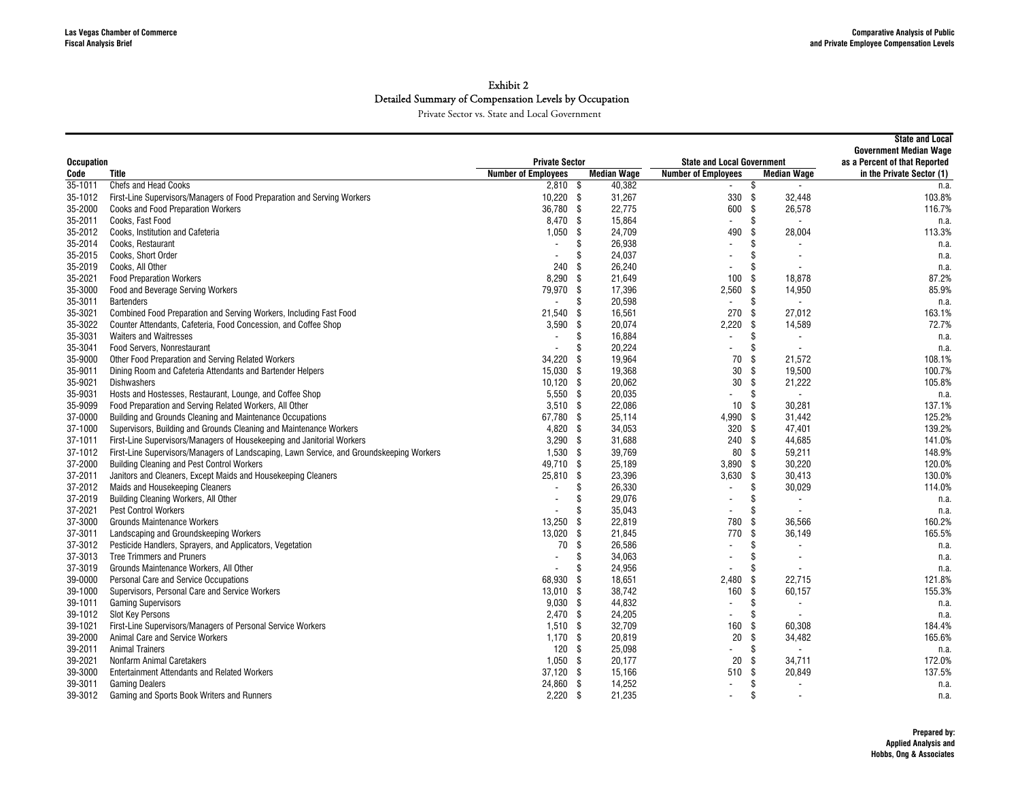|                     |                                                                                          |                                          |      |                              |                                   |          |                                                | <b>State and Local</b><br><b>Government Median Wage</b> |
|---------------------|------------------------------------------------------------------------------------------|------------------------------------------|------|------------------------------|-----------------------------------|----------|------------------------------------------------|---------------------------------------------------------|
| <b>Occupation</b>   |                                                                                          | <b>Private Sector</b>                    |      |                              | <b>State and Local Government</b> |          |                                                | as a Percent of that Reported                           |
| Code<br>$35 - 1011$ | Title<br><b>Chefs and Head Cooks</b>                                                     | <b>Number of Employees</b><br>$2,810$ \$ |      | <b>Median Wage</b><br>40,382 | <b>Number of Employees</b>        |          | <b>Median Wage</b><br>$\overline{\phantom{a}}$ | in the Private Sector (1)                               |
|                     | First-Line Supervisors/Managers of Food Preparation and Serving Workers                  | $10,220$ \$                              |      | 31,267                       | $\sim$<br>330                     | \$<br>\$ |                                                | n.a.<br>103.8%                                          |
| 35-1012             |                                                                                          |                                          |      |                              |                                   |          | 32.448                                         |                                                         |
| 35-2000             | <b>Cooks and Food Preparation Workers</b>                                                | 36,780 \$                                |      | 22,775                       | 600                               | \$       | 26,578                                         | 116.7%                                                  |
| 35-2011             | Cooks, Fast Food                                                                         | 8,470 \$                                 |      | 15,864                       | $\overline{\phantom{a}}$          | \$       | $\overline{\phantom{a}}$                       | n.a.                                                    |
| 35-2012             | Cooks, Institution and Cafeteria                                                         | 1,050                                    | - \$ | 24,709                       | 490                               | Ŝ.       | 28,004                                         | 113.3%                                                  |
| 35-2014             | Cooks, Restaurant                                                                        | $\overline{a}$                           | \$   | 26,938                       | $\overline{\phantom{a}}$          | \$       |                                                | n.a.                                                    |
| 35-2015             | Cooks, Short Order                                                                       |                                          | \$   | 24,037                       | $\overline{\phantom{a}}$          | \$       |                                                | n.a.                                                    |
| 35-2019             | Cooks, All Other                                                                         | 240                                      | -\$  | 26,240                       | $\overline{\phantom{a}}$          | \$       |                                                | n.a.                                                    |
| 35-2021             | <b>Food Preparation Workers</b>                                                          | 8,290                                    | -\$  | 21,649                       | 100                               | Ŝ.       | 18.878                                         | 87.2%                                                   |
| 35-3000             | Food and Beverage Serving Workers                                                        | 79,970 \$                                |      | 17,396                       | 2,560                             | -\$      | 14,950                                         | 85.9%                                                   |
| 35-3011             | <b>Bartenders</b>                                                                        | ÷,                                       | \$   | 20,598                       | $\blacksquare$                    | \$       |                                                | n.a.                                                    |
| 35-3021             | Combined Food Preparation and Serving Workers, Including Fast Food                       | 21,540                                   | -\$  | 16,561                       | 270                               | -S       | 27,012                                         | 163.1%                                                  |
| 35-3022             | Counter Attendants, Cafeteria, Food Concession, and Coffee Shop                          | 3,590                                    | - \$ | 20,074                       | 2,220                             | \$       | 14,589                                         | 72.7%                                                   |
| 35-3031             | <b>Waiters and Waitresses</b>                                                            | $\blacksquare$                           | \$   | 16,884                       | $\blacksquare$                    | \$       |                                                | n.a.                                                    |
| 35-3041             | Food Servers, Nonrestaurant                                                              | $\overline{a}$                           | \$   | 20,224                       |                                   | \$       |                                                | n.a.                                                    |
| 35-9000             | Other Food Preparation and Serving Related Workers                                       | 34,220                                   | -S   | 19,964                       | 70                                | Ŝ.       | 21,572                                         | 108.1%                                                  |
| 35-9011             | Dining Room and Cafeteria Attendants and Bartender Helpers                               | 15,030 \$                                |      | 19,368                       | 30                                | S.       | 19.500                                         | 100.7%                                                  |
| 35-9021             | <b>Dishwashers</b>                                                                       | 10,120                                   | - \$ | 20,062                       | 30                                | \$       | 21,222                                         | 105.8%                                                  |
| 35-9031             | Hosts and Hostesses, Restaurant, Lounge, and Coffee Shop                                 | $5,550$ \$                               |      | 20,035                       |                                   | \$       |                                                | n.a.                                                    |
| 35-9099             | Food Preparation and Serving Related Workers, All Other                                  | 3,510                                    | - \$ | 22,086                       | 10                                | -S       | 30.281                                         | 137.1%                                                  |
| 37-0000             | Building and Grounds Cleaning and Maintenance Occupations                                | 67,780 \$                                |      | 25,114                       | 4,990 \$                          |          | 31,442                                         | 125.2%                                                  |
| 37-1000             | Supervisors, Building and Grounds Cleaning and Maintenance Workers                       | 4,820                                    | - \$ | 34,053                       | 320                               | -\$      | 47.401                                         | 139.2%                                                  |
| 37-1011             | First-Line Supervisors/Managers of Housekeeping and Janitorial Workers                   | $3,290$ \$                               |      | 31,688                       | 240                               | -\$      | 44,685                                         | 141.0%                                                  |
| 37-1012             | First-Line Supervisors/Managers of Landscaping, Lawn Service, and Groundskeeping Workers | $1,530$ \$                               |      | 39,769                       | 80                                | \$       | 59,211                                         | 148.9%                                                  |
| 37-2000             | <b>Building Cleaning and Pest Control Workers</b>                                        | 49,710 \$                                |      | 25,189                       | 3,890                             | -\$      | 30,220                                         | 120.0%                                                  |
| 37-2011             | Janitors and Cleaners, Except Maids and Housekeeping Cleaners                            | 25,810                                   | - \$ | 23,396                       | 3,630                             | \$       | 30,413                                         | 130.0%                                                  |
| 37-2012             | Maids and Housekeeping Cleaners                                                          | $\blacksquare$                           | \$   | 26,330                       | $\overline{\phantom{a}}$          | \$       | 30,029                                         | 114.0%                                                  |
| 37-2019             | Building Cleaning Workers, All Other                                                     |                                          | \$   | 29,076                       | $\overline{\phantom{a}}$          | \$       |                                                | n.a.                                                    |
| 37-2021             | <b>Pest Control Workers</b>                                                              |                                          | S    | 35,043                       | $\overline{\phantom{a}}$          | \$       | $\overline{\phantom{a}}$                       | n.a.                                                    |
| 37-3000             | Grounds Maintenance Workers                                                              | 13,250                                   | -\$  | 22,819                       | 780                               | \$       | 36,566                                         | 160.2%                                                  |
| 37-3011             | Landscaping and Groundskeeping Workers                                                   | 13,020                                   | \$   | 21,845                       | 770                               | Ŝ.       | 36,149                                         | 165.5%                                                  |
|                     |                                                                                          | 70                                       |      | 26,586                       | $\overline{\phantom{a}}$          | \$       |                                                |                                                         |
| 37-3012             | Pesticide Handlers, Sprayers, and Applicators, Vegetation                                |                                          | \$   |                              |                                   | \$       |                                                | n.a.                                                    |
| 37-3013             | Tree Trimmers and Pruners                                                                | $\overline{a}$                           | \$   | 34,063                       | $\blacksquare$                    |          |                                                | n.a.                                                    |
| 37-3019             | Grounds Maintenance Workers, All Other                                                   |                                          | \$   | 24,956                       |                                   | \$       |                                                | n.a.                                                    |
| 39-0000             | Personal Care and Service Occupations                                                    | 68,930                                   | -\$  | 18,651                       | 2,480                             | \$       | 22,715                                         | 121.8%                                                  |
| 39-1000             | Supervisors, Personal Care and Service Workers                                           | 13,010                                   | - \$ | 38,742                       | 160                               | \$       | 60,157                                         | 155.3%                                                  |
| 39-1011             | <b>Gaming Supervisors</b>                                                                | $9,030$ \$                               |      | 44,832                       |                                   | \$       |                                                | n.a.                                                    |
| 39-1012             | <b>Slot Key Persons</b>                                                                  | $2,470$ \$                               |      | 24,205                       | $\blacksquare$                    | \$       |                                                | n.a.                                                    |
| 39-1021             | First-Line Supervisors/Managers of Personal Service Workers                              | $1,510$ \$                               |      | 32,709                       | 160                               | \$       | 60,308                                         | 184.4%                                                  |
| 39-2000             | Animal Care and Service Workers                                                          | $1,170$ \$                               |      | 20,819                       | 20                                | Ŝ.       | 34,482                                         | 165.6%                                                  |
| 39-2011             | <b>Animal Trainers</b>                                                                   | 120                                      | - \$ | 25,098                       |                                   | \$       | $\overline{\phantom{a}}$                       | n.a.                                                    |
| 39-2021             | Nonfarm Animal Caretakers                                                                | $1,050$ \$                               |      | 20,177                       | 20                                | \$       | 34.711                                         | 172.0%                                                  |
| 39-3000             | <b>Entertainment Attendants and Related Workers</b>                                      | $37,120$ \$                              |      | 15,166                       | 510                               | \$       | 20,849                                         | 137.5%                                                  |
| 39-3011             | <b>Gaming Dealers</b>                                                                    | 24,860 \$                                |      | 14,252                       | $\blacksquare$                    | \$       |                                                | n.a.                                                    |
| 39-3012             | Gaming and Sports Book Writers and Runners                                               | $2,220$ \$                               |      | 21,235                       | $\blacksquare$                    | \$       |                                                | n.a.                                                    |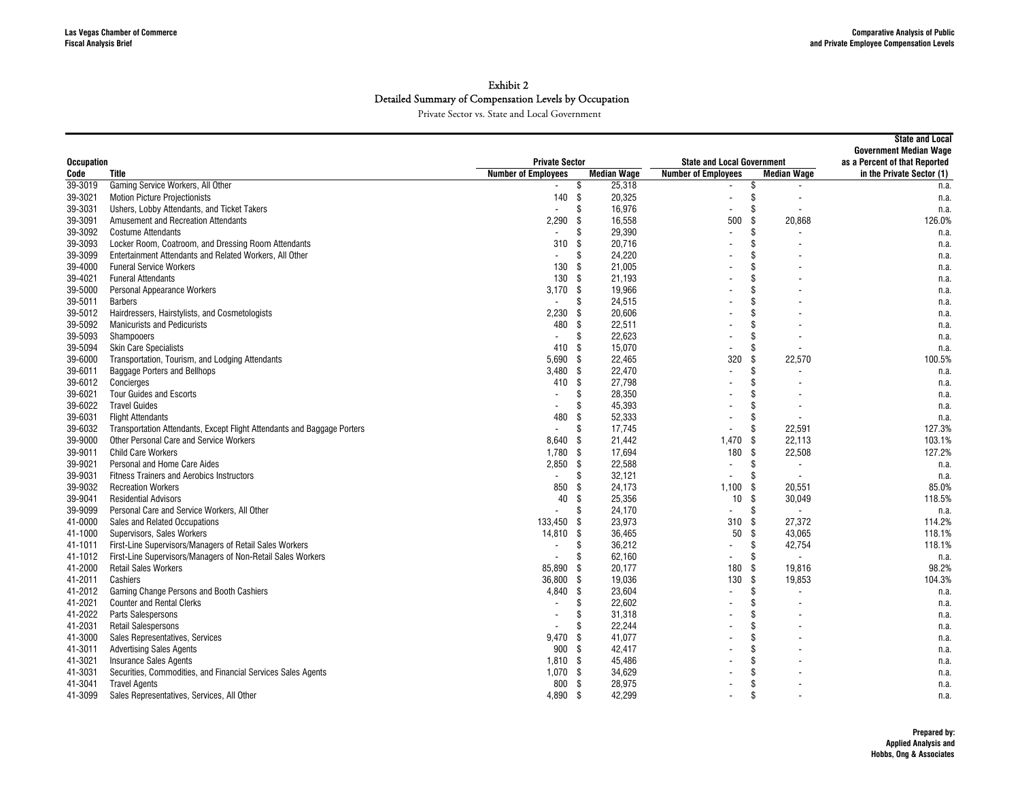|                   |                                                                         |                            |                    |        |                                   |                                | <b>State and Local</b><br><b>Government Median Wage</b> |
|-------------------|-------------------------------------------------------------------------|----------------------------|--------------------|--------|-----------------------------------|--------------------------------|---------------------------------------------------------|
| <b>Occupation</b> |                                                                         | <b>Private Sector</b>      |                    |        | <b>State and Local Government</b> | as a Percent of that Reported  |                                                         |
| Code              | Title                                                                   | <b>Number of Employees</b> | <b>Median Wage</b> |        | <b>Number of Employees</b>        | <b>Median Wage</b>             | in the Private Sector (1)                               |
| 39-3019           | Gaming Service Workers, All Other                                       |                            | \$                 | 25,318 |                                   | \$                             | n.a.                                                    |
| 39-3021           | <b>Motion Picture Projectionists</b>                                    | 140                        | \$                 | 20,325 | $\blacksquare$                    | \$                             | n.a.                                                    |
| 39-3031           | Ushers, Lobby Attendants, and Ticket Takers                             |                            | \$                 | 16,976 | $\blacksquare$                    | \$                             | n.a.                                                    |
| 39-3091           | Amusement and Recreation Attendants                                     | 2,290                      | \$                 | 16,558 | 500                               | 20,868<br>\$                   | 126.0%                                                  |
| 39-3092           | <b>Costume Attendants</b>                                               |                            | \$                 | 29,390 |                                   | \$                             | n.a.                                                    |
| 39-3093           | Locker Room, Coatroom, and Dressing Room Attendants                     | 310                        | \$                 | 20,716 |                                   |                                | n.a.                                                    |
| 39-3099           | Entertainment Attendants and Related Workers, All Other                 |                            | \$                 | 24,220 |                                   |                                | n.a.                                                    |
| 39-4000           | <b>Funeral Service Workers</b>                                          | 130                        | -\$                | 21,005 |                                   |                                | n.a.                                                    |
| 39-4021           | <b>Funeral Attendants</b>                                               | 130                        | -\$                | 21,193 |                                   |                                | n.a.                                                    |
| 39-5000           | Personal Appearance Workers                                             | 3,170                      | - \$               | 19,966 |                                   | \$                             | n.a.                                                    |
| 39-5011           | <b>Barbers</b>                                                          | $\overline{\phantom{a}}$   | \$                 | 24,515 |                                   |                                | n.a.                                                    |
| 39-5012           | Hairdressers, Hairstylists, and Cosmetologists                          | 2,230                      | \$                 | 20,606 |                                   |                                | n.a.                                                    |
| 39-5092           | <b>Manicurists and Pedicurists</b>                                      | 480                        | \$<br>22,511       |        |                                   |                                | n.a.                                                    |
| 39-5093           | Shampooers                                                              |                            | \$                 | 22,623 |                                   |                                | n.a.                                                    |
| 39-5094           | <b>Skin Care Specialists</b>                                            | 410                        | -\$                | 15,070 |                                   | \$.                            | n.a.                                                    |
| 39-6000           | Transportation, Tourism, and Lodging Attendants                         | 5,690                      | \$                 | 22,465 | 320                               | 22,570<br>\$                   | 100.5%                                                  |
| 39-6011           | Baggage Porters and Bellhops                                            | 3,480                      | \$                 | 22,470 |                                   | \$.                            | n.a.                                                    |
| 39-6012           | Concierges                                                              | 410                        | \$                 | 27,798 |                                   |                                | n.a.                                                    |
| 39-6021           | <b>Tour Guides and Escorts</b>                                          |                            | \$                 | 28,350 |                                   |                                | n.a.                                                    |
| 39-6022           | <b>Travel Guides</b>                                                    |                            | S                  | 45,393 |                                   |                                | n.a.                                                    |
| 39-6031           | <b>Flight Attendants</b>                                                | 480                        | -\$                | 52,333 | $\blacksquare$                    |                                | n.a.                                                    |
| 39-6032           | Transportation Attendants, Except Flight Attendants and Baggage Porters |                            | \$                 | 17,745 |                                   | 22.591<br>.S                   | 127.3%                                                  |
| 39-9000           | Other Personal Care and Service Workers                                 | 8,640                      | -\$                | 21,442 | 1,470                             | - \$<br>22,113                 | 103.1%                                                  |
| 39-9011           | <b>Child Care Workers</b>                                               | 1,780                      | \$                 | 17,694 | 180                               | 22,508<br>-S                   | 127.2%                                                  |
| 39-9021           | Personal and Home Care Aides                                            | 2,850                      | \$                 | 22,588 | $\blacksquare$                    | \$<br>$\blacksquare$           | n.a.                                                    |
| 39-9031           | <b>Fitness Trainers and Aerobics Instructors</b>                        | $\overline{a}$             | \$<br>32,121       |        |                                   | \$<br>$\overline{\phantom{a}}$ | n.a.                                                    |
| 39-9032           | <b>Recreation Workers</b>                                               | 850                        | \$                 | 24,173 | 1,100                             | - \$<br>20.551                 | 85.0%                                                   |
| 39-9041           | <b>Residential Advisors</b>                                             | 40                         | \$                 | 25,356 | 10 <sup>1</sup>                   | - \$<br>30,049                 | 118.5%                                                  |
| 39-9099           | Personal Care and Service Workers, All Other                            |                            | \$                 | 24,170 | $\blacksquare$                    | \$                             | n.a.                                                    |
| 41-0000           | Sales and Related Occupations                                           | 133,450                    | -S                 | 23,973 | 310                               | 27,372<br>-\$                  | 114.2%                                                  |
| 41-1000           | Supervisors, Sales Workers                                              | 14,810                     | \$                 | 36,465 | 50                                | Ŝ.<br>43,065                   | 118.1%                                                  |
| 41-1011           | First-Line Supervisors/Managers of Retail Sales Workers                 |                            | \$                 | 36,212 | $\overline{a}$                    | 42,754<br>\$.                  | 118.1%                                                  |
| 41-1012           | First-Line Supervisors/Managers of Non-Retail Sales Workers             |                            | \$                 | 62,160 | $\overline{a}$                    | \$.                            | n.a.                                                    |
| 41-2000           | <b>Retail Sales Workers</b>                                             | 85.890                     | -\$                | 20,177 | 180                               | -\$<br>19,816                  | 98.2%                                                   |
| 41-2011           | Cashiers                                                                | 36,800                     | \$                 | 19,036 | 130                               | -\$<br>19,853                  | 104.3%                                                  |
| 41-2012           | Gaming Change Persons and Booth Cashiers                                | 4,840                      | \$                 | 23,604 |                                   | \$                             | n.a.                                                    |
| 41-2021           | <b>Counter and Rental Clerks</b>                                        |                            | \$                 | 22,602 |                                   | \$                             | n.a.                                                    |
| 41-2022           | Parts Salespersons                                                      |                            | \$                 | 31,318 |                                   | \$                             | n.a.                                                    |
| 41-2031           | <b>Retail Salespersons</b>                                              |                            | \$                 | 22,244 |                                   |                                | n.a.                                                    |
| 41-3000           | Sales Representatives, Services                                         | 9,470                      | -\$                | 41,077 |                                   |                                | n.a.                                                    |
| 41-3011           | <b>Advertising Sales Agents</b>                                         | 900                        | -\$                | 42,417 |                                   | \$                             | n.a.                                                    |
| 41-3021           | Insurance Sales Agents                                                  | 1.810                      | -\$                | 45,486 |                                   |                                | n.a.                                                    |
| 41-3031           | Securities, Commodities, and Financial Services Sales Agents            | $1,070$ \$                 |                    | 34,629 |                                   | \$                             | n.a.                                                    |
| 41-3041           | <b>Travel Agents</b>                                                    | 800                        | -\$                | 28,975 |                                   | \$                             | n.a.                                                    |
| 41-3099           | Sales Representatives, Services, All Other                              | 4,890                      | -\$                | 42,299 |                                   | $\mathbf{\hat{s}}$             | n.a.                                                    |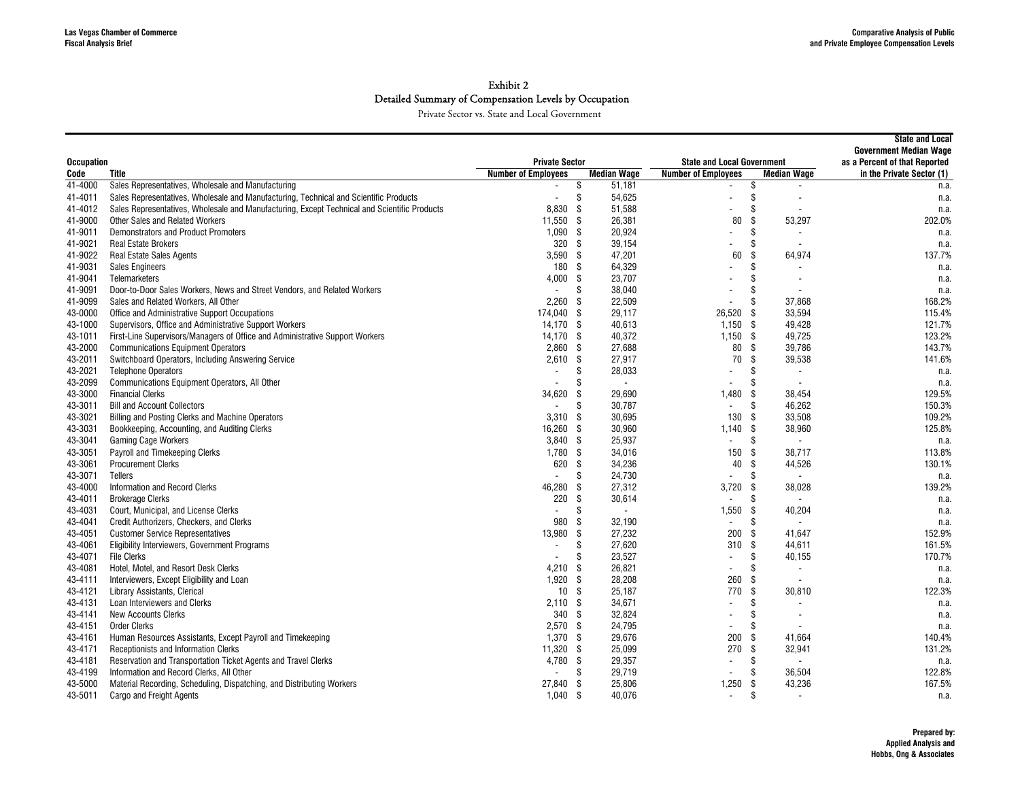|                   |                                                                                              |                            |                      |                                   |                                | <b>State and Local</b><br><b>Government Median Wage</b> |
|-------------------|----------------------------------------------------------------------------------------------|----------------------------|----------------------|-----------------------------------|--------------------------------|---------------------------------------------------------|
| <b>Occupation</b> |                                                                                              | <b>Private Sector</b>      |                      | <b>State and Local Government</b> | as a Percent of that Reported  |                                                         |
| Code              | Title                                                                                        | <b>Number of Employees</b> | <b>Median Wage</b>   | <b>Number of Employees</b>        | <b>Median Wage</b>             | in the Private Sector (1)                               |
| 41-4000           | Sales Representatives, Wholesale and Manufacturing                                           |                            | 51,181<br>\$         |                                   | \$                             | n.a.                                                    |
| 41-4011           | Sales Representatives, Wholesale and Manufacturing, Technical and Scientific Products        | $\blacksquare$             | \$<br>54,625         | $\blacksquare$                    | \$                             | n.a.                                                    |
| 41-4012           | Sales Representatives, Wholesale and Manufacturing, Except Technical and Scientific Products | 8,830                      | \$<br>51,588         | $\blacksquare$                    | \$                             | n.a.                                                    |
| 41-9000           | Other Sales and Related Workers                                                              | 11,550 \$                  | 26,381               | 80                                | \$<br>53,297                   | 202.0%                                                  |
| 41-9011           | <b>Demonstrators and Product Promoters</b>                                                   | 1.090                      | - \$<br>20,924       |                                   | \$                             | n.a.                                                    |
| 41-9021           | <b>Real Estate Brokers</b>                                                                   | 320 \$                     | 39,154               | $\overline{\phantom{a}}$          | \$                             | n.a                                                     |
| 41-9022           | <b>Real Estate Sales Agents</b>                                                              | 3,590                      | 47,201<br>- \$       | 60                                | Ŝ.<br>64,974                   | 137.7%                                                  |
| 41-9031           | <b>Sales Engineers</b>                                                                       | 180                        | - \$<br>64,329       | $\blacksquare$                    | \$.                            | n.a.                                                    |
| 41-9041           | Telemarketers                                                                                | 4,000                      | 23,707<br>-\$        |                                   | \$                             | n.a                                                     |
| 41-9091           | Door-to-Door Sales Workers, News and Street Vendors, and Related Workers                     | $\blacksquare$             | S.<br>38,040         | $\blacksquare$                    | \$                             | n.a.                                                    |
| 41-9099           | Sales and Related Workers, All Other                                                         | 2,260                      | 22,509<br>-\$        | $\overline{a}$                    | \$<br>37,868                   | 168.2%                                                  |
| 43-0000           | Office and Administrative Support Occupations                                                | 174,040 \$                 | 29,117               | 26,520                            | 33,594<br>- \$                 | 115.4%                                                  |
| 43-1000           | Supervisors, Office and Administrative Support Workers                                       | 14,170 \$                  | 40,613               | $1,150$ \$                        | 49,428                         | 121.7%                                                  |
| 43-1011           | First-Line Supervisors/Managers of Office and Administrative Support Workers                 | 14,170 \$                  | 40,372               | $1,150$ \$                        | 49,725                         | 123.2%                                                  |
| 43-2000           | <b>Communications Equipment Operators</b>                                                    | $2.860$ \$                 | 27,688               | 80                                | -S<br>39.786                   | 143.7%                                                  |
| 43-2011           | Switchboard Operators, Including Answering Service                                           | 2,610                      | 27,917<br>-\$        | 70                                | \$<br>39,538                   | 141.6%                                                  |
| 43-2021           | <b>Telephone Operators</b>                                                                   |                            | \$<br>28,033         | $\blacksquare$                    | \$                             | n.a.                                                    |
| 43-2099           | Communications Equipment Operators, All Other                                                |                            | \$<br>$\blacksquare$ | $\overline{a}$                    | \$                             | n.a.                                                    |
| 43-3000           | <b>Financial Clerks</b>                                                                      | 34,620                     | Ŝ.<br>29,690         | 1,480                             | -\$<br>38,454                  | 129.5%                                                  |
| 43-3011           | <b>Bill and Account Collectors</b>                                                           |                            | 30.787<br>S          | $\blacksquare$                    | Ŝ.<br>46.262                   | 150.3%                                                  |
| 43-3021           | Billing and Posting Clerks and Machine Operators                                             | 3,310                      | - \$<br>30,695       | 130S                              | 33,508                         | 109.2%                                                  |
| 43-3031           | Bookkeeping, Accounting, and Auditing Clerks                                                 | 16,260 \$                  | 30,960               | $1.140$ \$                        | 38.960                         | 125.8%                                                  |
| 43-3041           | <b>Gaming Cage Workers</b>                                                                   | $3,840$ \$                 | 25,937               | $\blacksquare$                    | \$<br>$\blacksquare$           | n.a                                                     |
| 43-3051           | Payroll and Timekeeping Clerks                                                               | $1,780$ \$                 | 34,016               | 150                               | -S<br>38,717                   | 113.8%                                                  |
| 43-3061           | <b>Procurement Clerks</b>                                                                    | 620                        | - \$<br>34,236       | 40                                | 44,526<br>Ŝ.                   | 130.1%                                                  |
| 43-3071           | Tellers                                                                                      | $\overline{a}$             | \$<br>24,730         | $\overline{\phantom{a}}$          | \$                             | n.a.                                                    |
| 43-4000           | Information and Record Clerks                                                                | 46,280                     | -\$<br>27,312        | 3.720                             | -\$<br>38.028                  | 139.2%                                                  |
| 43-4011           | <b>Brokerage Clerks</b>                                                                      | 220                        | \$<br>30,614         | $\overline{\phantom{a}}$          | \$                             | n.a.                                                    |
| 43-4031           | Court, Municipal, and License Clerks                                                         |                            | \$<br>$\sim$         | 1,550                             | -S<br>40,204                   | n.a.                                                    |
| 43-4041           | Credit Authorizers, Checkers, and Clerks                                                     | 980                        | - \$<br>32,190       | $\blacksquare$                    | \$                             | n.a.                                                    |
| 43-4051           | <b>Customer Service Representatives</b>                                                      | 13,980                     | \$<br>27,232         | 200                               | \$<br>41,647                   | 152.9%                                                  |
| 43-4061           | Eligibility Interviewers, Government Programs                                                | $\overline{\phantom{a}}$   | 27,620<br>\$         | 310                               | -S<br>44,611                   | 161.5%                                                  |
| 43-4071           | <b>File Clerks</b>                                                                           |                            | \$<br>23,527         | $\blacksquare$                    | \$<br>40,155                   | 170.7%                                                  |
| 43-4081           | Hotel, Motel, and Resort Desk Clerks                                                         | 4,210                      | - \$<br>26,821       | $\blacksquare$                    | \$                             | n.a.                                                    |
| 43-4111           | Interviewers, Except Eligibility and Loan                                                    | 1,920                      | 28,208<br>-\$        | 260                               | \$<br>$\overline{\phantom{a}}$ | n.a                                                     |
| 43-4121           | Library Assistants, Clerical                                                                 | 10                         | -\$<br>25,187        | 770                               | -S<br>30,810                   | 122.3%                                                  |
| 43-4131           | Loan Interviewers and Clerks                                                                 | $2,110$ \$                 | 34,671               | $\overline{a}$                    | \$                             | n.a.                                                    |
| 43-4141           | <b>New Accounts Clerks</b>                                                                   | 340 \$                     | 32,824               | $\overline{\phantom{a}}$          | \$                             |                                                         |
| 43-4151           | <b>Order Clerks</b>                                                                          | $2,570$ \$                 | 24,795               | $\overline{\phantom{a}}$          | $\overline{\phantom{a}}$<br>\$ | n.a.                                                    |
|                   |                                                                                              |                            |                      |                                   |                                | n.a.                                                    |
| 43-4161           | Human Resources Assistants, Except Payroll and Timekeeping                                   | $1,370$ \$                 | 29,676               | 200                               | \$<br>41,664                   | 140.4%                                                  |
| 43-4171           | Receptionists and Information Clerks                                                         | 11,320 \$                  | 25,099               | 270                               | \$<br>32,941                   | 131.2%                                                  |
| 43-4181           | Reservation and Transportation Ticket Agents and Travel Clerks                               | 4,780                      | -\$<br>29,357        | $\overline{\phantom{a}}$          | Ŝ.                             | n.a.                                                    |
| 43-4199           | Information and Record Clerks, All Other                                                     |                            | \$<br>29,719         |                                   | \$<br>36,504                   | 122.8%                                                  |
| 43-5000           | Material Recording, Scheduling, Dispatching, and Distributing Workers                        | 27,840                     | -\$<br>25,806        | 1,250                             | \$<br>43,236                   | 167.5%                                                  |
| 43-5011           | Cargo and Freight Agents                                                                     | $1,040$ \$                 | 40,076               | $\overline{\phantom{a}}$          | \$                             | n.a                                                     |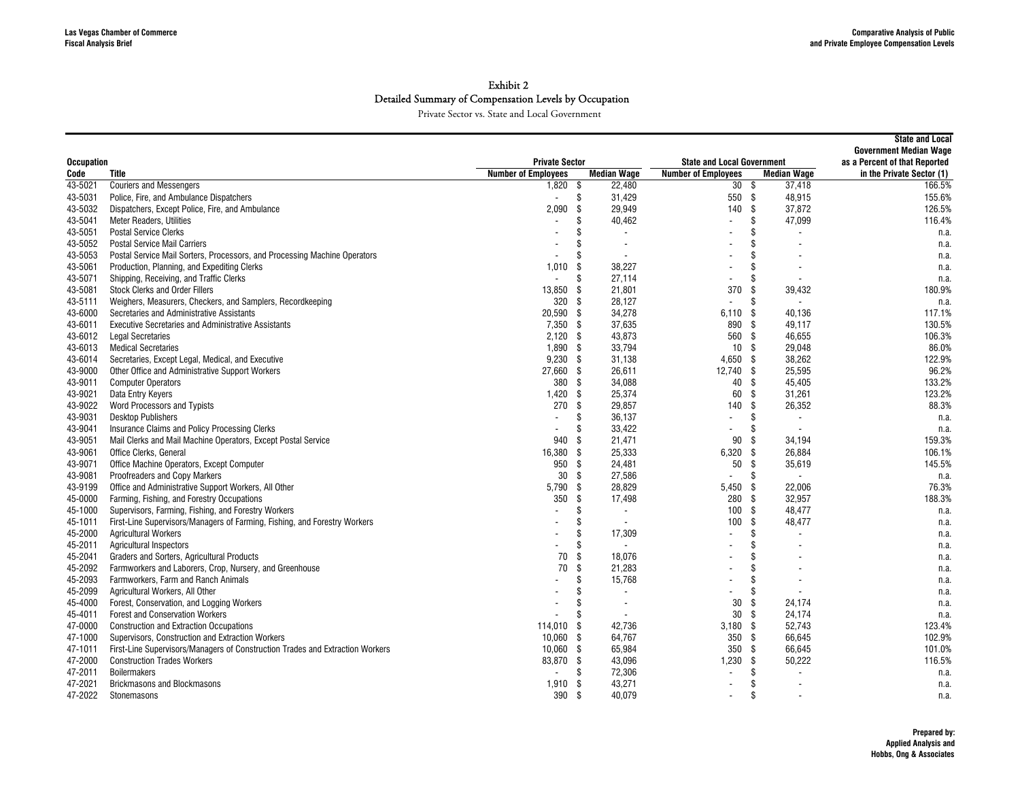|                   |                                                                               |                            | <b>State and Local</b><br><b>Government Median Wage</b> |                                   |                                 |                           |
|-------------------|-------------------------------------------------------------------------------|----------------------------|---------------------------------------------------------|-----------------------------------|---------------------------------|---------------------------|
| <b>Occupation</b> |                                                                               | <b>Private Sector</b>      |                                                         | <b>State and Local Government</b> | as a Percent of that Reported   |                           |
| Code              | Title                                                                         | <b>Number of Employees</b> | <b>Median Wage</b>                                      | <b>Number of Employees</b>        | <b>Median Wage</b>              | in the Private Sector (1) |
| 43-5021           | <b>Couriers and Messengers</b>                                                | $1,820$ \$                 | 22,480                                                  | 30 <sup>5</sup>                   | 37,418                          | 166.5%                    |
| 43-5031           | Police, Fire, and Ambulance Dispatchers                                       |                            | \$<br>31,429                                            | 550 \$                            | 48.915                          | 155.6%                    |
| 43-5032           | Dispatchers, Except Police, Fire, and Ambulance                               | 2,090                      | \$<br>29,949                                            | 140                               | - \$<br>37,872                  | 126.5%                    |
| 43-5041           | <b>Meter Readers, Utilities</b>                                               |                            | 40,462<br>\$                                            | $\blacksquare$                    | 47,099<br>\$                    | 116.4%                    |
| 43-5051           | <b>Postal Service Clerks</b>                                                  |                            | Ŝ<br>$\sim$                                             |                                   | \$                              | n.a.                      |
| 43-5052           | <b>Postal Service Mail Carriers</b>                                           |                            | \$<br>$\overline{\phantom{a}}$                          |                                   | \$                              | n.a.                      |
| 43-5053           | Postal Service Mail Sorters, Processors, and Processing Machine Operators     |                            | \$<br>$\overline{\phantom{a}}$                          |                                   |                                 | n.a.                      |
| 43-5061           | Production, Planning, and Expediting Clerks                                   | 1,010                      | 38,227<br>-\$                                           | $\blacksquare$                    |                                 | n.a.                      |
| 43-5071           | Shipping, Receiving, and Traffic Clerks                                       | $\blacksquare$             | \$<br>27,114                                            | $\blacksquare$                    | \$                              | n.a.                      |
| 43-5081           | <b>Stock Clerks and Order Fillers</b>                                         | 13,850                     | 21,801<br>- \$                                          | 370                               | 39,432<br>-S                    | 180.9%                    |
| 43-5111           | Weighers, Measurers, Checkers, and Samplers, Recordkeeping                    | 320                        | - \$<br>28,127                                          | ÷,                                | Ŝ.                              | n.a.                      |
| 43-6000           | Secretaries and Administrative Assistants                                     | 20,590                     | -\$<br>34,278                                           | $6.110$ \$                        | 40,136                          | 117.1%                    |
| 43-6011           | <b>Executive Secretaries and Administrative Assistants</b>                    | $7,350$ \$                 | 37,635                                                  | 890                               | -\$<br>49,117                   | 130.5%                    |
| 43-6012           | <b>Legal Secretaries</b>                                                      | $2,120$ \$                 | 43,873                                                  | 560 \$                            | 46,655                          | 106.3%                    |
| 43-6013           | <b>Medical Secretaries</b>                                                    | 1.890                      | 33,794<br>- \$                                          | 10S                               | 29.048                          | 86.0%                     |
| 43-6014           | Secretaries, Except Legal, Medical, and Executive                             | 9,230                      | -\$<br>31,138                                           | $4,650$ \$                        | 38.262                          | 122.9%                    |
| 43-9000           | Other Office and Administrative Support Workers                               | 27,660                     | - \$<br>26,611                                          | 12,740 \$                         | 25,595                          | 96.2%                     |
| 43-9011           | <b>Computer Operators</b>                                                     | 380 \$                     | 34,088                                                  | 40                                | \$<br>45,405                    | 133.2%                    |
| 43-9021           | Data Entry Keyers                                                             | 1,420                      | \$<br>25,374                                            | 60                                | - \$<br>31,261                  | 123.2%                    |
| 43-9022           | Word Processors and Typists                                                   | 270                        | \$<br>29,857                                            | 140                               | -S<br>26,352                    | 88.3%                     |
| 43-9031           | <b>Desktop Publishers</b>                                                     |                            | \$<br>36,137                                            | $\blacksquare$                    | \$<br>$\overline{\phantom{a}}$  | n.a.                      |
| 43-9041           | Insurance Claims and Policy Processing Clerks                                 |                            | S<br>33,422                                             | $\blacksquare$                    | \$.<br>$\overline{\phantom{a}}$ | n.a.                      |
| 43-9051           | Mail Clerks and Mail Machine Operators, Except Postal Service                 | 940                        | - \$<br>21,471                                          | 90                                | 34,194<br>- \$                  | 159.3%                    |
| 43-9061           | Office Clerks, General                                                        | 16,380                     | 25,333<br>-\$                                           | 6,320                             | - \$<br>26,884                  | 106.1%                    |
| 43-9071           |                                                                               | 950 \$                     | 24,481                                                  | 50 \$                             | 35,619                          | 145.5%                    |
| 43-9081           | Office Machine Operators, Except Computer                                     | 30 <sup>°</sup>            | 27,586                                                  | $\overline{a}$                    | \$                              |                           |
|                   | Proofreaders and Copy Markers                                                 |                            | \$                                                      |                                   |                                 | n.a.                      |
| 43-9199           | Office and Administrative Support Workers, All Other                          | 5,790                      | \$<br>28,829                                            | 5,450                             | 22,006<br>- \$                  | 76.3%                     |
| 45-0000           | Farming, Fishing, and Forestry Occupations                                    | 350                        | \$<br>17,498                                            | 280                               | - \$<br>32,957                  | 188.3%                    |
| 45-1000           | Supervisors, Farming, Fishing, and Forestry Workers                           |                            | S<br>$\overline{\phantom{a}}$                           | 100                               | -\$<br>48.477                   | n.a.                      |
| 45-1011           | First-Line Supervisors/Managers of Farming, Fishing, and Forestry Workers     |                            | \$<br>$\overline{\phantom{a}}$                          | 100                               | Ŝ.<br>48,477                    | n.a.                      |
| 45-2000           | <b>Agricultural Workers</b>                                                   |                            | Ŝ<br>17,309                                             |                                   | \$                              | n.a.                      |
| 45-2011           | <b>Agricultural Inspectors</b>                                                |                            | \$<br>$\blacksquare$                                    |                                   | \$                              | n.a.                      |
| 45-2041           | Graders and Sorters, Agricultural Products                                    | 70                         | \$<br>18,076                                            |                                   |                                 | n.a.                      |
| 45-2092           | Farmworkers and Laborers, Crop, Nursery, and Greenhouse                       | 70                         | \$<br>21,283                                            |                                   |                                 | n.a.                      |
| 45-2093           | Farmworkers, Farm and Ranch Animals                                           |                            | \$<br>15,768                                            | $\overline{\phantom{a}}$          | \$                              | n.a.                      |
| 45-2099           | Agricultural Workers, All Other                                               |                            | S<br>$\overline{\phantom{a}}$                           | $\blacksquare$                    |                                 | n.a.                      |
| 45-4000           | Forest, Conservation, and Logging Workers                                     |                            | ß.<br>$\overline{\phantom{a}}$                          | 30                                | 24.174<br>-S                    | n.a.                      |
| 45-4011           | <b>Forest and Conservation Workers</b>                                        |                            | \$<br>$\overline{\phantom{a}}$                          | 30 <sup>5</sup>                   | 24,174                          | n.a.                      |
| 47-0000           | <b>Construction and Extraction Occupations</b>                                | 114,010                    | 42,736<br>-\$                                           | $3,180$ \$                        | 52,743                          | 123.4%                    |
| 47-1000           | Supervisors, Construction and Extraction Workers                              | 10,060                     | \$<br>64,767                                            | 350 <sup>5</sup>                  | 66,645                          | 102.9%                    |
| 47-1011           | First-Line Supervisors/Managers of Construction Trades and Extraction Workers | 10,060                     | \$<br>65,984                                            | 350                               | - \$<br>66,645                  | 101.0%                    |
| 47-2000           | <b>Construction Trades Workers</b>                                            | 83.870                     | -\$<br>43,096                                           | $1,230$ \$                        | 50,222                          | 116.5%                    |
| 47-2011           | <b>Boilermakers</b>                                                           |                            | \$<br>72,306                                            | $\overline{\phantom{a}}$          | \$                              | n.a.                      |
| 47-2021           | <b>Brickmasons and Blockmasons</b>                                            | 1,910                      | -\$<br>43,271                                           | ÷,                                | \$                              | n.a.                      |
| 47-2022           | Stonemasons                                                                   | 390                        | 40,079<br>-\$                                           |                                   | \$                              | n.a.                      |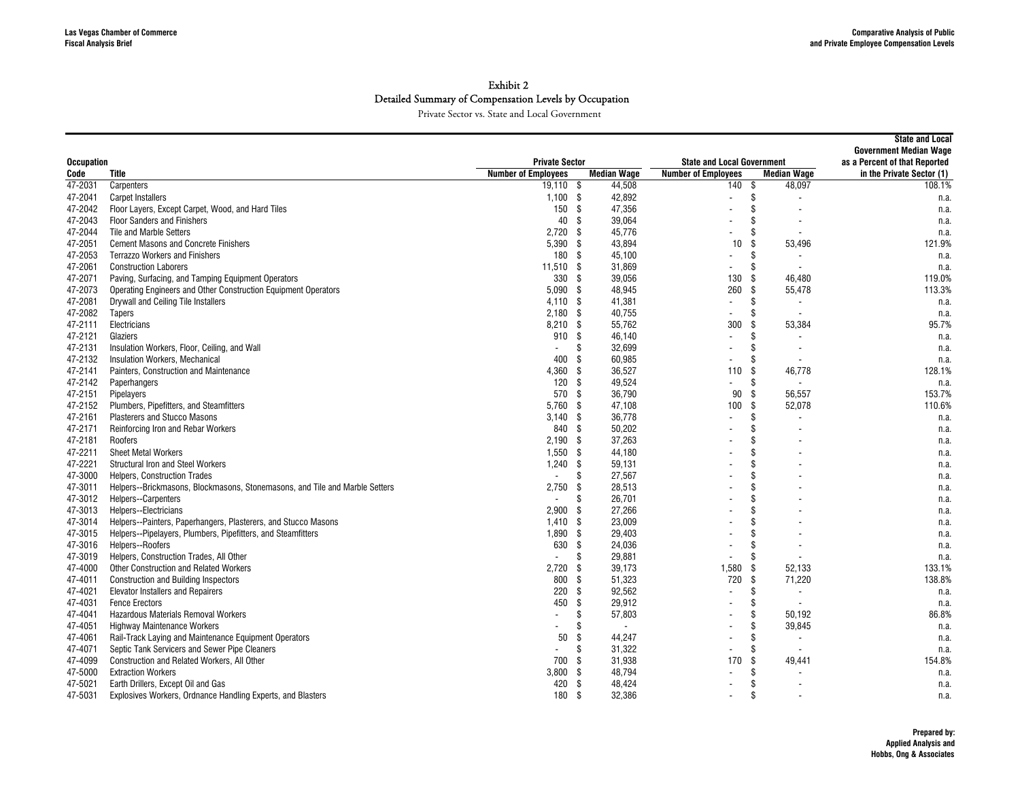| <b>Occupation</b>  |                                                                                             | <b>Private Sector</b>      |           |                          | <b>State and Local Government</b> | <b>State and Local</b><br><b>Government Median Wage</b><br>as a Percent of that Reported |                           |
|--------------------|---------------------------------------------------------------------------------------------|----------------------------|-----------|--------------------------|-----------------------------------|------------------------------------------------------------------------------------------|---------------------------|
| Code               | Title                                                                                       | <b>Number of Employees</b> |           | <b>Median Wage</b>       | <b>Number of Employees</b>        | <b>Median Wage</b>                                                                       | in the Private Sector (1) |
| 47-2031            | Carpenters                                                                                  | $19,110$ \$                |           | 44,508                   | 140 \$                            | 48,097                                                                                   | 108.1%                    |
| 47-2041            | <b>Carpet Installers</b>                                                                    | $1.100$ \$                 |           | 42,892                   | $\overline{a}$                    | \$                                                                                       | n.a.                      |
| 47-2042            | Floor Layers, Except Carpet, Wood, and Hard Tiles                                           | 150 \$                     |           | 47,356                   | $\blacksquare$                    | \$                                                                                       | n.a.                      |
| 47-2043            | <b>Floor Sanders and Finishers</b>                                                          | 40                         | - \$      | 39,064                   |                                   | \$                                                                                       | n.a.                      |
| 47-2044            | Tile and Marble Setters                                                                     | 2,720                      | - \$      | 45,776                   |                                   | \$                                                                                       | n.a.                      |
| 47-2051            | <b>Cement Masons and Concrete Finishers</b>                                                 | 5,390                      | - \$      | 43,894                   | 10                                | \$<br>53,496                                                                             | 121.9%                    |
| 47-2053            | <b>Terrazzo Workers and Finishers</b>                                                       | 180                        | - \$      | 45,100                   |                                   | \$                                                                                       | n.a.                      |
| 47-2061            | <b>Construction Laborers</b>                                                                | $11,510$ \$                |           | 31,869                   |                                   | \$                                                                                       | n.a.                      |
| 47-2071            | Paving, Surfacing, and Tamping Equipment Operators                                          | 330                        | - \$      | 39,056                   | 130                               | \$<br>46.480                                                                             | 119.0%                    |
| 47-2073            | Operating Engineers and Other Construction Equipment Operators                              | 5,090                      | - \$      | 48,945                   | 260                               | -S<br>55,478                                                                             | 113.3%                    |
| 47-2081            | Drywall and Ceiling Tile Installers                                                         | $4,110$ \$                 |           | 41,381                   | $\blacksquare$                    | \$                                                                                       | n.a.                      |
| 47-2082            | Tapers                                                                                      | $2,180$ \$                 |           | 40,755                   | $\blacksquare$                    | \$                                                                                       | n.a.                      |
| 47-2111            | Electricians                                                                                | 8,210 \$                   |           | 55,762                   | 300                               | \$<br>53,384                                                                             | 95.7%                     |
| 47-2121            | Glaziers                                                                                    | 910                        | - \$      | 46,140                   | $\overline{\phantom{a}}$          | \$                                                                                       | n.a.                      |
| 47-2131            | Insulation Workers, Floor, Ceiling, and Wall                                                |                            | \$        | 32,699                   |                                   | \$                                                                                       | n.a.                      |
| 47-2132            | Insulation Workers, Mechanical                                                              | 400                        | -\$       | 60.985                   | $\blacksquare$                    | Ŝ.                                                                                       | n.a.                      |
| 47-2141            | Painters, Construction and Maintenance                                                      | 4,360                      | -\$       | 36,527                   | 110                               | \$<br>46,778                                                                             | 128.1%                    |
| 47-2142            | Paperhangers                                                                                | 120                        | - \$      | 49,524                   | $\overline{\phantom{a}}$          | \$                                                                                       |                           |
| 47-2151            | Pipelayers                                                                                  | 570                        | \$        | 36,790                   | 90                                | -S<br>56,557                                                                             | n.a.<br>153.7%            |
| 47-2152            | Plumbers, Pipefitters, and Steamfitters                                                     | 5,760                      | \$        | 47,108                   | 100                               | \$<br>52,078                                                                             | 110.6%                    |
| 47-2161            | <b>Plasterers and Stucco Masons</b>                                                         | 3.140                      | - \$      | 36,778                   | $\overline{\phantom{a}}$          | \$                                                                                       |                           |
| 47-2171            | Reinforcing Iron and Rebar Workers                                                          | 840                        | -\$       | 50,202                   |                                   | \$                                                                                       | n.a.                      |
| 47-2181            | Roofers                                                                                     | 2.190S                     |           | 37,263                   |                                   |                                                                                          | n.a.<br>n.a.              |
| 47-2211            | <b>Sheet Metal Workers</b>                                                                  | $1,550$ \$                 |           | 44,180                   |                                   | \$                                                                                       |                           |
| 47-2221            | <b>Structural Iron and Steel Workers</b>                                                    | $1,240$ \$                 |           | 59,131                   |                                   | \$                                                                                       | n.a.                      |
| 47-3000            | <b>Helpers, Construction Trades</b>                                                         | $\overline{\phantom{a}}$   | \$        | 27,567                   |                                   | \$                                                                                       | n.a.                      |
| 47-3011            | Helpers--Brickmasons, Blockmasons, Stonemasons, and Tile and Marble Setters                 | 2,750                      | -\$       | 28,513                   |                                   | \$                                                                                       | n.a.                      |
| 47-3012            | Helpers--Carpenters                                                                         | $\overline{a}$             | \$        | 26,701                   |                                   | \$                                                                                       | n.a.<br>n.a.              |
| 47-3013            | Helpers--Electricians                                                                       | 2.900                      | -\$       | 27,266                   |                                   | \$                                                                                       |                           |
| 47-3014            | Helpers--Painters, Paperhangers, Plasterers, and Stucco Masons                              | 1,410                      | - \$      | 23,009                   |                                   | \$                                                                                       | n.a.                      |
| 47-3015            | Helpers--Pipelayers, Plumbers, Pipefitters, and Steamfitters                                | 1,890                      | -\$       | 29,403                   |                                   | \$                                                                                       | n.a.                      |
| 47-3016            | Helpers--Roofers                                                                            | 630                        | \$        | 24,036                   |                                   | \$                                                                                       | n.a.                      |
| 47-3019            | Helpers, Construction Trades, All Other                                                     | $\overline{a}$             | \$        | 29,881                   |                                   | \$                                                                                       | n.a.<br>n.a.              |
| 47-4000            | <b>Other Construction and Related Workers</b>                                               | 2.720                      | - \$      | 39,173                   | 1.580                             | - \$<br>52,133                                                                           | 133.1%                    |
| 47-4011            | <b>Construction and Building Inspectors</b>                                                 | 800                        | -\$       | 51,323                   | 720                               | -\$<br>71,220                                                                            | 138.8%                    |
| 47-4021            | <b>Elevator Installers and Repairers</b>                                                    | 220                        | - \$      | 92,562                   | $\blacksquare$                    | \$                                                                                       | n.a.                      |
| 47-4031            | <b>Fence Erectors</b>                                                                       | 450                        | \$        | 29,912                   |                                   | \$                                                                                       |                           |
| 47-4041            | Hazardous Materials Removal Workers                                                         | $\overline{a}$             | \$        | 57,803                   | $\overline{\phantom{a}}$          | \$<br>50,192                                                                             | n.a.<br>86.8%             |
| 47-4051            |                                                                                             |                            | \$        | $\overline{\phantom{a}}$ |                                   | \$                                                                                       |                           |
|                    | <b>Highway Maintenance Workers</b><br>Rail-Track Laying and Maintenance Equipment Operators | 50                         | \$        |                          |                                   | 39,845<br>\$                                                                             | n.a.                      |
| 47-4061            |                                                                                             |                            |           | 44,247                   |                                   |                                                                                          | n.a.                      |
| 47-4071            | Septic Tank Servicers and Sewer Pipe Cleaners                                               |                            | \$        | 31,322                   |                                   | \$<br>\$                                                                                 | n.a.                      |
| 47-4099            | Construction and Related Workers, All Other                                                 | 700                        | -\$       | 31,938                   | 170                               | 49,441<br>\$                                                                             | 154.8%                    |
| 47-5000<br>47-5021 | <b>Extraction Workers</b>                                                                   | 3,800<br>420               | -\$<br>-S | 48,794<br>48,424         |                                   | \$                                                                                       | n.a.                      |
|                    | Earth Drillers, Except Oil and Gas                                                          |                            |           | 32,386                   |                                   | \$                                                                                       | n.a.                      |
| 47-5031            | Explosives Workers, Ordnance Handling Experts, and Blasters                                 | 180                        | -\$       |                          | $\overline{\phantom{a}}$          |                                                                                          | n.a.                      |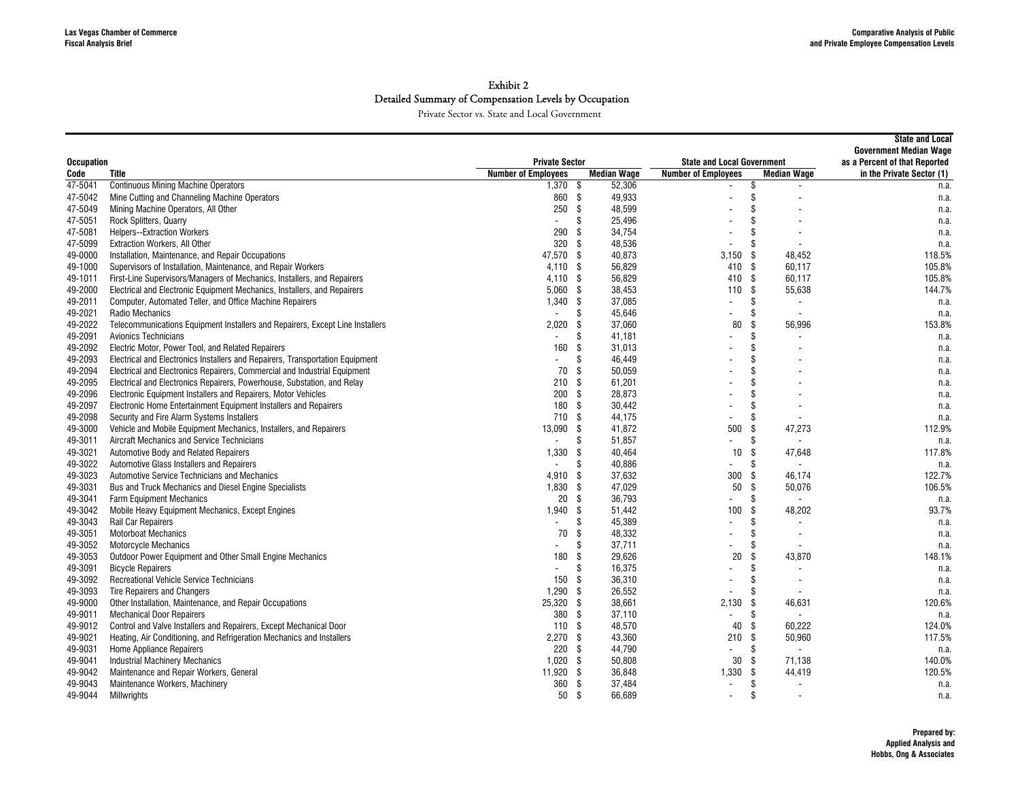| <b>Private Sector</b><br>as a Percent of that Reported<br><b>Occupation</b><br><b>State and Local Government</b><br><b>Median Wage</b><br>Title<br><b>Number of Employees</b><br><b>Number of Employees</b><br><b>Median Wage</b><br>in the Private Sector (1)<br>Code<br><b>Continuous Mining Machine Operators</b><br>47-5041<br>$1,370$ \$<br>52,306<br>\$<br>n.a.<br>- \$<br>\$<br>Mine Cutting and Channeling Machine Operators<br>860<br>49.933<br>47-5042<br>n.a.<br>\$<br>\$<br>47-5049<br>Mining Machine Operators, All Other<br>250<br>48,599<br>n.a.<br>\$<br>\$<br>25,496<br>47-5051<br>Rock Splitters, Quarry<br>n.a.<br>$\blacksquare$<br>290<br>\$<br>\$<br>47-5081<br><b>Helpers--Extraction Workers</b><br>34,754<br>n.a.<br>47-5099<br>320<br>- \$<br>48,536<br>\$<br>Extraction Workers, All Other<br>n.a.<br>\$<br>40,873<br>\$<br>49-0000<br>Installation, Maintenance, and Repair Occupations<br>47,570<br>3,150<br>48,452<br>118.5%<br>\$<br>56,829<br>410<br>- \$<br>Supervisors of Installation, Maintenance, and Repair Workers<br>4,110<br>60,117<br>105.8%<br>49-1000<br>First-Line Supervisors/Managers of Mechanics, Installers, and Repairers<br>- \$<br>56,829<br>410<br>\$<br>105.8%<br>49-1011<br>4,110<br>60,117<br>Ŝ.<br>49-2000<br>Electrical and Electronic Equipment Mechanics, Installers, and Repairers<br>5,060<br>- \$<br>38,453<br>110<br>55,638<br>144.7%<br>49-2011<br>Computer, Automated Teller, and Office Machine Repairers<br>1,340<br>- \$<br>37,085<br>\$<br>n.a.<br>\$<br>49-2021<br>Radio Mechanics<br>\$<br>45,646<br>$\blacksquare$<br>n.a.<br>49-2022<br>Telecommunications Equipment Installers and Repairers, Except Line Installers<br>2,020<br>\$<br>37,060<br>80<br>\$<br>153.8%<br>56,996<br>49-2091<br>\$<br>Avionics Technicians<br>\$<br>41,181<br>$\blacksquare$<br>n.a.<br>\$<br>49-2092<br>Electric Motor, Power Tool, and Related Repairers<br>160<br>\$<br>31,013<br>n.a.<br>\$<br>Electrical and Electronics Installers and Repairers, Transportation Equipment<br>\$<br>46,449<br>49-2093<br>n.a.<br>$\overline{\phantom{a}}$<br>\$<br>Electrical and Electronics Repairers, Commercial and Industrial Equipment<br>70<br>\$<br>50,059<br>49-2094<br>n.a.<br>\$<br>49-2095<br>Electrical and Electronics Repairers, Powerhouse, Substation, and Relay<br>210<br>-\$<br>61,201<br>n.a.<br>200<br>- \$<br>28,873<br>\$<br>49-2096<br>Electronic Equipment Installers and Repairers, Motor Vehicles<br>n.a.<br>- \$<br>\$<br>49-2097<br>Electronic Home Entertainment Equipment Installers and Repairers<br>180<br>30,442<br>n.a.<br>710<br>\$<br>44,175<br>\$<br>49-2098<br>Security and Fire Alarm Systems Installers<br>n.a.<br>- \$<br>41,872<br>49-3000<br>13.090<br>500<br>\$<br>47,273<br>112.9%<br>Vehicle and Mobile Equipment Mechanics, Installers, and Repairers<br>51,857<br>Aircraft Mechanics and Service Technicians<br>\$<br>\$<br>49-3011<br>n.a.<br>$\overline{a}$<br>$\overline{\phantom{a}}$<br>40,464<br>49-3021<br>Automotive Body and Related Repairers<br>1,330<br>\$<br>10<br>\$<br>47.648<br>117.8%<br>49-3022<br>Automotive Glass Installers and Repairers<br>40,886<br>\$<br>S<br>$\overline{a}$<br>$\blacksquare$<br>n.a.<br>49-3023<br>Automotive Service Technicians and Mechanics<br>37,632<br>300<br>122.7%<br>4,910<br>- \$<br>\$<br>46.174<br>47,029<br>49-3031<br>Bus and Truck Mechanics and Diesel Engine Specialists<br>1,830<br>- \$<br>50<br>\$<br>50,076<br>106.5%<br>20<br>- \$<br>36,793<br>\$<br>49-3041<br><b>Farm Equipment Mechanics</b><br>n.a.<br>93.7%<br>49-3042<br>Mobile Heavy Equipment Mechanics, Except Engines<br>1,940<br>- \$<br>51,442<br>100<br>\$<br>48,202<br>\$<br>45,389<br>\$<br>49-3043<br>Rail Car Repairers<br>n.a.<br>$\overline{a}$<br>$\overline{\phantom{a}}$<br>\$<br><b>Motorboat Mechanics</b><br>70<br>\$<br>48,332<br>49-3051<br>n.a.<br>37,711<br>\$<br>49-3052<br>Motorcycle Mechanics<br>\$<br>n.a.<br>$\overline{a}$<br>Outdoor Power Equipment and Other Small Engine Mechanics<br>180<br>\$<br>29.626<br>20<br>\$<br>43.870<br>148.1%<br>49-3053<br>16,375<br>49-3091<br><b>Bicycle Repairers</b><br>\$<br>\$<br>$\blacksquare$<br>n.a.<br>49-3092<br>Recreational Vehicle Service Technicians<br>150<br>- \$<br>36,310<br>\$<br>n.a.<br>1,290<br>\$<br>26,552<br>\$<br>49-3093<br>Tire Repairers and Changers<br>n.a.<br>\$<br>Other Installation, Maintenance, and Repair Occupations<br>25,320<br>38,661<br>2,130<br>\$<br>49-9000<br>46,631<br>120.6%<br>380<br>- \$<br>37,110<br>\$<br>49-9011<br><b>Mechanical Door Repairers</b><br>n.a.<br>Control and Valve Installers and Repairers, Except Mechanical Door<br>48,570<br>49-9012<br>110<br>- \$<br>40<br>\$<br>60.222<br>124.0%<br>Heating, Air Conditioning, and Refrigeration Mechanics and Installers<br>2,270<br>- \$<br>43,360<br>\$<br>50,960<br>117.5%<br>49-9021<br>210<br>49-9031<br>220<br>- \$<br>44,790<br><b>Home Appliance Repairers</b><br>\$<br>$\blacksquare$<br>n.a.<br><b>Industrial Machinery Mechanics</b><br>1,020<br>- \$<br>50,808<br>30<br>-S<br>71,138<br>140.0%<br>49-9041<br>Maintenance and Repair Workers, General<br>11,920 \$<br>120.5%<br>49-9042<br>36,848<br>1,330<br>\$<br>44,419<br>360<br>Maintenance Workers, Machinery<br>- \$<br>37,484<br>\$<br>49-9043<br>n.a.<br>$\overline{\phantom{a}}$<br>- \$<br>\$<br>50<br>$\overline{\phantom{a}}$ |         |             |  |        |  |  | <b>State and Local</b><br><b>Government Median Wage</b> |
|--------------------------------------------------------------------------------------------------------------------------------------------------------------------------------------------------------------------------------------------------------------------------------------------------------------------------------------------------------------------------------------------------------------------------------------------------------------------------------------------------------------------------------------------------------------------------------------------------------------------------------------------------------------------------------------------------------------------------------------------------------------------------------------------------------------------------------------------------------------------------------------------------------------------------------------------------------------------------------------------------------------------------------------------------------------------------------------------------------------------------------------------------------------------------------------------------------------------------------------------------------------------------------------------------------------------------------------------------------------------------------------------------------------------------------------------------------------------------------------------------------------------------------------------------------------------------------------------------------------------------------------------------------------------------------------------------------------------------------------------------------------------------------------------------------------------------------------------------------------------------------------------------------------------------------------------------------------------------------------------------------------------------------------------------------------------------------------------------------------------------------------------------------------------------------------------------------------------------------------------------------------------------------------------------------------------------------------------------------------------------------------------------------------------------------------------------------------------------------------------------------------------------------------------------------------------------------------------------------------------------------------------------------------------------------------------------------------------------------------------------------------------------------------------------------------------------------------------------------------------------------------------------------------------------------------------------------------------------------------------------------------------------------------------------------------------------------------------------------------------------------------------------------------------------------------------------------------------------------------------------------------------------------------------------------------------------------------------------------------------------------------------------------------------------------------------------------------------------------------------------------------------------------------------------------------------------------------------------------------------------------------------------------------------------------------------------------------------------------------------------------------------------------------------------------------------------------------------------------------------------------------------------------------------------------------------------------------------------------------------------------------------------------------------------------------------------------------------------------------------------------------------------------------------------------------------------------------------------------------------------------------------------------------------------------------------------------------------------------------------------------------------------------------------------------------------------------------------------------------------------------------------------------------------------------------------------------------------------------------------------------------------------------------------------------------------------------------------------------------------------------------------------------------------------------------------------------------------------------------------------------------------------------------------------------------------------------------------------------------------------------------------------------------------------------------------------------------------------------------------------------------------------------------------------------------------------------------------------------------------------------------------------------------------------------------------------------------------------------------------------------------------------------------|---------|-------------|--|--------|--|--|---------------------------------------------------------|
|                                                                                                                                                                                                                                                                                                                                                                                                                                                                                                                                                                                                                                                                                                                                                                                                                                                                                                                                                                                                                                                                                                                                                                                                                                                                                                                                                                                                                                                                                                                                                                                                                                                                                                                                                                                                                                                                                                                                                                                                                                                                                                                                                                                                                                                                                                                                                                                                                                                                                                                                                                                                                                                                                                                                                                                                                                                                                                                                                                                                                                                                                                                                                                                                                                                                                                                                                                                                                                                                                                                                                                                                                                                                                                                                                                                                                                                                                                                                                                                                                                                                                                                                                                                                                                                                                                                                                                                                                                                                                                                                                                                                                                                                                                                                                                                                                                                                                                                                                                                                                                                                                                                                                                                                                                                                                                                                                                                                              |         |             |  |        |  |  |                                                         |
|                                                                                                                                                                                                                                                                                                                                                                                                                                                                                                                                                                                                                                                                                                                                                                                                                                                                                                                                                                                                                                                                                                                                                                                                                                                                                                                                                                                                                                                                                                                                                                                                                                                                                                                                                                                                                                                                                                                                                                                                                                                                                                                                                                                                                                                                                                                                                                                                                                                                                                                                                                                                                                                                                                                                                                                                                                                                                                                                                                                                                                                                                                                                                                                                                                                                                                                                                                                                                                                                                                                                                                                                                                                                                                                                                                                                                                                                                                                                                                                                                                                                                                                                                                                                                                                                                                                                                                                                                                                                                                                                                                                                                                                                                                                                                                                                                                                                                                                                                                                                                                                                                                                                                                                                                                                                                                                                                                                                              |         |             |  |        |  |  |                                                         |
|                                                                                                                                                                                                                                                                                                                                                                                                                                                                                                                                                                                                                                                                                                                                                                                                                                                                                                                                                                                                                                                                                                                                                                                                                                                                                                                                                                                                                                                                                                                                                                                                                                                                                                                                                                                                                                                                                                                                                                                                                                                                                                                                                                                                                                                                                                                                                                                                                                                                                                                                                                                                                                                                                                                                                                                                                                                                                                                                                                                                                                                                                                                                                                                                                                                                                                                                                                                                                                                                                                                                                                                                                                                                                                                                                                                                                                                                                                                                                                                                                                                                                                                                                                                                                                                                                                                                                                                                                                                                                                                                                                                                                                                                                                                                                                                                                                                                                                                                                                                                                                                                                                                                                                                                                                                                                                                                                                                                              |         |             |  |        |  |  |                                                         |
|                                                                                                                                                                                                                                                                                                                                                                                                                                                                                                                                                                                                                                                                                                                                                                                                                                                                                                                                                                                                                                                                                                                                                                                                                                                                                                                                                                                                                                                                                                                                                                                                                                                                                                                                                                                                                                                                                                                                                                                                                                                                                                                                                                                                                                                                                                                                                                                                                                                                                                                                                                                                                                                                                                                                                                                                                                                                                                                                                                                                                                                                                                                                                                                                                                                                                                                                                                                                                                                                                                                                                                                                                                                                                                                                                                                                                                                                                                                                                                                                                                                                                                                                                                                                                                                                                                                                                                                                                                                                                                                                                                                                                                                                                                                                                                                                                                                                                                                                                                                                                                                                                                                                                                                                                                                                                                                                                                                                              |         |             |  |        |  |  |                                                         |
|                                                                                                                                                                                                                                                                                                                                                                                                                                                                                                                                                                                                                                                                                                                                                                                                                                                                                                                                                                                                                                                                                                                                                                                                                                                                                                                                                                                                                                                                                                                                                                                                                                                                                                                                                                                                                                                                                                                                                                                                                                                                                                                                                                                                                                                                                                                                                                                                                                                                                                                                                                                                                                                                                                                                                                                                                                                                                                                                                                                                                                                                                                                                                                                                                                                                                                                                                                                                                                                                                                                                                                                                                                                                                                                                                                                                                                                                                                                                                                                                                                                                                                                                                                                                                                                                                                                                                                                                                                                                                                                                                                                                                                                                                                                                                                                                                                                                                                                                                                                                                                                                                                                                                                                                                                                                                                                                                                                                              |         |             |  |        |  |  |                                                         |
|                                                                                                                                                                                                                                                                                                                                                                                                                                                                                                                                                                                                                                                                                                                                                                                                                                                                                                                                                                                                                                                                                                                                                                                                                                                                                                                                                                                                                                                                                                                                                                                                                                                                                                                                                                                                                                                                                                                                                                                                                                                                                                                                                                                                                                                                                                                                                                                                                                                                                                                                                                                                                                                                                                                                                                                                                                                                                                                                                                                                                                                                                                                                                                                                                                                                                                                                                                                                                                                                                                                                                                                                                                                                                                                                                                                                                                                                                                                                                                                                                                                                                                                                                                                                                                                                                                                                                                                                                                                                                                                                                                                                                                                                                                                                                                                                                                                                                                                                                                                                                                                                                                                                                                                                                                                                                                                                                                                                              |         |             |  |        |  |  |                                                         |
|                                                                                                                                                                                                                                                                                                                                                                                                                                                                                                                                                                                                                                                                                                                                                                                                                                                                                                                                                                                                                                                                                                                                                                                                                                                                                                                                                                                                                                                                                                                                                                                                                                                                                                                                                                                                                                                                                                                                                                                                                                                                                                                                                                                                                                                                                                                                                                                                                                                                                                                                                                                                                                                                                                                                                                                                                                                                                                                                                                                                                                                                                                                                                                                                                                                                                                                                                                                                                                                                                                                                                                                                                                                                                                                                                                                                                                                                                                                                                                                                                                                                                                                                                                                                                                                                                                                                                                                                                                                                                                                                                                                                                                                                                                                                                                                                                                                                                                                                                                                                                                                                                                                                                                                                                                                                                                                                                                                                              |         |             |  |        |  |  |                                                         |
|                                                                                                                                                                                                                                                                                                                                                                                                                                                                                                                                                                                                                                                                                                                                                                                                                                                                                                                                                                                                                                                                                                                                                                                                                                                                                                                                                                                                                                                                                                                                                                                                                                                                                                                                                                                                                                                                                                                                                                                                                                                                                                                                                                                                                                                                                                                                                                                                                                                                                                                                                                                                                                                                                                                                                                                                                                                                                                                                                                                                                                                                                                                                                                                                                                                                                                                                                                                                                                                                                                                                                                                                                                                                                                                                                                                                                                                                                                                                                                                                                                                                                                                                                                                                                                                                                                                                                                                                                                                                                                                                                                                                                                                                                                                                                                                                                                                                                                                                                                                                                                                                                                                                                                                                                                                                                                                                                                                                              |         |             |  |        |  |  |                                                         |
|                                                                                                                                                                                                                                                                                                                                                                                                                                                                                                                                                                                                                                                                                                                                                                                                                                                                                                                                                                                                                                                                                                                                                                                                                                                                                                                                                                                                                                                                                                                                                                                                                                                                                                                                                                                                                                                                                                                                                                                                                                                                                                                                                                                                                                                                                                                                                                                                                                                                                                                                                                                                                                                                                                                                                                                                                                                                                                                                                                                                                                                                                                                                                                                                                                                                                                                                                                                                                                                                                                                                                                                                                                                                                                                                                                                                                                                                                                                                                                                                                                                                                                                                                                                                                                                                                                                                                                                                                                                                                                                                                                                                                                                                                                                                                                                                                                                                                                                                                                                                                                                                                                                                                                                                                                                                                                                                                                                                              |         |             |  |        |  |  |                                                         |
|                                                                                                                                                                                                                                                                                                                                                                                                                                                                                                                                                                                                                                                                                                                                                                                                                                                                                                                                                                                                                                                                                                                                                                                                                                                                                                                                                                                                                                                                                                                                                                                                                                                                                                                                                                                                                                                                                                                                                                                                                                                                                                                                                                                                                                                                                                                                                                                                                                                                                                                                                                                                                                                                                                                                                                                                                                                                                                                                                                                                                                                                                                                                                                                                                                                                                                                                                                                                                                                                                                                                                                                                                                                                                                                                                                                                                                                                                                                                                                                                                                                                                                                                                                                                                                                                                                                                                                                                                                                                                                                                                                                                                                                                                                                                                                                                                                                                                                                                                                                                                                                                                                                                                                                                                                                                                                                                                                                                              |         |             |  |        |  |  |                                                         |
|                                                                                                                                                                                                                                                                                                                                                                                                                                                                                                                                                                                                                                                                                                                                                                                                                                                                                                                                                                                                                                                                                                                                                                                                                                                                                                                                                                                                                                                                                                                                                                                                                                                                                                                                                                                                                                                                                                                                                                                                                                                                                                                                                                                                                                                                                                                                                                                                                                                                                                                                                                                                                                                                                                                                                                                                                                                                                                                                                                                                                                                                                                                                                                                                                                                                                                                                                                                                                                                                                                                                                                                                                                                                                                                                                                                                                                                                                                                                                                                                                                                                                                                                                                                                                                                                                                                                                                                                                                                                                                                                                                                                                                                                                                                                                                                                                                                                                                                                                                                                                                                                                                                                                                                                                                                                                                                                                                                                              |         |             |  |        |  |  |                                                         |
|                                                                                                                                                                                                                                                                                                                                                                                                                                                                                                                                                                                                                                                                                                                                                                                                                                                                                                                                                                                                                                                                                                                                                                                                                                                                                                                                                                                                                                                                                                                                                                                                                                                                                                                                                                                                                                                                                                                                                                                                                                                                                                                                                                                                                                                                                                                                                                                                                                                                                                                                                                                                                                                                                                                                                                                                                                                                                                                                                                                                                                                                                                                                                                                                                                                                                                                                                                                                                                                                                                                                                                                                                                                                                                                                                                                                                                                                                                                                                                                                                                                                                                                                                                                                                                                                                                                                                                                                                                                                                                                                                                                                                                                                                                                                                                                                                                                                                                                                                                                                                                                                                                                                                                                                                                                                                                                                                                                                              |         |             |  |        |  |  |                                                         |
|                                                                                                                                                                                                                                                                                                                                                                                                                                                                                                                                                                                                                                                                                                                                                                                                                                                                                                                                                                                                                                                                                                                                                                                                                                                                                                                                                                                                                                                                                                                                                                                                                                                                                                                                                                                                                                                                                                                                                                                                                                                                                                                                                                                                                                                                                                                                                                                                                                                                                                                                                                                                                                                                                                                                                                                                                                                                                                                                                                                                                                                                                                                                                                                                                                                                                                                                                                                                                                                                                                                                                                                                                                                                                                                                                                                                                                                                                                                                                                                                                                                                                                                                                                                                                                                                                                                                                                                                                                                                                                                                                                                                                                                                                                                                                                                                                                                                                                                                                                                                                                                                                                                                                                                                                                                                                                                                                                                                              |         |             |  |        |  |  |                                                         |
|                                                                                                                                                                                                                                                                                                                                                                                                                                                                                                                                                                                                                                                                                                                                                                                                                                                                                                                                                                                                                                                                                                                                                                                                                                                                                                                                                                                                                                                                                                                                                                                                                                                                                                                                                                                                                                                                                                                                                                                                                                                                                                                                                                                                                                                                                                                                                                                                                                                                                                                                                                                                                                                                                                                                                                                                                                                                                                                                                                                                                                                                                                                                                                                                                                                                                                                                                                                                                                                                                                                                                                                                                                                                                                                                                                                                                                                                                                                                                                                                                                                                                                                                                                                                                                                                                                                                                                                                                                                                                                                                                                                                                                                                                                                                                                                                                                                                                                                                                                                                                                                                                                                                                                                                                                                                                                                                                                                                              |         |             |  |        |  |  |                                                         |
|                                                                                                                                                                                                                                                                                                                                                                                                                                                                                                                                                                                                                                                                                                                                                                                                                                                                                                                                                                                                                                                                                                                                                                                                                                                                                                                                                                                                                                                                                                                                                                                                                                                                                                                                                                                                                                                                                                                                                                                                                                                                                                                                                                                                                                                                                                                                                                                                                                                                                                                                                                                                                                                                                                                                                                                                                                                                                                                                                                                                                                                                                                                                                                                                                                                                                                                                                                                                                                                                                                                                                                                                                                                                                                                                                                                                                                                                                                                                                                                                                                                                                                                                                                                                                                                                                                                                                                                                                                                                                                                                                                                                                                                                                                                                                                                                                                                                                                                                                                                                                                                                                                                                                                                                                                                                                                                                                                                                              |         |             |  |        |  |  |                                                         |
|                                                                                                                                                                                                                                                                                                                                                                                                                                                                                                                                                                                                                                                                                                                                                                                                                                                                                                                                                                                                                                                                                                                                                                                                                                                                                                                                                                                                                                                                                                                                                                                                                                                                                                                                                                                                                                                                                                                                                                                                                                                                                                                                                                                                                                                                                                                                                                                                                                                                                                                                                                                                                                                                                                                                                                                                                                                                                                                                                                                                                                                                                                                                                                                                                                                                                                                                                                                                                                                                                                                                                                                                                                                                                                                                                                                                                                                                                                                                                                                                                                                                                                                                                                                                                                                                                                                                                                                                                                                                                                                                                                                                                                                                                                                                                                                                                                                                                                                                                                                                                                                                                                                                                                                                                                                                                                                                                                                                              |         |             |  |        |  |  |                                                         |
|                                                                                                                                                                                                                                                                                                                                                                                                                                                                                                                                                                                                                                                                                                                                                                                                                                                                                                                                                                                                                                                                                                                                                                                                                                                                                                                                                                                                                                                                                                                                                                                                                                                                                                                                                                                                                                                                                                                                                                                                                                                                                                                                                                                                                                                                                                                                                                                                                                                                                                                                                                                                                                                                                                                                                                                                                                                                                                                                                                                                                                                                                                                                                                                                                                                                                                                                                                                                                                                                                                                                                                                                                                                                                                                                                                                                                                                                                                                                                                                                                                                                                                                                                                                                                                                                                                                                                                                                                                                                                                                                                                                                                                                                                                                                                                                                                                                                                                                                                                                                                                                                                                                                                                                                                                                                                                                                                                                                              |         |             |  |        |  |  |                                                         |
|                                                                                                                                                                                                                                                                                                                                                                                                                                                                                                                                                                                                                                                                                                                                                                                                                                                                                                                                                                                                                                                                                                                                                                                                                                                                                                                                                                                                                                                                                                                                                                                                                                                                                                                                                                                                                                                                                                                                                                                                                                                                                                                                                                                                                                                                                                                                                                                                                                                                                                                                                                                                                                                                                                                                                                                                                                                                                                                                                                                                                                                                                                                                                                                                                                                                                                                                                                                                                                                                                                                                                                                                                                                                                                                                                                                                                                                                                                                                                                                                                                                                                                                                                                                                                                                                                                                                                                                                                                                                                                                                                                                                                                                                                                                                                                                                                                                                                                                                                                                                                                                                                                                                                                                                                                                                                                                                                                                                              |         |             |  |        |  |  |                                                         |
|                                                                                                                                                                                                                                                                                                                                                                                                                                                                                                                                                                                                                                                                                                                                                                                                                                                                                                                                                                                                                                                                                                                                                                                                                                                                                                                                                                                                                                                                                                                                                                                                                                                                                                                                                                                                                                                                                                                                                                                                                                                                                                                                                                                                                                                                                                                                                                                                                                                                                                                                                                                                                                                                                                                                                                                                                                                                                                                                                                                                                                                                                                                                                                                                                                                                                                                                                                                                                                                                                                                                                                                                                                                                                                                                                                                                                                                                                                                                                                                                                                                                                                                                                                                                                                                                                                                                                                                                                                                                                                                                                                                                                                                                                                                                                                                                                                                                                                                                                                                                                                                                                                                                                                                                                                                                                                                                                                                                              |         |             |  |        |  |  |                                                         |
|                                                                                                                                                                                                                                                                                                                                                                                                                                                                                                                                                                                                                                                                                                                                                                                                                                                                                                                                                                                                                                                                                                                                                                                                                                                                                                                                                                                                                                                                                                                                                                                                                                                                                                                                                                                                                                                                                                                                                                                                                                                                                                                                                                                                                                                                                                                                                                                                                                                                                                                                                                                                                                                                                                                                                                                                                                                                                                                                                                                                                                                                                                                                                                                                                                                                                                                                                                                                                                                                                                                                                                                                                                                                                                                                                                                                                                                                                                                                                                                                                                                                                                                                                                                                                                                                                                                                                                                                                                                                                                                                                                                                                                                                                                                                                                                                                                                                                                                                                                                                                                                                                                                                                                                                                                                                                                                                                                                                              |         |             |  |        |  |  |                                                         |
|                                                                                                                                                                                                                                                                                                                                                                                                                                                                                                                                                                                                                                                                                                                                                                                                                                                                                                                                                                                                                                                                                                                                                                                                                                                                                                                                                                                                                                                                                                                                                                                                                                                                                                                                                                                                                                                                                                                                                                                                                                                                                                                                                                                                                                                                                                                                                                                                                                                                                                                                                                                                                                                                                                                                                                                                                                                                                                                                                                                                                                                                                                                                                                                                                                                                                                                                                                                                                                                                                                                                                                                                                                                                                                                                                                                                                                                                                                                                                                                                                                                                                                                                                                                                                                                                                                                                                                                                                                                                                                                                                                                                                                                                                                                                                                                                                                                                                                                                                                                                                                                                                                                                                                                                                                                                                                                                                                                                              |         |             |  |        |  |  |                                                         |
|                                                                                                                                                                                                                                                                                                                                                                                                                                                                                                                                                                                                                                                                                                                                                                                                                                                                                                                                                                                                                                                                                                                                                                                                                                                                                                                                                                                                                                                                                                                                                                                                                                                                                                                                                                                                                                                                                                                                                                                                                                                                                                                                                                                                                                                                                                                                                                                                                                                                                                                                                                                                                                                                                                                                                                                                                                                                                                                                                                                                                                                                                                                                                                                                                                                                                                                                                                                                                                                                                                                                                                                                                                                                                                                                                                                                                                                                                                                                                                                                                                                                                                                                                                                                                                                                                                                                                                                                                                                                                                                                                                                                                                                                                                                                                                                                                                                                                                                                                                                                                                                                                                                                                                                                                                                                                                                                                                                                              |         |             |  |        |  |  |                                                         |
|                                                                                                                                                                                                                                                                                                                                                                                                                                                                                                                                                                                                                                                                                                                                                                                                                                                                                                                                                                                                                                                                                                                                                                                                                                                                                                                                                                                                                                                                                                                                                                                                                                                                                                                                                                                                                                                                                                                                                                                                                                                                                                                                                                                                                                                                                                                                                                                                                                                                                                                                                                                                                                                                                                                                                                                                                                                                                                                                                                                                                                                                                                                                                                                                                                                                                                                                                                                                                                                                                                                                                                                                                                                                                                                                                                                                                                                                                                                                                                                                                                                                                                                                                                                                                                                                                                                                                                                                                                                                                                                                                                                                                                                                                                                                                                                                                                                                                                                                                                                                                                                                                                                                                                                                                                                                                                                                                                                                              |         |             |  |        |  |  |                                                         |
|                                                                                                                                                                                                                                                                                                                                                                                                                                                                                                                                                                                                                                                                                                                                                                                                                                                                                                                                                                                                                                                                                                                                                                                                                                                                                                                                                                                                                                                                                                                                                                                                                                                                                                                                                                                                                                                                                                                                                                                                                                                                                                                                                                                                                                                                                                                                                                                                                                                                                                                                                                                                                                                                                                                                                                                                                                                                                                                                                                                                                                                                                                                                                                                                                                                                                                                                                                                                                                                                                                                                                                                                                                                                                                                                                                                                                                                                                                                                                                                                                                                                                                                                                                                                                                                                                                                                                                                                                                                                                                                                                                                                                                                                                                                                                                                                                                                                                                                                                                                                                                                                                                                                                                                                                                                                                                                                                                                                              |         |             |  |        |  |  |                                                         |
|                                                                                                                                                                                                                                                                                                                                                                                                                                                                                                                                                                                                                                                                                                                                                                                                                                                                                                                                                                                                                                                                                                                                                                                                                                                                                                                                                                                                                                                                                                                                                                                                                                                                                                                                                                                                                                                                                                                                                                                                                                                                                                                                                                                                                                                                                                                                                                                                                                                                                                                                                                                                                                                                                                                                                                                                                                                                                                                                                                                                                                                                                                                                                                                                                                                                                                                                                                                                                                                                                                                                                                                                                                                                                                                                                                                                                                                                                                                                                                                                                                                                                                                                                                                                                                                                                                                                                                                                                                                                                                                                                                                                                                                                                                                                                                                                                                                                                                                                                                                                                                                                                                                                                                                                                                                                                                                                                                                                              |         |             |  |        |  |  |                                                         |
|                                                                                                                                                                                                                                                                                                                                                                                                                                                                                                                                                                                                                                                                                                                                                                                                                                                                                                                                                                                                                                                                                                                                                                                                                                                                                                                                                                                                                                                                                                                                                                                                                                                                                                                                                                                                                                                                                                                                                                                                                                                                                                                                                                                                                                                                                                                                                                                                                                                                                                                                                                                                                                                                                                                                                                                                                                                                                                                                                                                                                                                                                                                                                                                                                                                                                                                                                                                                                                                                                                                                                                                                                                                                                                                                                                                                                                                                                                                                                                                                                                                                                                                                                                                                                                                                                                                                                                                                                                                                                                                                                                                                                                                                                                                                                                                                                                                                                                                                                                                                                                                                                                                                                                                                                                                                                                                                                                                                              |         |             |  |        |  |  |                                                         |
|                                                                                                                                                                                                                                                                                                                                                                                                                                                                                                                                                                                                                                                                                                                                                                                                                                                                                                                                                                                                                                                                                                                                                                                                                                                                                                                                                                                                                                                                                                                                                                                                                                                                                                                                                                                                                                                                                                                                                                                                                                                                                                                                                                                                                                                                                                                                                                                                                                                                                                                                                                                                                                                                                                                                                                                                                                                                                                                                                                                                                                                                                                                                                                                                                                                                                                                                                                                                                                                                                                                                                                                                                                                                                                                                                                                                                                                                                                                                                                                                                                                                                                                                                                                                                                                                                                                                                                                                                                                                                                                                                                                                                                                                                                                                                                                                                                                                                                                                                                                                                                                                                                                                                                                                                                                                                                                                                                                                              |         |             |  |        |  |  |                                                         |
|                                                                                                                                                                                                                                                                                                                                                                                                                                                                                                                                                                                                                                                                                                                                                                                                                                                                                                                                                                                                                                                                                                                                                                                                                                                                                                                                                                                                                                                                                                                                                                                                                                                                                                                                                                                                                                                                                                                                                                                                                                                                                                                                                                                                                                                                                                                                                                                                                                                                                                                                                                                                                                                                                                                                                                                                                                                                                                                                                                                                                                                                                                                                                                                                                                                                                                                                                                                                                                                                                                                                                                                                                                                                                                                                                                                                                                                                                                                                                                                                                                                                                                                                                                                                                                                                                                                                                                                                                                                                                                                                                                                                                                                                                                                                                                                                                                                                                                                                                                                                                                                                                                                                                                                                                                                                                                                                                                                                              |         |             |  |        |  |  |                                                         |
|                                                                                                                                                                                                                                                                                                                                                                                                                                                                                                                                                                                                                                                                                                                                                                                                                                                                                                                                                                                                                                                                                                                                                                                                                                                                                                                                                                                                                                                                                                                                                                                                                                                                                                                                                                                                                                                                                                                                                                                                                                                                                                                                                                                                                                                                                                                                                                                                                                                                                                                                                                                                                                                                                                                                                                                                                                                                                                                                                                                                                                                                                                                                                                                                                                                                                                                                                                                                                                                                                                                                                                                                                                                                                                                                                                                                                                                                                                                                                                                                                                                                                                                                                                                                                                                                                                                                                                                                                                                                                                                                                                                                                                                                                                                                                                                                                                                                                                                                                                                                                                                                                                                                                                                                                                                                                                                                                                                                              |         |             |  |        |  |  |                                                         |
|                                                                                                                                                                                                                                                                                                                                                                                                                                                                                                                                                                                                                                                                                                                                                                                                                                                                                                                                                                                                                                                                                                                                                                                                                                                                                                                                                                                                                                                                                                                                                                                                                                                                                                                                                                                                                                                                                                                                                                                                                                                                                                                                                                                                                                                                                                                                                                                                                                                                                                                                                                                                                                                                                                                                                                                                                                                                                                                                                                                                                                                                                                                                                                                                                                                                                                                                                                                                                                                                                                                                                                                                                                                                                                                                                                                                                                                                                                                                                                                                                                                                                                                                                                                                                                                                                                                                                                                                                                                                                                                                                                                                                                                                                                                                                                                                                                                                                                                                                                                                                                                                                                                                                                                                                                                                                                                                                                                                              |         |             |  |        |  |  |                                                         |
|                                                                                                                                                                                                                                                                                                                                                                                                                                                                                                                                                                                                                                                                                                                                                                                                                                                                                                                                                                                                                                                                                                                                                                                                                                                                                                                                                                                                                                                                                                                                                                                                                                                                                                                                                                                                                                                                                                                                                                                                                                                                                                                                                                                                                                                                                                                                                                                                                                                                                                                                                                                                                                                                                                                                                                                                                                                                                                                                                                                                                                                                                                                                                                                                                                                                                                                                                                                                                                                                                                                                                                                                                                                                                                                                                                                                                                                                                                                                                                                                                                                                                                                                                                                                                                                                                                                                                                                                                                                                                                                                                                                                                                                                                                                                                                                                                                                                                                                                                                                                                                                                                                                                                                                                                                                                                                                                                                                                              |         |             |  |        |  |  |                                                         |
|                                                                                                                                                                                                                                                                                                                                                                                                                                                                                                                                                                                                                                                                                                                                                                                                                                                                                                                                                                                                                                                                                                                                                                                                                                                                                                                                                                                                                                                                                                                                                                                                                                                                                                                                                                                                                                                                                                                                                                                                                                                                                                                                                                                                                                                                                                                                                                                                                                                                                                                                                                                                                                                                                                                                                                                                                                                                                                                                                                                                                                                                                                                                                                                                                                                                                                                                                                                                                                                                                                                                                                                                                                                                                                                                                                                                                                                                                                                                                                                                                                                                                                                                                                                                                                                                                                                                                                                                                                                                                                                                                                                                                                                                                                                                                                                                                                                                                                                                                                                                                                                                                                                                                                                                                                                                                                                                                                                                              |         |             |  |        |  |  |                                                         |
|                                                                                                                                                                                                                                                                                                                                                                                                                                                                                                                                                                                                                                                                                                                                                                                                                                                                                                                                                                                                                                                                                                                                                                                                                                                                                                                                                                                                                                                                                                                                                                                                                                                                                                                                                                                                                                                                                                                                                                                                                                                                                                                                                                                                                                                                                                                                                                                                                                                                                                                                                                                                                                                                                                                                                                                                                                                                                                                                                                                                                                                                                                                                                                                                                                                                                                                                                                                                                                                                                                                                                                                                                                                                                                                                                                                                                                                                                                                                                                                                                                                                                                                                                                                                                                                                                                                                                                                                                                                                                                                                                                                                                                                                                                                                                                                                                                                                                                                                                                                                                                                                                                                                                                                                                                                                                                                                                                                                              |         |             |  |        |  |  |                                                         |
|                                                                                                                                                                                                                                                                                                                                                                                                                                                                                                                                                                                                                                                                                                                                                                                                                                                                                                                                                                                                                                                                                                                                                                                                                                                                                                                                                                                                                                                                                                                                                                                                                                                                                                                                                                                                                                                                                                                                                                                                                                                                                                                                                                                                                                                                                                                                                                                                                                                                                                                                                                                                                                                                                                                                                                                                                                                                                                                                                                                                                                                                                                                                                                                                                                                                                                                                                                                                                                                                                                                                                                                                                                                                                                                                                                                                                                                                                                                                                                                                                                                                                                                                                                                                                                                                                                                                                                                                                                                                                                                                                                                                                                                                                                                                                                                                                                                                                                                                                                                                                                                                                                                                                                                                                                                                                                                                                                                                              |         |             |  |        |  |  |                                                         |
|                                                                                                                                                                                                                                                                                                                                                                                                                                                                                                                                                                                                                                                                                                                                                                                                                                                                                                                                                                                                                                                                                                                                                                                                                                                                                                                                                                                                                                                                                                                                                                                                                                                                                                                                                                                                                                                                                                                                                                                                                                                                                                                                                                                                                                                                                                                                                                                                                                                                                                                                                                                                                                                                                                                                                                                                                                                                                                                                                                                                                                                                                                                                                                                                                                                                                                                                                                                                                                                                                                                                                                                                                                                                                                                                                                                                                                                                                                                                                                                                                                                                                                                                                                                                                                                                                                                                                                                                                                                                                                                                                                                                                                                                                                                                                                                                                                                                                                                                                                                                                                                                                                                                                                                                                                                                                                                                                                                                              |         |             |  |        |  |  |                                                         |
|                                                                                                                                                                                                                                                                                                                                                                                                                                                                                                                                                                                                                                                                                                                                                                                                                                                                                                                                                                                                                                                                                                                                                                                                                                                                                                                                                                                                                                                                                                                                                                                                                                                                                                                                                                                                                                                                                                                                                                                                                                                                                                                                                                                                                                                                                                                                                                                                                                                                                                                                                                                                                                                                                                                                                                                                                                                                                                                                                                                                                                                                                                                                                                                                                                                                                                                                                                                                                                                                                                                                                                                                                                                                                                                                                                                                                                                                                                                                                                                                                                                                                                                                                                                                                                                                                                                                                                                                                                                                                                                                                                                                                                                                                                                                                                                                                                                                                                                                                                                                                                                                                                                                                                                                                                                                                                                                                                                                              |         |             |  |        |  |  |                                                         |
|                                                                                                                                                                                                                                                                                                                                                                                                                                                                                                                                                                                                                                                                                                                                                                                                                                                                                                                                                                                                                                                                                                                                                                                                                                                                                                                                                                                                                                                                                                                                                                                                                                                                                                                                                                                                                                                                                                                                                                                                                                                                                                                                                                                                                                                                                                                                                                                                                                                                                                                                                                                                                                                                                                                                                                                                                                                                                                                                                                                                                                                                                                                                                                                                                                                                                                                                                                                                                                                                                                                                                                                                                                                                                                                                                                                                                                                                                                                                                                                                                                                                                                                                                                                                                                                                                                                                                                                                                                                                                                                                                                                                                                                                                                                                                                                                                                                                                                                                                                                                                                                                                                                                                                                                                                                                                                                                                                                                              |         |             |  |        |  |  |                                                         |
|                                                                                                                                                                                                                                                                                                                                                                                                                                                                                                                                                                                                                                                                                                                                                                                                                                                                                                                                                                                                                                                                                                                                                                                                                                                                                                                                                                                                                                                                                                                                                                                                                                                                                                                                                                                                                                                                                                                                                                                                                                                                                                                                                                                                                                                                                                                                                                                                                                                                                                                                                                                                                                                                                                                                                                                                                                                                                                                                                                                                                                                                                                                                                                                                                                                                                                                                                                                                                                                                                                                                                                                                                                                                                                                                                                                                                                                                                                                                                                                                                                                                                                                                                                                                                                                                                                                                                                                                                                                                                                                                                                                                                                                                                                                                                                                                                                                                                                                                                                                                                                                                                                                                                                                                                                                                                                                                                                                                              |         |             |  |        |  |  |                                                         |
|                                                                                                                                                                                                                                                                                                                                                                                                                                                                                                                                                                                                                                                                                                                                                                                                                                                                                                                                                                                                                                                                                                                                                                                                                                                                                                                                                                                                                                                                                                                                                                                                                                                                                                                                                                                                                                                                                                                                                                                                                                                                                                                                                                                                                                                                                                                                                                                                                                                                                                                                                                                                                                                                                                                                                                                                                                                                                                                                                                                                                                                                                                                                                                                                                                                                                                                                                                                                                                                                                                                                                                                                                                                                                                                                                                                                                                                                                                                                                                                                                                                                                                                                                                                                                                                                                                                                                                                                                                                                                                                                                                                                                                                                                                                                                                                                                                                                                                                                                                                                                                                                                                                                                                                                                                                                                                                                                                                                              |         |             |  |        |  |  |                                                         |
|                                                                                                                                                                                                                                                                                                                                                                                                                                                                                                                                                                                                                                                                                                                                                                                                                                                                                                                                                                                                                                                                                                                                                                                                                                                                                                                                                                                                                                                                                                                                                                                                                                                                                                                                                                                                                                                                                                                                                                                                                                                                                                                                                                                                                                                                                                                                                                                                                                                                                                                                                                                                                                                                                                                                                                                                                                                                                                                                                                                                                                                                                                                                                                                                                                                                                                                                                                                                                                                                                                                                                                                                                                                                                                                                                                                                                                                                                                                                                                                                                                                                                                                                                                                                                                                                                                                                                                                                                                                                                                                                                                                                                                                                                                                                                                                                                                                                                                                                                                                                                                                                                                                                                                                                                                                                                                                                                                                                              |         |             |  |        |  |  |                                                         |
|                                                                                                                                                                                                                                                                                                                                                                                                                                                                                                                                                                                                                                                                                                                                                                                                                                                                                                                                                                                                                                                                                                                                                                                                                                                                                                                                                                                                                                                                                                                                                                                                                                                                                                                                                                                                                                                                                                                                                                                                                                                                                                                                                                                                                                                                                                                                                                                                                                                                                                                                                                                                                                                                                                                                                                                                                                                                                                                                                                                                                                                                                                                                                                                                                                                                                                                                                                                                                                                                                                                                                                                                                                                                                                                                                                                                                                                                                                                                                                                                                                                                                                                                                                                                                                                                                                                                                                                                                                                                                                                                                                                                                                                                                                                                                                                                                                                                                                                                                                                                                                                                                                                                                                                                                                                                                                                                                                                                              |         |             |  |        |  |  |                                                         |
|                                                                                                                                                                                                                                                                                                                                                                                                                                                                                                                                                                                                                                                                                                                                                                                                                                                                                                                                                                                                                                                                                                                                                                                                                                                                                                                                                                                                                                                                                                                                                                                                                                                                                                                                                                                                                                                                                                                                                                                                                                                                                                                                                                                                                                                                                                                                                                                                                                                                                                                                                                                                                                                                                                                                                                                                                                                                                                                                                                                                                                                                                                                                                                                                                                                                                                                                                                                                                                                                                                                                                                                                                                                                                                                                                                                                                                                                                                                                                                                                                                                                                                                                                                                                                                                                                                                                                                                                                                                                                                                                                                                                                                                                                                                                                                                                                                                                                                                                                                                                                                                                                                                                                                                                                                                                                                                                                                                                              |         |             |  |        |  |  |                                                         |
|                                                                                                                                                                                                                                                                                                                                                                                                                                                                                                                                                                                                                                                                                                                                                                                                                                                                                                                                                                                                                                                                                                                                                                                                                                                                                                                                                                                                                                                                                                                                                                                                                                                                                                                                                                                                                                                                                                                                                                                                                                                                                                                                                                                                                                                                                                                                                                                                                                                                                                                                                                                                                                                                                                                                                                                                                                                                                                                                                                                                                                                                                                                                                                                                                                                                                                                                                                                                                                                                                                                                                                                                                                                                                                                                                                                                                                                                                                                                                                                                                                                                                                                                                                                                                                                                                                                                                                                                                                                                                                                                                                                                                                                                                                                                                                                                                                                                                                                                                                                                                                                                                                                                                                                                                                                                                                                                                                                                              |         |             |  |        |  |  |                                                         |
|                                                                                                                                                                                                                                                                                                                                                                                                                                                                                                                                                                                                                                                                                                                                                                                                                                                                                                                                                                                                                                                                                                                                                                                                                                                                                                                                                                                                                                                                                                                                                                                                                                                                                                                                                                                                                                                                                                                                                                                                                                                                                                                                                                                                                                                                                                                                                                                                                                                                                                                                                                                                                                                                                                                                                                                                                                                                                                                                                                                                                                                                                                                                                                                                                                                                                                                                                                                                                                                                                                                                                                                                                                                                                                                                                                                                                                                                                                                                                                                                                                                                                                                                                                                                                                                                                                                                                                                                                                                                                                                                                                                                                                                                                                                                                                                                                                                                                                                                                                                                                                                                                                                                                                                                                                                                                                                                                                                                              |         |             |  |        |  |  |                                                         |
|                                                                                                                                                                                                                                                                                                                                                                                                                                                                                                                                                                                                                                                                                                                                                                                                                                                                                                                                                                                                                                                                                                                                                                                                                                                                                                                                                                                                                                                                                                                                                                                                                                                                                                                                                                                                                                                                                                                                                                                                                                                                                                                                                                                                                                                                                                                                                                                                                                                                                                                                                                                                                                                                                                                                                                                                                                                                                                                                                                                                                                                                                                                                                                                                                                                                                                                                                                                                                                                                                                                                                                                                                                                                                                                                                                                                                                                                                                                                                                                                                                                                                                                                                                                                                                                                                                                                                                                                                                                                                                                                                                                                                                                                                                                                                                                                                                                                                                                                                                                                                                                                                                                                                                                                                                                                                                                                                                                                              |         |             |  |        |  |  |                                                         |
|                                                                                                                                                                                                                                                                                                                                                                                                                                                                                                                                                                                                                                                                                                                                                                                                                                                                                                                                                                                                                                                                                                                                                                                                                                                                                                                                                                                                                                                                                                                                                                                                                                                                                                                                                                                                                                                                                                                                                                                                                                                                                                                                                                                                                                                                                                                                                                                                                                                                                                                                                                                                                                                                                                                                                                                                                                                                                                                                                                                                                                                                                                                                                                                                                                                                                                                                                                                                                                                                                                                                                                                                                                                                                                                                                                                                                                                                                                                                                                                                                                                                                                                                                                                                                                                                                                                                                                                                                                                                                                                                                                                                                                                                                                                                                                                                                                                                                                                                                                                                                                                                                                                                                                                                                                                                                                                                                                                                              |         |             |  |        |  |  |                                                         |
|                                                                                                                                                                                                                                                                                                                                                                                                                                                                                                                                                                                                                                                                                                                                                                                                                                                                                                                                                                                                                                                                                                                                                                                                                                                                                                                                                                                                                                                                                                                                                                                                                                                                                                                                                                                                                                                                                                                                                                                                                                                                                                                                                                                                                                                                                                                                                                                                                                                                                                                                                                                                                                                                                                                                                                                                                                                                                                                                                                                                                                                                                                                                                                                                                                                                                                                                                                                                                                                                                                                                                                                                                                                                                                                                                                                                                                                                                                                                                                                                                                                                                                                                                                                                                                                                                                                                                                                                                                                                                                                                                                                                                                                                                                                                                                                                                                                                                                                                                                                                                                                                                                                                                                                                                                                                                                                                                                                                              | 49-9044 | Millwrights |  | 66,689 |  |  | n.a.                                                    |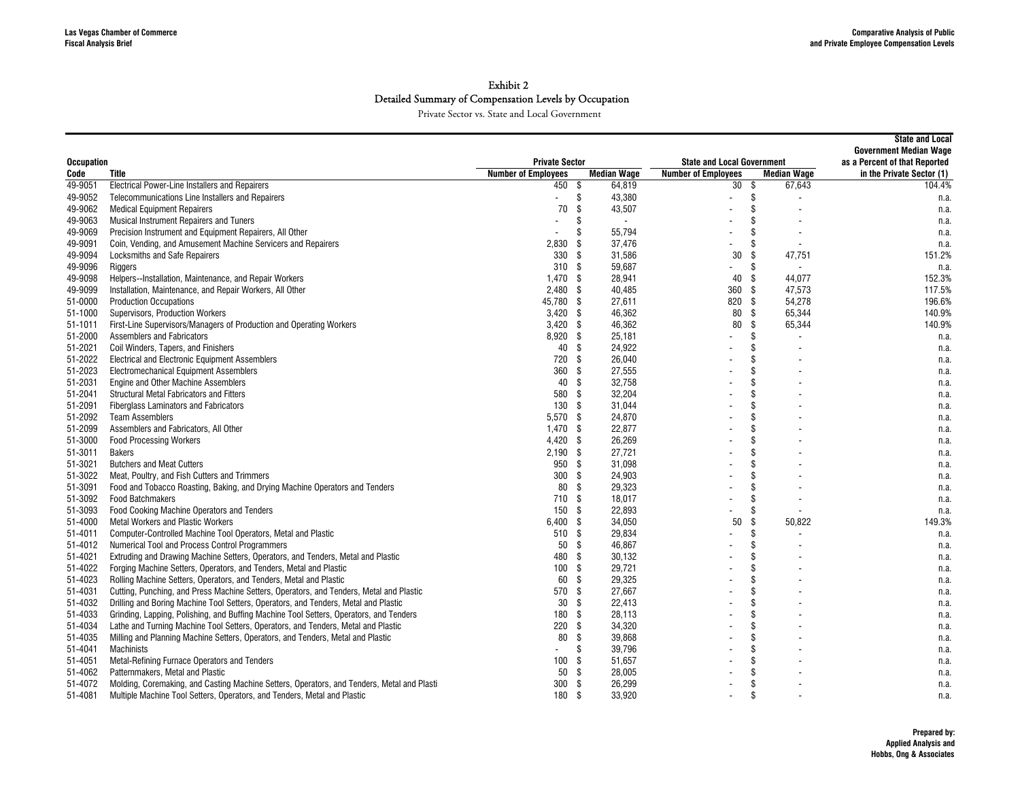| <b>Occupation</b> |                                                                                            | <b>Private Sector</b>      |      |                    | <b>State and Local Government</b> | <b>State and Local</b><br><b>Government Median Wage</b><br>as a Percent of that Reported |                    |                           |
|-------------------|--------------------------------------------------------------------------------------------|----------------------------|------|--------------------|-----------------------------------|------------------------------------------------------------------------------------------|--------------------|---------------------------|
| Code              | Title                                                                                      | <b>Number of Employees</b> |      | <b>Median Wage</b> | <b>Number of Employees</b>        |                                                                                          | <b>Median Wage</b> | in the Private Sector (1) |
| 49-9051           | <b>Electrical Power-Line Installers and Repairers</b>                                      | 450                        | - \$ | 64,819             | 30                                | \$                                                                                       | 67,643             | 104.4%                    |
| 49-9052           | Telecommunications Line Installers and Repairers                                           | $\overline{a}$             | \$   | 43.380             |                                   | \$                                                                                       |                    | n.a.                      |
| 49-9062           | <b>Medical Equipment Repairers</b>                                                         | 70                         | \$   | 43,507             |                                   | \$                                                                                       |                    | n.a.                      |
| 49-9063           | <b>Musical Instrument Repairers and Tuners</b>                                             |                            | \$   | $\overline{a}$     |                                   | \$                                                                                       |                    | n.a.                      |
| 49-9069           | Precision Instrument and Equipment Repairers, All Other                                    |                            | \$   | 55,794             |                                   | \$                                                                                       |                    | n.a.                      |
| 49-9091           | Coin, Vending, and Amusement Machine Servicers and Repairers                               | 2,830                      | \$   | 37,476             |                                   | \$                                                                                       |                    | n.a.                      |
| 49-9094           | Locksmiths and Safe Repairers                                                              | 330                        | \$   | 31,586             | 30                                | \$                                                                                       | 47,751             | 151.2%                    |
| 49-9096           | Riggers                                                                                    | 310                        | - \$ | 59,687             |                                   | \$                                                                                       |                    | n.a.                      |
| 49-9098           | Helpers--Installation, Maintenance, and Repair Workers                                     | 1.470                      | - \$ | 28,941             | 40                                | \$                                                                                       | 44.077             | 152.3%                    |
| 49-9099           | Installation, Maintenance, and Repair Workers, All Other                                   | 2.480                      | - \$ | 40,485             | 360                               | -\$                                                                                      | 47,573             | 117.5%                    |
| 51-0000           | <b>Production Occupations</b>                                                              | 45,780                     | - \$ | 27,611             | 820                               | \$                                                                                       | 54,278             | 196.6%                    |
| 51-1000           | Supervisors, Production Workers                                                            | $3,420$ \$                 |      | 46,362             | 80                                | -S                                                                                       | 65,344             | 140.9%                    |
| 51-1011           | First-Line Supervisors/Managers of Production and Operating Workers                        | $3,420$ \$                 |      | 46,362             | 80                                | \$                                                                                       | 65,344             | 140.9%                    |
| 51-2000           | Assemblers and Fabricators                                                                 | 8,920 \$                   |      | 25,181             |                                   | \$                                                                                       |                    | n.a.                      |
| 51-2021           | Coil Winders, Tapers, and Finishers                                                        | 40                         | - \$ | 24,922             |                                   | \$                                                                                       |                    | n.a.                      |
| 51-2022           | <b>Electrical and Electronic Equipment Assemblers</b>                                      | 720                        | - \$ | 26,040             |                                   | \$                                                                                       |                    | n.a.                      |
| 51-2023           | <b>Electromechanical Equipment Assemblers</b>                                              | 360                        | - \$ | 27,555             |                                   | \$                                                                                       |                    | n.a.                      |
| 51-2031           | Engine and Other Machine Assemblers                                                        | 40                         | \$   | 32,758             |                                   | \$                                                                                       |                    | n.a.                      |
| 51-2041           | Structural Metal Fabricators and Fitters                                                   | 580                        | - \$ | 32,204             |                                   | \$                                                                                       |                    | n.a.                      |
| 51-2091           | <b>Fiberglass Laminators and Fabricators</b>                                               | 130                        | - \$ | 31.044             |                                   | \$                                                                                       |                    | n.a.                      |
| 51-2092           | <b>Team Assemblers</b>                                                                     | 5,570                      | - \$ | 24,870             |                                   | \$                                                                                       |                    | n.a.                      |
| 51-2099           | Assemblers and Fabricators, All Other                                                      | 1.470                      | - \$ | 22,877             |                                   | \$                                                                                       |                    | n.a.                      |
| 51-3000           | <b>Food Processing Workers</b>                                                             | 4,420                      | - \$ | 26,269             |                                   | \$                                                                                       |                    | n.a.                      |
| 51-3011           | <b>Bakers</b>                                                                              | 2,190                      | - \$ | 27,721             |                                   | \$                                                                                       |                    | n.a.                      |
| 51-3021           | <b>Butchers and Meat Cutters</b>                                                           | 950 \$                     |      | 31,098             |                                   | \$                                                                                       |                    | n.a.                      |
| 51-3022           | Meat, Poultry, and Fish Cutters and Trimmers                                               | 300                        | - \$ | 24,903             |                                   | \$                                                                                       |                    | n.a.                      |
| 51-3091           | Food and Tobacco Roasting, Baking, and Drying Machine Operators and Tenders                | 80                         | - \$ | 29,323             |                                   | \$                                                                                       |                    | n.a.                      |
| 51-3092           | <b>Food Batchmakers</b>                                                                    | 710                        | - \$ | 18,017             |                                   | \$                                                                                       |                    | n.a.                      |
| 51-3093           | Food Cooking Machine Operators and Tenders                                                 | 150                        | - \$ | 22,893             |                                   | \$                                                                                       |                    | n.a.                      |
| 51-4000           | <b>Metal Workers and Plastic Workers</b>                                                   | 6,400 \$                   |      | 34,050             | 50                                | \$                                                                                       | 50.822             | 149.3%                    |
| 51-4011           | Computer-Controlled Machine Tool Operators, Metal and Plastic                              | 510 \$                     |      | 29,834             |                                   | \$                                                                                       |                    | n.a.                      |
| 51-4012           | Numerical Tool and Process Control Programmers                                             | 50                         | - \$ | 46,867             |                                   | \$                                                                                       |                    | n.a.                      |
| 51-4021           | Extruding and Drawing Machine Setters, Operators, and Tenders, Metal and Plastic           | 480                        | \$   | 30,132             |                                   | \$                                                                                       |                    | n.a.                      |
| 51-4022           | Forging Machine Setters, Operators, and Tenders, Metal and Plastic                         | 100                        | - \$ | 29,721             |                                   | \$                                                                                       |                    | n.a.                      |
| 51-4023           | Rolling Machine Setters, Operators, and Tenders, Metal and Plastic                         | 60                         | - \$ | 29,325             |                                   | \$                                                                                       |                    | n.a.                      |
| 51-4031           | Cutting, Punching, and Press Machine Setters, Operators, and Tenders, Metal and Plastic    | 570                        | - \$ | 27,667             |                                   | \$                                                                                       |                    | n.a.                      |
| 51-4032           | Drilling and Boring Machine Tool Setters, Operators, and Tenders, Metal and Plastic        | 30                         | - \$ | 22.413             |                                   | \$                                                                                       |                    | n.a.                      |
| 51-4033           | Grinding, Lapping, Polishing, and Buffing Machine Tool Setters, Operators, and Tenders     | 180                        | - \$ | 28,113             |                                   | \$                                                                                       |                    | n.a.                      |
| 51-4034           | Lathe and Turning Machine Tool Setters, Operators, and Tenders, Metal and Plastic          | 220                        | - \$ | 34,320             |                                   | \$                                                                                       |                    | n.a.                      |
| 51-4035           | Milling and Planning Machine Setters, Operators, and Tenders, Metal and Plastic            | 80                         | \$   | 39,868             |                                   | \$                                                                                       |                    | n.a.                      |
| 51-4041           | Machinists                                                                                 |                            | \$   | 39,796             |                                   | \$                                                                                       |                    | n.a.                      |
| 51-4051           | Metal-Refining Furnace Operators and Tenders                                               | 100                        | - \$ | 51,657             |                                   | \$                                                                                       |                    | n.a.                      |
| 51-4062           | Patternmakers, Metal and Plastic                                                           | 50                         | \$   | 28,005             |                                   | \$                                                                                       |                    | n.a.                      |
| 51-4072           | Molding, Coremaking, and Casting Machine Setters, Operators, and Tenders, Metal and Plasti | 300                        | - \$ | 26,299             |                                   | \$                                                                                       |                    | n.a.                      |
| 51-4081           | Multiple Machine Tool Setters, Operators, and Tenders, Metal and Plastic                   | 180                        | - \$ | 33,920             |                                   | \$                                                                                       |                    | n.a.                      |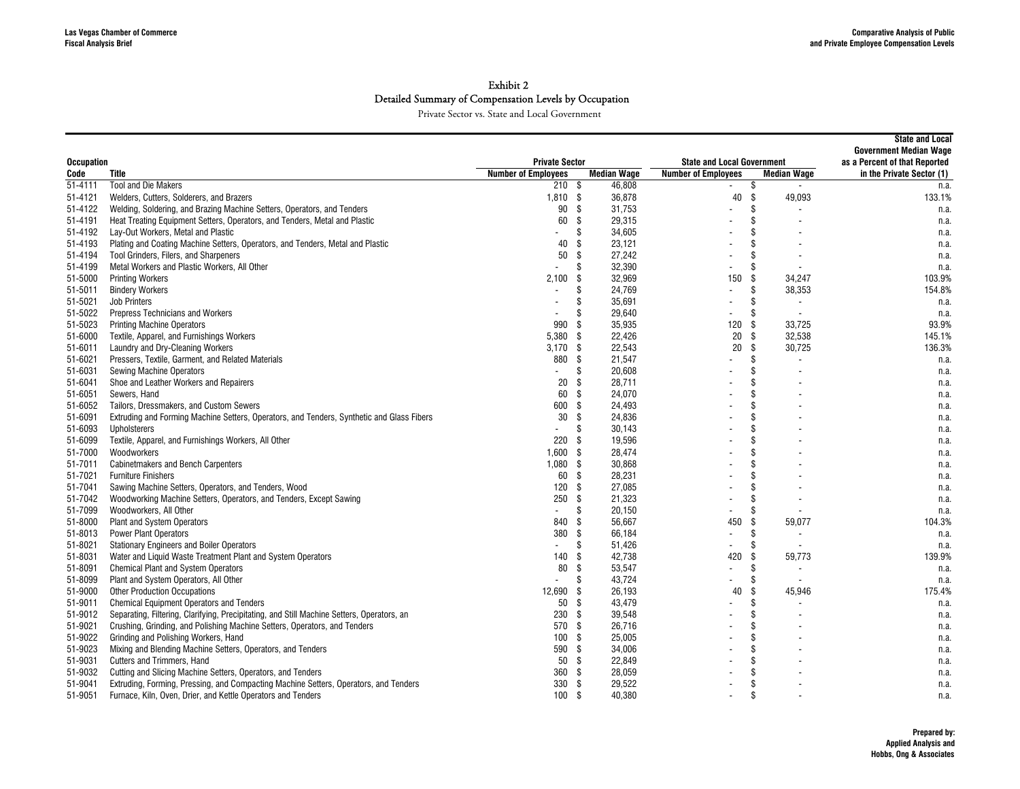| <b>Occupation</b> |                                                                                            | <b>Private Sector</b>      |                    |        | <b>State and Local Government</b> | <b>State and Local</b><br><b>Government Median Wage</b><br>as a Percent of that Reported |                           |
|-------------------|--------------------------------------------------------------------------------------------|----------------------------|--------------------|--------|-----------------------------------|------------------------------------------------------------------------------------------|---------------------------|
| Code              | Title                                                                                      | <b>Number of Employees</b> | <b>Median Wage</b> |        | <b>Number of Employees</b>        | <b>Median Wage</b>                                                                       | in the Private Sector (1) |
| $51 - 4111$       | <b>Tool and Die Makers</b>                                                                 | 210S                       |                    | 46,808 |                                   | \$<br>$\blacksquare$                                                                     | n.a.                      |
| 51-4121           | Welders, Cutters, Solderers, and Brazers                                                   | $1,810$ \$                 |                    | 36,878 | 40                                | \$<br>49.093                                                                             | 133.1%                    |
| 51-4122           | Welding, Soldering, and Brazing Machine Setters, Operators, and Tenders                    | 90                         | - \$               | 31.753 |                                   | \$                                                                                       | n.a.                      |
| 51-4191           | Heat Treating Equipment Setters, Operators, and Tenders, Metal and Plastic                 | 60                         | \$                 | 29,315 |                                   | \$                                                                                       | n.a.                      |
| 51-4192           | Lay-Out Workers, Metal and Plastic                                                         |                            | \$                 | 34,605 |                                   | \$                                                                                       | n.a.                      |
| 51-4193           | Plating and Coating Machine Setters, Operators, and Tenders, Metal and Plastic             | 40                         | \$                 | 23,121 |                                   | \$                                                                                       | n.a.                      |
| 51-4194           | Tool Grinders, Filers, and Sharpeners                                                      | 50                         | \$                 | 27,242 |                                   | \$                                                                                       | n.a.                      |
| 51-4199           | Metal Workers and Plastic Workers, All Other                                               |                            | \$                 | 32,390 |                                   | \$                                                                                       | n.a.                      |
| 51-5000           | <b>Printing Workers</b>                                                                    | 2,100                      | \$                 | 32,969 | 150                               | \$<br>34,247                                                                             | 103.9%                    |
| 51-5011           | <b>Bindery Workers</b>                                                                     |                            | \$                 | 24,769 | $\blacksquare$                    | \$<br>38,353                                                                             | 154.8%                    |
| 51-5021           | Job Printers                                                                               |                            | \$                 | 35,691 |                                   | \$                                                                                       | n.a.                      |
| 51-5022           | Prepress Technicians and Workers                                                           |                            | \$                 | 29,640 |                                   | \$                                                                                       | n.a.                      |
| 51-5023           | <b>Printing Machine Operators</b>                                                          | 990                        | \$                 | 35,935 | 120                               | \$<br>33,725                                                                             | 93.9%                     |
| 51-6000           | Textile, Apparel, and Furnishings Workers                                                  | 5,380                      | -\$                | 22,426 | 20                                | \$<br>32,538                                                                             | 145.1%                    |
| 51-6011           | Laundry and Dry-Cleaning Workers                                                           | 3,170                      | - \$               | 22,543 | 20                                | \$<br>30,725                                                                             | 136.3%                    |
| 51-6021           | Pressers, Textile, Garment, and Related Materials                                          | 880                        | - \$               | 21,547 |                                   | \$                                                                                       | n.a.                      |
| 51-6031           | <b>Sewing Machine Operators</b>                                                            |                            | \$                 | 20,608 |                                   | \$                                                                                       | n.a.                      |
| 51-6041           | Shoe and Leather Workers and Repairers                                                     | 20                         | \$                 | 28,711 |                                   | \$                                                                                       | n.a.                      |
| 51-6051           | Sewers, Hand                                                                               | 60                         | \$                 | 24,070 |                                   | \$                                                                                       | n.a.                      |
| 51-6052           | Tailors, Dressmakers, and Custom Sewers                                                    | 600                        | \$                 | 24,493 |                                   | \$                                                                                       | n.a.                      |
| 51-6091           | Extruding and Forming Machine Setters, Operators, and Tenders, Synthetic and Glass Fibers  | 30                         | -S                 | 24,836 |                                   | \$                                                                                       | n.a.                      |
| 51-6093           | <b>Upholsterers</b>                                                                        |                            | \$                 | 30,143 |                                   | \$                                                                                       | n.a.                      |
| 51-6099           | Textile, Apparel, and Furnishings Workers, All Other                                       | 220                        | - \$               | 19,596 |                                   | \$                                                                                       | n.a.                      |
| 51-7000           | Woodworkers                                                                                | 1,600                      | - \$               | 28,474 |                                   | \$                                                                                       | n.a.                      |
| 51-7011           | <b>Cabinetmakers and Bench Carpenters</b>                                                  | $1,080$ \$                 |                    | 30,868 |                                   | $\mathbf{\hat{s}}$                                                                       | n.a.                      |
| 51-7021           | <b>Furniture Finishers</b>                                                                 | 60                         | - \$               | 28,231 |                                   | \$                                                                                       | n.a.                      |
| 51-7041           | Sawing Machine Setters, Operators, and Tenders, Wood                                       | 120                        | \$                 | 27,085 |                                   | \$                                                                                       | n.a.                      |
| 51-7042           | Woodworking Machine Setters, Operators, and Tenders, Except Sawing                         | 250                        | \$                 | 21,323 |                                   | \$                                                                                       | n.a.                      |
| 51-7099           | Woodworkers, All Other                                                                     | $\overline{a}$             | \$                 | 20,150 |                                   | \$                                                                                       | n.a.                      |
| 51-8000           | Plant and System Operators                                                                 | 840                        | -\$                | 56,667 | 450                               | \$<br>59,077                                                                             | 104.3%                    |
| 51-8013           | <b>Power Plant Operators</b>                                                               | 380                        | - \$               | 66,184 |                                   | \$                                                                                       | n.a.                      |
| 51-8021           | <b>Stationary Engineers and Boiler Operators</b>                                           |                            | \$                 | 51,426 |                                   | \$                                                                                       | n.a.                      |
| 51-8031           | Water and Liquid Waste Treatment Plant and System Operators                                | 140                        | \$                 | 42,738 | 420                               | \$<br>59,773                                                                             | 139.9%                    |
| 51-8091           | <b>Chemical Plant and System Operators</b>                                                 | 80                         | \$                 | 53,547 | $\overline{\phantom{a}}$          | \$                                                                                       | n.a.                      |
| 51-8099           | Plant and System Operators, All Other                                                      | $\overline{a}$             | \$                 | 43,724 |                                   | \$                                                                                       | n.a.                      |
| 51-9000           | <b>Other Production Occupations</b>                                                        | 12.690                     | - \$               | 26,193 | 40                                | \$<br>45,946                                                                             | 175.4%                    |
| 51-9011           | <b>Chemical Equipment Operators and Tenders</b>                                            | 50                         | -\$                | 43,479 |                                   | \$                                                                                       | n.a.                      |
| 51-9012           | Separating, Filtering, Clarifying, Precipitating, and Still Machine Setters, Operators, an | 230                        | \$                 | 39,548 |                                   | \$                                                                                       | n.a.                      |
| 51-9021           | Crushing, Grinding, and Polishing Machine Setters, Operators, and Tenders                  | 570                        | - \$               | 26,716 |                                   | \$                                                                                       | n.a.                      |
| 51-9022           | Grinding and Polishing Workers, Hand                                                       | 100                        | -\$                | 25,005 |                                   | \$                                                                                       | n.a.                      |
| 51-9023           | Mixing and Blending Machine Setters, Operators, and Tenders                                | 590                        | -\$                | 34,006 |                                   | \$                                                                                       | n.a.                      |
| 51-9031           | Cutters and Trimmers, Hand                                                                 | 50                         | - \$               | 22,849 |                                   | \$                                                                                       | n.a.                      |
| 51-9032           | Cutting and Slicing Machine Setters, Operators, and Tenders                                | 360                        | \$                 | 28,059 |                                   | \$                                                                                       | n.a.                      |
| 51-9041           | Extruding, Forming, Pressing, and Compacting Machine Setters, Operators, and Tenders       | 330                        | - \$               | 29,522 |                                   | \$                                                                                       | n.a.                      |
| 51-9051           | Furnace, Kiln, Oven, Drier, and Kettle Operators and Tenders                               | 100                        | - \$               | 40,380 |                                   | \$                                                                                       | n.a.                      |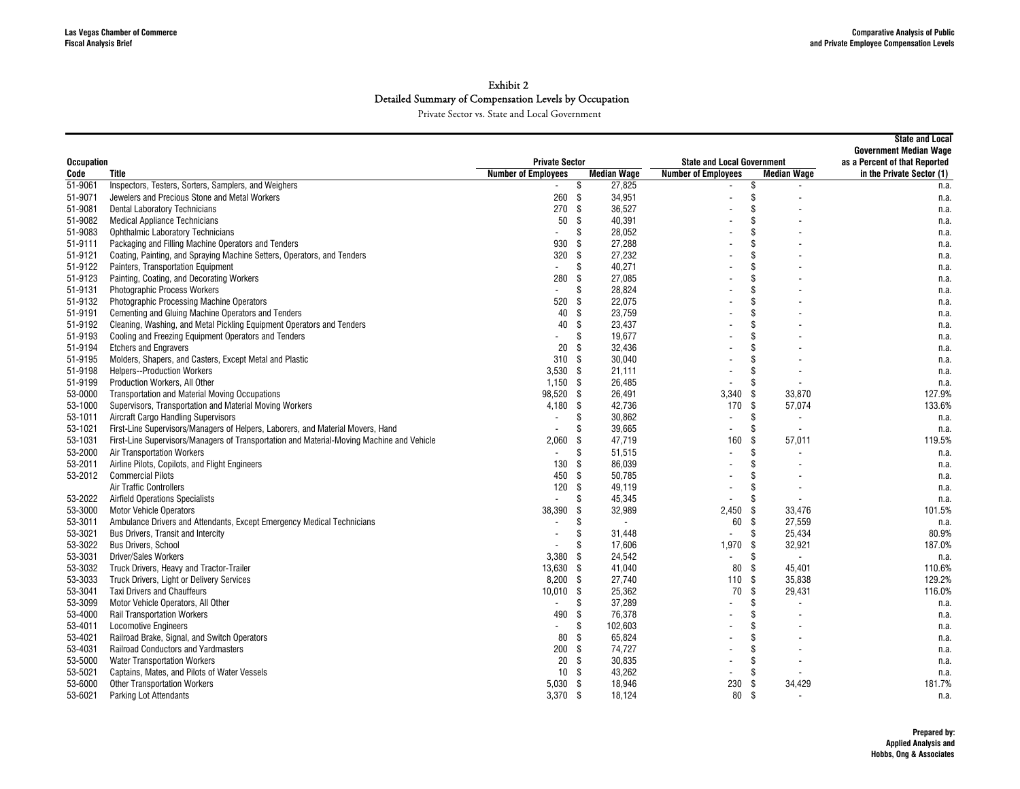| <b>Occupation</b>  |                                                                                                          | <b>Private Sector</b>                                  |          |                    | <b>State and Local Government</b> | <b>State and Local</b><br><b>Government Median Wage</b><br>as a Percent of that Reported |                           |
|--------------------|----------------------------------------------------------------------------------------------------------|--------------------------------------------------------|----------|--------------------|-----------------------------------|------------------------------------------------------------------------------------------|---------------------------|
|                    | Code<br>Title                                                                                            |                                                        |          | <b>Median Wage</b> | <b>Number of Employees</b>        | <b>Median Wage</b>                                                                       | in the Private Sector (1) |
| 51-9061            | Inspectors, Testers, Sorters, Samplers, and Weighers                                                     | <b>Number of Employees</b><br>$\overline{\phantom{a}}$ | \$       | 27,825             |                                   | \$                                                                                       | n.a.                      |
| 51-9071            | Jewelers and Precious Stone and Metal Workers                                                            | 260                                                    | - \$     | 34,951             |                                   | \$                                                                                       | n.a.                      |
| 51-9081            | <b>Dental Laboratory Technicians</b>                                                                     | 270                                                    | -\$      | 36,527             |                                   | \$                                                                                       | n.a.                      |
| 51-9082            | <b>Medical Appliance Technicians</b>                                                                     | 50                                                     | \$       | 40,391             |                                   | \$                                                                                       | n.a.                      |
| 51-9083            | <b>Ophthalmic Laboratory Technicians</b>                                                                 |                                                        | \$       | 28,052             |                                   | \$                                                                                       | n.a.                      |
| 51-9111            | Packaging and Filling Machine Operators and Tenders                                                      | 930                                                    | \$       | 27,288             |                                   | \$                                                                                       | n.a.                      |
| 51-9121            | Coating, Painting, and Spraying Machine Setters, Operators, and Tenders                                  | 320                                                    | \$       | 27,232             |                                   | \$                                                                                       | n.a.                      |
| 51-9122            | Painters, Transportation Equipment                                                                       | $\blacksquare$                                         | \$       | 40,271             |                                   | \$                                                                                       | n.a.                      |
| 51-9123            | Painting, Coating, and Decorating Workers                                                                | 280                                                    | -\$      | 27,085             |                                   | \$                                                                                       | n.a.                      |
| 51-9131            | <b>Photographic Process Workers</b>                                                                      | $\overline{a}$                                         | \$       | 28,824             |                                   | \$                                                                                       | n.a.                      |
| 51-9132            | Photographic Processing Machine Operators                                                                | 520                                                    | \$       | 22,075             |                                   | \$                                                                                       | n.a.                      |
| 51-9191            | Cementing and Gluing Machine Operators and Tenders                                                       | 40                                                     | -\$      | 23,759             |                                   | \$                                                                                       | n.a.                      |
| 51-9192            | Cleaning, Washing, and Metal Pickling Equipment Operators and Tenders                                    | 40                                                     | \$       | 23,437             |                                   | \$                                                                                       | n.a.                      |
| 51-9193            | Cooling and Freezing Equipment Operators and Tenders                                                     |                                                        | \$       | 19,677             |                                   | \$                                                                                       | n.a.                      |
| 51-9194            | <b>Etchers and Engravers</b>                                                                             | 20                                                     | -S       | 32,436             |                                   | \$                                                                                       | n.a.                      |
| 51-9195            | Molders, Shapers, and Casters, Except Metal and Plastic                                                  | 310                                                    | - \$     | 30,040             |                                   | \$                                                                                       | n.a.                      |
| 51-9198            | <b>Helpers--Production Workers</b>                                                                       | $3,530$ \$                                             |          | 21,111             |                                   | Ŝ.                                                                                       | n.a.                      |
| 51-9199            | Production Workers, All Other                                                                            | $1,150$ \$                                             |          | 26,485             |                                   | \$                                                                                       |                           |
| 53-0000            | <b>Transportation and Material Moving Occupations</b>                                                    | 98,520 \$                                              |          | 26,491             | 3,340                             | 33,870<br>-S                                                                             | n.a.<br>127.9%            |
| 53-1000            | Supervisors, Transportation and Material Moving Workers                                                  | 4.180                                                  | - \$     | 42,736             | 170                               | -S<br>57,074                                                                             | 133.6%                    |
| 53-1011            | <b>Aircraft Cargo Handling Supervisors</b>                                                               | $\blacksquare$                                         | \$       | 30,862             | $\blacksquare$                    | \$                                                                                       | n.a.                      |
| 53-1021            | First-Line Supervisors/Managers of Helpers, Laborers, and Material Movers, Hand                          |                                                        | Ŝ        | 39.665             | $\overline{\phantom{a}}$          | Ŝ.<br>$\overline{\phantom{a}}$                                                           |                           |
| 53-1031            | First-Line Supervisors/Managers of Transportation and Material-Moving Machine and Vehicle                | 2,060                                                  | \$       | 47,719             | 160                               | 57,011<br>\$                                                                             | n.a.<br>119.5%            |
| 53-2000            | <b>Air Transportation Workers</b>                                                                        |                                                        | \$       | 51,515             |                                   | \$                                                                                       |                           |
| 53-2011            | Airline Pilots, Copilots, and Flight Engineers                                                           | 130                                                    | -\$      | 86,039             |                                   | \$                                                                                       | n.a.                      |
| 53-2012            | <b>Commercial Pilots</b>                                                                                 | 450                                                    | -\$      | 50,785             |                                   | \$                                                                                       | n.a.                      |
|                    | <b>Air Traffic Controllers</b>                                                                           | 120                                                    | - \$     | 49,119             | $\overline{\phantom{a}}$          | \$                                                                                       | n.a.                      |
|                    | <b>Airfield Operations Specialists</b>                                                                   |                                                        | \$       | 45,345             |                                   | \$                                                                                       | n.a.                      |
| 53-2022            |                                                                                                          | 38,390                                                 |          |                    |                                   | -S                                                                                       | n.a.                      |
| 53-3000            | <b>Motor Vehicle Operators</b><br>Ambulance Drivers and Attendants, Except Emergency Medical Technicians |                                                        | \$       | 32,989             | 2.450                             | 33.476<br>\$<br>27,559                                                                   | 101.5%                    |
| 53-3011<br>53-3021 |                                                                                                          |                                                        | \$<br>\$ | $\sim$             | 60<br>$\blacksquare$              | \$                                                                                       | n.a.<br>80.9%             |
| 53-3022            | Bus Drivers, Transit and Intercity                                                                       |                                                        | \$       | 31,448<br>17,606   | $1,970$ \$                        | 25,434                                                                                   | 187.0%                    |
|                    | <b>Bus Drivers, School</b>                                                                               | 3,380                                                  | -\$      |                    | $\overline{\phantom{a}}$          | 32,921<br>\$                                                                             |                           |
| 53-3031            | <b>Driver/Sales Workers</b><br>Truck Drivers, Heavy and Tractor-Trailer                                  | 13,630 \$                                              |          | 24,542<br>41,040   |                                   | \$                                                                                       | n.a.                      |
| 53-3032            |                                                                                                          |                                                        |          |                    | 80                                | 45,401                                                                                   | 110.6%                    |
| 53-3033            | Truck Drivers, Light or Delivery Services                                                                | 8,200                                                  | - \$     | 27,740             | 110                               | \$<br>35,838<br>\$                                                                       | 129.2%                    |
| 53-3041            | <b>Taxi Drivers and Chauffeurs</b>                                                                       | 10,010                                                 | - \$     | 25,362             | 70                                | 29,431                                                                                   | 116.0%                    |
| 53-3099            | Motor Vehicle Operators, All Other                                                                       |                                                        | \$       | 37,289             |                                   | \$                                                                                       | n.a.                      |
| 53-4000            | <b>Rail Transportation Workers</b>                                                                       | 490                                                    | -\$      | 76,378             |                                   | \$<br>\$                                                                                 | n.a.                      |
| 53-4011            | <b>Locomotive Engineers</b>                                                                              | $\overline{a}$                                         | \$       | 102,603            |                                   |                                                                                          | n.a.                      |
| 53-4021            | Railroad Brake, Signal, and Switch Operators                                                             | 80                                                     | \$       | 65,824             |                                   | \$                                                                                       | n.a.                      |
| 53-4031            | Railroad Conductors and Yardmasters                                                                      | 200S                                                   |          | 74,727             |                                   | \$                                                                                       | n.a.                      |
| 53-5000            | <b>Water Transportation Workers</b>                                                                      | 20                                                     | - \$     | 30.835             |                                   | \$                                                                                       | n.a.                      |
| 53-5021            | Captains, Mates, and Pilots of Water Vessels                                                             | 10                                                     | -\$      | 43,262             | $\blacksquare$                    | \$                                                                                       | n.a.                      |
| 53-6000            | <b>Other Transportation Workers</b>                                                                      | 5.030                                                  | - \$     | 18,946             | 230                               | Ŝ.<br>34,429                                                                             | 181.7%                    |
| 53-6021            | <b>Parking Lot Attendants</b>                                                                            | 3,370 \$                                               |          | 18,124             | 80                                | \$                                                                                       | n.a.                      |